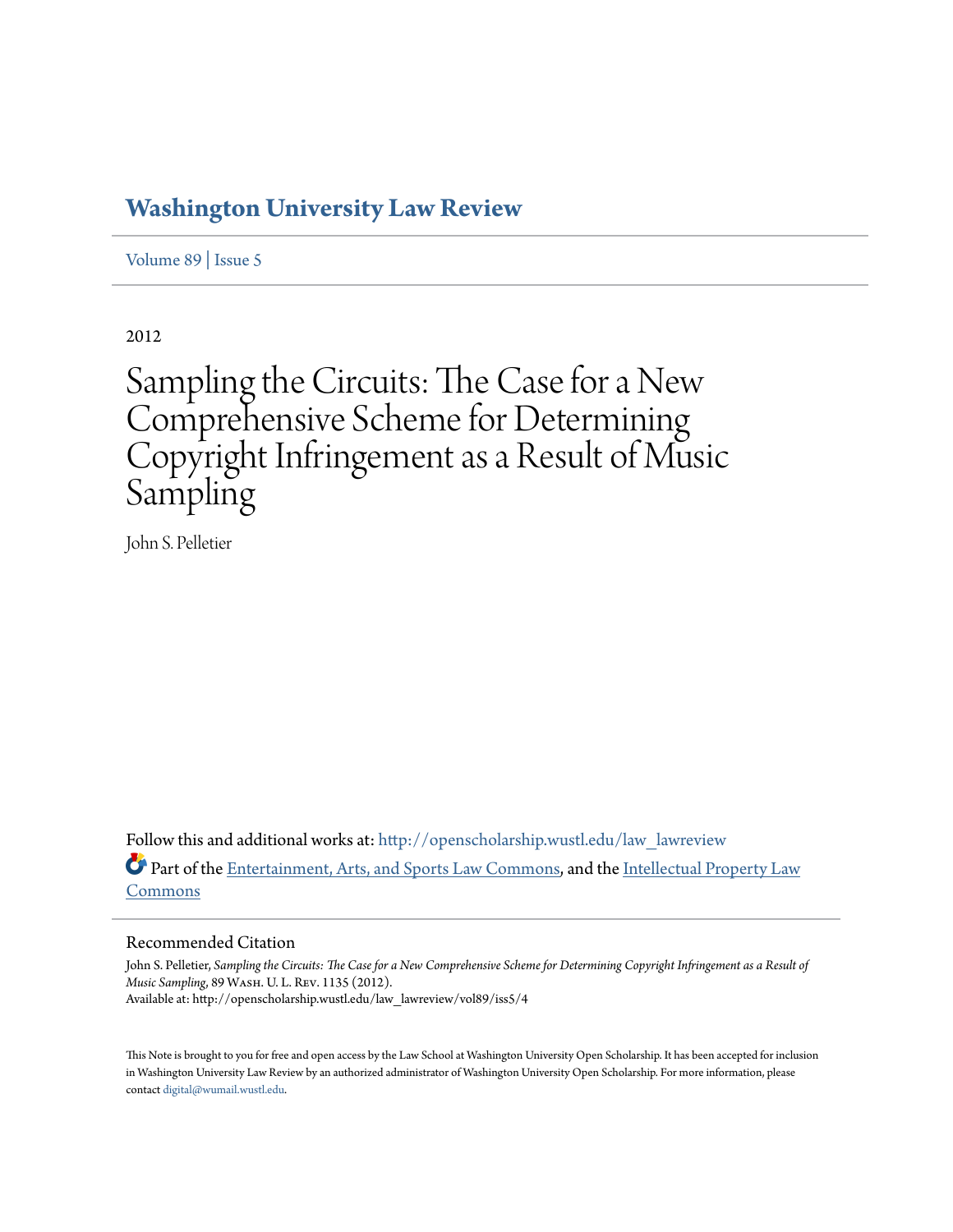# **[Washington University Law Review](http://openscholarship.wustl.edu/law_lawreview?utm_source=openscholarship.wustl.edu%2Flaw_lawreview%2Fvol89%2Fiss5%2F4&utm_medium=PDF&utm_campaign=PDFCoverPages)**

[Volume 89](http://openscholarship.wustl.edu/law_lawreview/vol89?utm_source=openscholarship.wustl.edu%2Flaw_lawreview%2Fvol89%2Fiss5%2F4&utm_medium=PDF&utm_campaign=PDFCoverPages) | [Issue 5](http://openscholarship.wustl.edu/law_lawreview/vol89/iss5?utm_source=openscholarship.wustl.edu%2Flaw_lawreview%2Fvol89%2Fiss5%2F4&utm_medium=PDF&utm_campaign=PDFCoverPages)

2012

# Sampling the Circuits: The Case for a New Comprehensive Scheme for Determining Copyright Infringement as a Result of Music Sampling

John S. Pelletier

Follow this and additional works at: [http://openscholarship.wustl.edu/law\\_lawreview](http://openscholarship.wustl.edu/law_lawreview?utm_source=openscholarship.wustl.edu%2Flaw_lawreview%2Fvol89%2Fiss5%2F4&utm_medium=PDF&utm_campaign=PDFCoverPages) Part of the [Entertainment, Arts, and Sports Law Commons,](http://network.bepress.com/hgg/discipline/893?utm_source=openscholarship.wustl.edu%2Flaw_lawreview%2Fvol89%2Fiss5%2F4&utm_medium=PDF&utm_campaign=PDFCoverPages) and the [Intellectual Property Law](http://network.bepress.com/hgg/discipline/896?utm_source=openscholarship.wustl.edu%2Flaw_lawreview%2Fvol89%2Fiss5%2F4&utm_medium=PDF&utm_campaign=PDFCoverPages) [Commons](http://network.bepress.com/hgg/discipline/896?utm_source=openscholarship.wustl.edu%2Flaw_lawreview%2Fvol89%2Fiss5%2F4&utm_medium=PDF&utm_campaign=PDFCoverPages)

## Recommended Citation

John S. Pelletier, *Sampling the Circuits: The Case for a New Comprehensive Scheme for Determining Copyright Infringement as a Result of Music Sampling*, 89 Wash. U. L. Rev. 1135 (2012). Available at: http://openscholarship.wustl.edu/law\_lawreview/vol89/iss5/4

This Note is brought to you for free and open access by the Law School at Washington University Open Scholarship. It has been accepted for inclusion in Washington University Law Review by an authorized administrator of Washington University Open Scholarship. For more information, please contact [digital@wumail.wustl.edu.](mailto:digital@wumail.wustl.edu)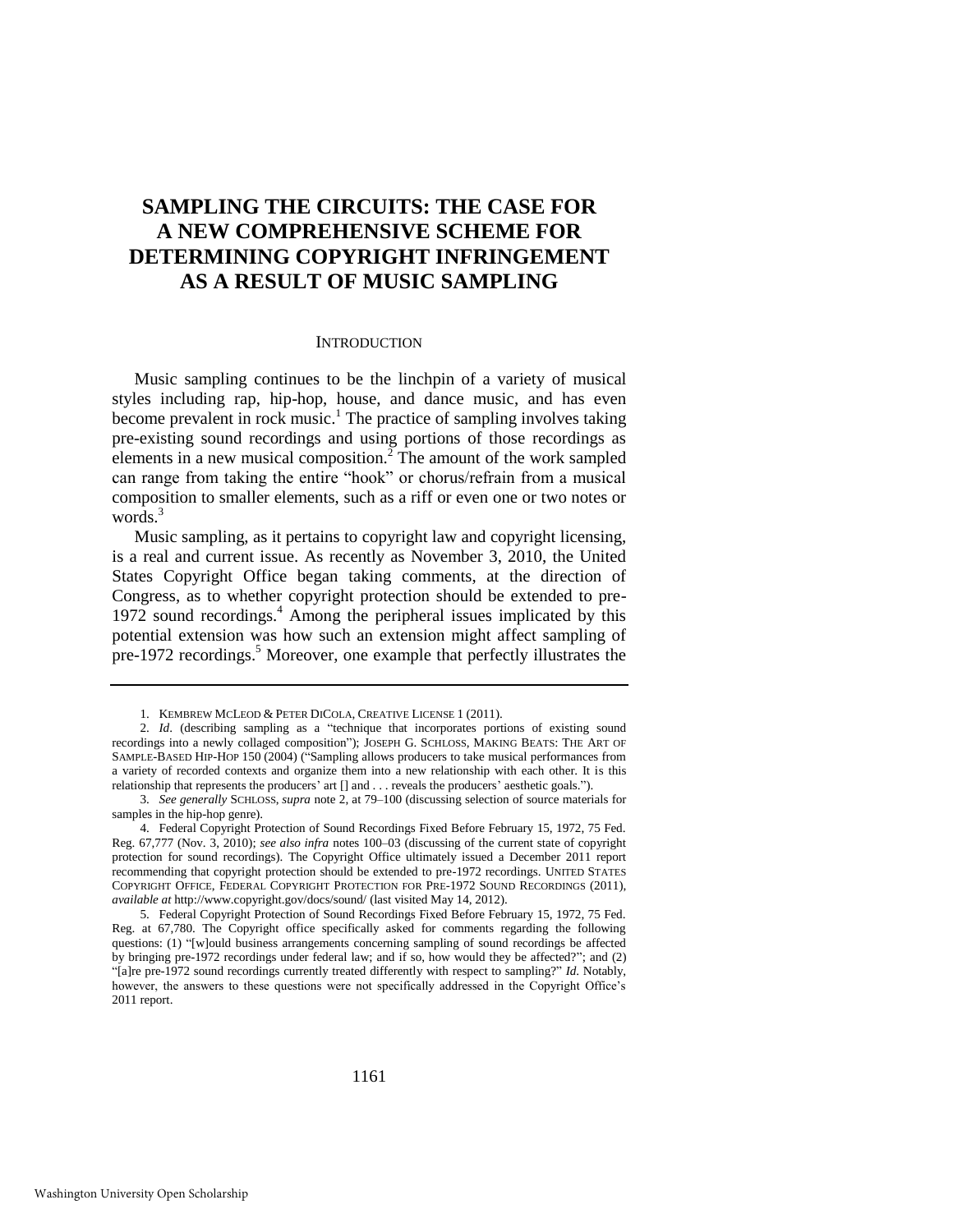# **SAMPLING THE CIRCUITS: THE CASE FOR A NEW COMPREHENSIVE SCHEME FOR DETERMINING COPYRIGHT INFRINGEMENT AS A RESULT OF MUSIC SAMPLING**

#### <span id="page-1-1"></span><span id="page-1-0"></span>**INTRODUCTION**

Music sampling continues to be the linchpin of a variety of musical styles including rap, hip-hop, house, and dance music, and has even become prevalent in rock music.<sup>1</sup> The practice of sampling involves taking pre-existing sound recordings and using portions of those recordings as elements in a new musical composition.<sup>2</sup> The amount of the work sampled can range from taking the entire "hook" or chorus/refrain from a musical composition to smaller elements, such as a riff or even one or two notes or words.<sup>3</sup>

Music sampling, as it pertains to copyright law and copyright licensing, is a real and current issue. As recently as November 3, 2010, the United States Copyright Office began taking comments, at the direction of Congress, as to whether copyright protection should be extended to pre-1972 sound recordings.<sup>4</sup> Among the peripheral issues implicated by this potential extension was how such an extension might affect sampling of pre-1972 recordings.<sup>5</sup> Moreover, one example that perfectly illustrates the

<sup>1.</sup> KEMBREW MCLEOD & PETER DICOLA, CREATIVE LICENSE 1 (2011).

<sup>2.</sup> *Id.* (describing sampling as a "technique that incorporates portions of existing sound recordings into a newly collaged composition"); JOSEPH G. SCHLOSS, MAKING BEATS: THE ART OF SAMPLE-BASED HIP-HOP 150 (2004) ("Sampling allows producers to take musical performances from a variety of recorded contexts and organize them into a new relationship with each other. It is this relationship that represents the producers' art [] and . . . reveals the producers' aesthetic goals.").

<sup>3.</sup> *See generally* SCHLOSS, *supra* note [2,](#page-1-0) at 79–100 (discussing selection of source materials for samples in the hip-hop genre).

<sup>4.</sup> Federal Copyright Protection of Sound Recordings Fixed Before February 15, 1972, 75 Fed. Reg. 67,777 (Nov. 3, 2010); *see also infra* notes [100–](#page-14-0)03 (discussing of the current state of copyright protection for sound recordings). The Copyright Office ultimately issued a December 2011 report recommending that copyright protection should be extended to pre-1972 recordings. UNITED STATES COPYRIGHT OFFICE, FEDERAL COPYRIGHT PROTECTION FOR PRE-1972 SOUND RECORDINGS (2011), *available at* http://www.copyright.gov/docs/sound/ (last visited May 14, 2012).

<sup>5.</sup> Federal Copyright Protection of Sound Recordings Fixed Before February 15, 1972, 75 Fed. Reg. at 67,780. The Copyright office specifically asked for comments regarding the following questions: (1) "[w]ould business arrangements concerning sampling of sound recordings be affected by bringing pre-1972 recordings under federal law; and if so, how would they be affected?"; and (2) ―[a]re pre-1972 sound recordings currently treated differently with respect to sampling?‖ *Id*. Notably, however, the answers to these questions were not specifically addressed in the Copyright Office's 2011 report.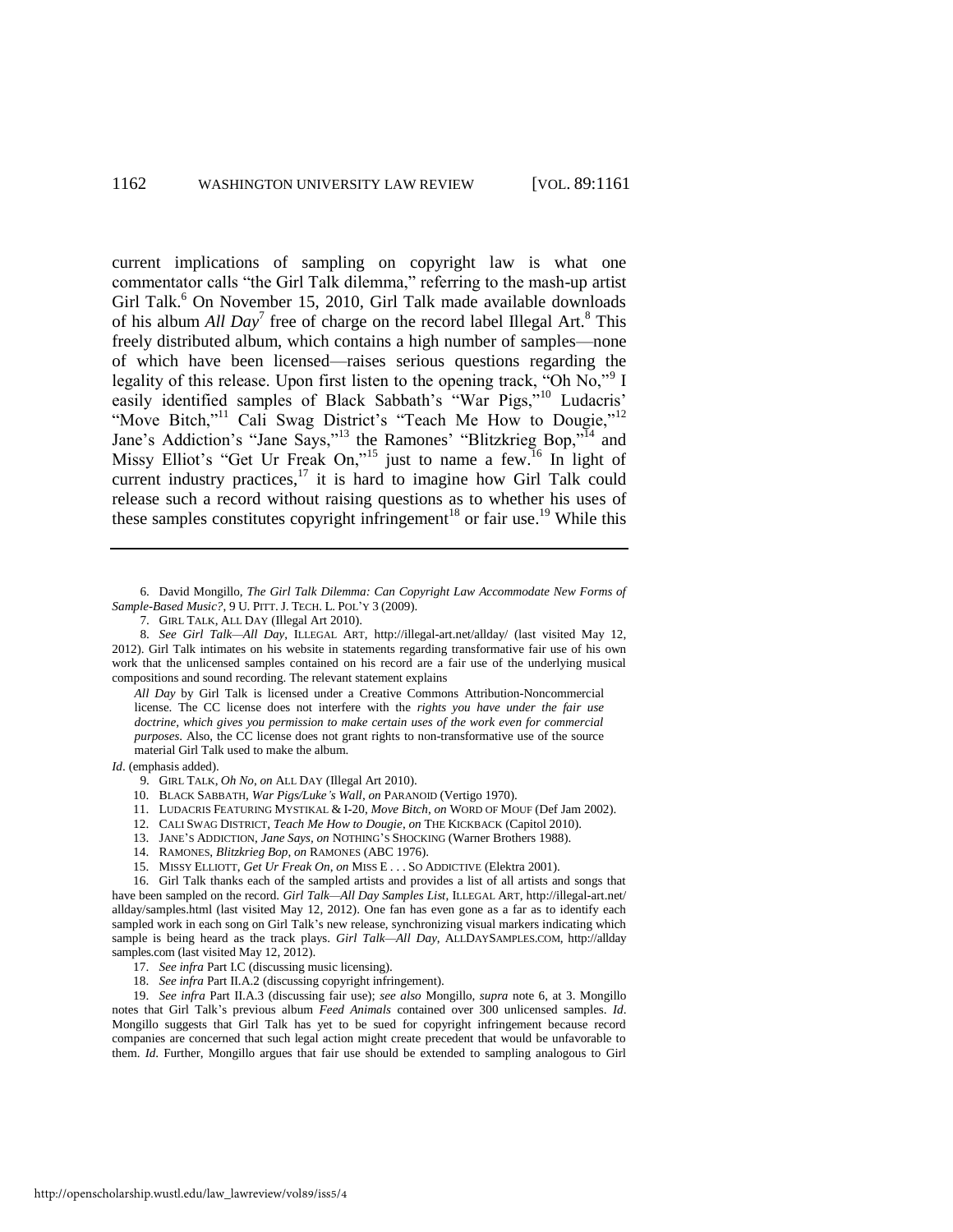<span id="page-2-1"></span><span id="page-2-0"></span>current implications of sampling on copyright law is what one commentator calls "the Girl Talk dilemma," referring to the mash-up artist Girl Talk.<sup>6</sup> On November 15, 2010, Girl Talk made available downloads of his album *All Day*<sup>7</sup> free of charge on the record label Illegal Art.<sup>8</sup> This freely distributed album, which contains a high number of samples—none of which have been licensed—raises serious questions regarding the legality of this release. Upon first listen to the opening track, "Oh No," I easily identified samples of Black Sabbath's "War Pigs,"<sup>10</sup> Ludacris' "Move Bitch,"<sup>11</sup> Cali Swag District's "Teach Me How to Dougie,"<sup>12</sup> Jane's Addiction's "Jane Says,"<sup>13</sup> the Ramones' "Blitzkrieg Bop,"<sup>14</sup> and Missy Elliot's "Get Ur Freak On,"<sup>15</sup> just to name a few.<sup>16</sup> In light of current industry practices, $17$  it is hard to imagine how Girl Talk could release such a record without raising questions as to whether his uses of these samples constitutes copyright infringement<sup>18</sup> or fair use.<sup>19</sup> While this

6. David Mongillo, *The Girl Talk Dilemma: Can Copyright Law Accommodate New Forms of Sample-Based Music?*, 9 U. PITT. J. TECH. L. POL'Y 3 (2009).

8. *See Girl Talk—All Day*, ILLEGAL ART, http://illegal-art.net/allday/ (last visited May 12, 2012). Girl Talk intimates on his website in statements regarding transformative fair use of his own work that the unlicensed samples contained on his record are a fair use of the underlying musical compositions and sound recording. The relevant statement explains

*All Day* by Girl Talk is licensed under a Creative Commons Attribution-Noncommercial license. The CC license does not interfere with the *rights you have under the fair use doctrine, which gives you permission to make certain uses of the work even for commercial purposes*. Also, the CC license does not grant rights to non-transformative use of the source material Girl Talk used to make the album.

*Id*. (emphasis added).

- 10. BLACK SABBATH, *War Pigs/Luke's Wall*, *on* PARANOID (Vertigo 1970).
- 11. LUDACRIS FEATURING MYSTIKAL & I-20, *Move Bitch*, *on* WORD OF MOUF (Def Jam 2002).
- 12. CALI SWAG DISTRICT, *Teach Me How to Dougie*, *on* THE KICKBACK (Capitol 2010).
- 13. JANE'S ADDICTION, *Jane Says, on* NOTHING'S SHOCKING (Warner Brothers 1988).
- 14. RAMONES, *Blitzkrieg Bop*, *on* RAMONES (ABC 1976).
- 15. MISSY ELLIOTT, *Get Ur Freak On*, *on* MISS E . . . SO ADDICTIVE (Elektra 2001).

16. Girl Talk thanks each of the sampled artists and provides a list of all artists and songs that have been sampled on the record. *Girl Talk—All Day Samples List*, ILLEGAL ART, http://illegal-art.net/ allday/samples.html (last visited May 12, 2012). One fan has even gone as a far as to identify each sampled work in each song on Girl Talk's new release, synchronizing visual markers indicating which sample is being heard as the track plays. *Girl Talk—All Day*, ALLDAYSAMPLES.COM, http://allday samples.com (last visited May 12, 2012).

18. *See infra* Part II.A.2 (discussing copyright infringement).

19. *See infra* Part II.A.3 (discussing fair use); *see also* Mongillo, *supra* note [6,](#page-2-0) at 3. Mongillo notes that Girl Talk's previous album *Feed Animals* contained over 300 unlicensed samples. *Id*. Mongillo suggests that Girl Talk has yet to be sued for copyright infringement because record companies are concerned that such legal action might create precedent that would be unfavorable to them. *Id*. Further, Mongillo argues that fair use should be extended to sampling analogous to Girl

<span id="page-2-2"></span><sup>7.</sup> GIRL TALK, ALL DAY (Illegal Art 2010).

<sup>9.</sup> GIRL TALK, *Oh No*, *on* ALL DAY (Illegal Art 2010).

<sup>17.</sup> *See infra* Part I.C (discussing music licensing).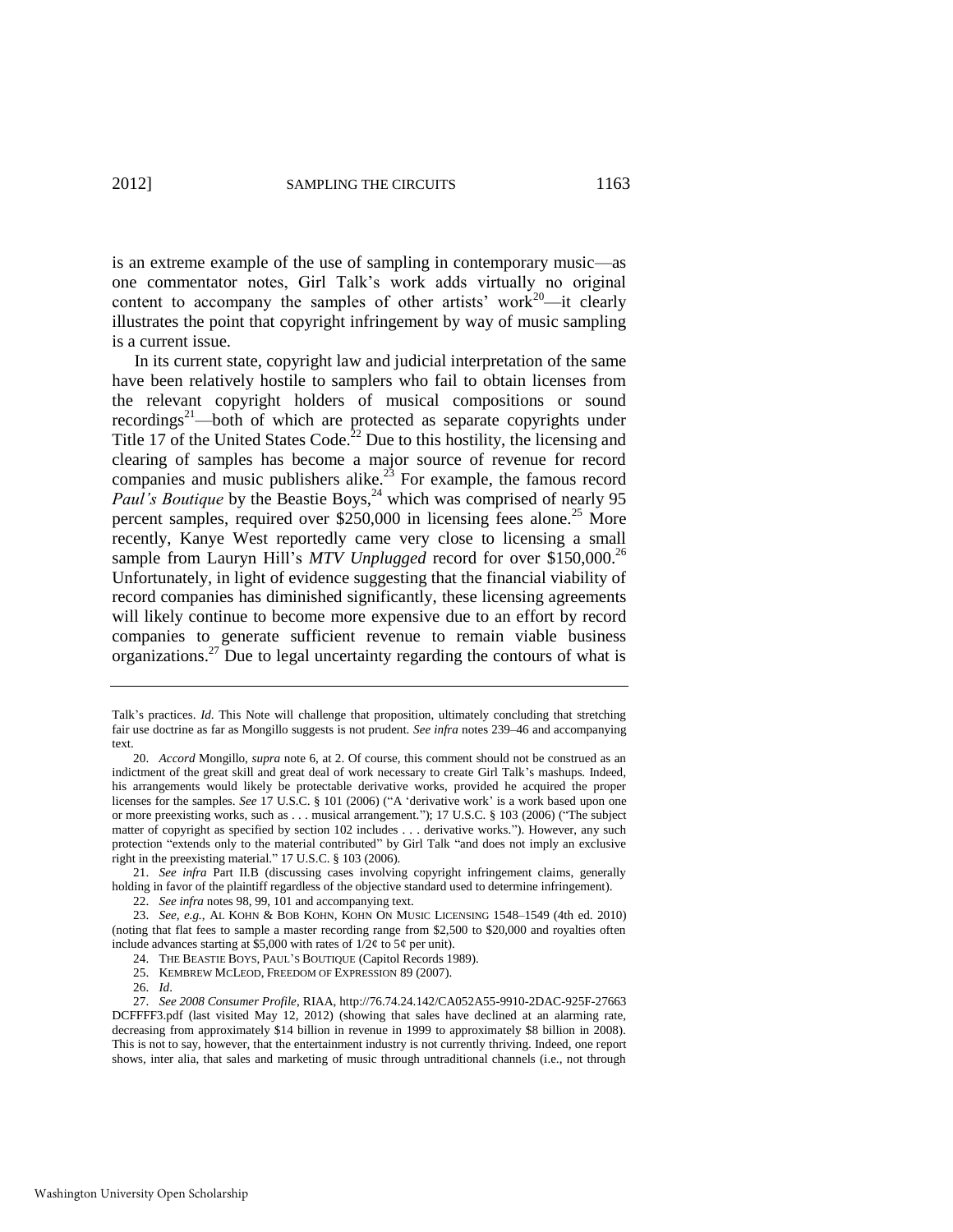<span id="page-3-3"></span><span id="page-3-2"></span><span id="page-3-1"></span>

is an extreme example of the use of sampling in contemporary music—as one commentator notes, Girl Talk's work adds virtually no original content to accompany the samples of other artists' work<sup>20</sup>—it clearly illustrates the point that copyright infringement by way of music sampling is a current issue.

<span id="page-3-0"></span>In its current state, copyright law and judicial interpretation of the same have been relatively hostile to samplers who fail to obtain licenses from the relevant copyright holders of musical compositions or sound recordings<sup>21</sup>—both of which are protected as separate copyrights under Title 17 of the United States Code.<sup>22</sup> Due to this hostility, the licensing and clearing of samples has become a major source of revenue for record companies and music publishers alike.<sup>23</sup> For example, the famous record *Paul's Boutique* by the Beastie Boys,<sup>24</sup> which was comprised of nearly 95 percent samples, required over \$250,000 in licensing fees alone.<sup>25</sup> More recently, Kanye West reportedly came very close to licensing a small sample from Lauryn Hill's *MTV Unplugged* record for over \$150,000.<sup>26</sup> Unfortunately, in light of evidence suggesting that the financial viability of record companies has diminished significantly, these licensing agreements will likely continue to become more expensive due to an effort by record companies to generate sufficient revenue to remain viable business organizations.<sup>27</sup> Due to legal uncertainty regarding the contours of what is

- 24. THE BEASTIE BOYS, PAUL'S BOUTIQUE (Capitol Records 1989).
- 25. KEMBREW MCLEOD, FREEDOM OF EXPRESSION 89 (2007).
- 26. *Id*.

Talk's practices. *Id*. This Note will challenge that proposition, ultimately concluding that stretching fair use doctrine as far as Mongillo suggests is not prudent. *See infra* notes [239–](#page-32-0)46 and accompanying text.

<sup>20.</sup> *Accord* Mongillo, *supra* note [6,](#page-2-0) at 2. Of course, this comment should not be construed as an indictment of the great skill and great deal of work necessary to create Girl Talk's mashups. Indeed, his arrangements would likely be protectable derivative works, provided he acquired the proper licenses for the samples. *See* 17 U.S.C. § 101 (2006) ("A 'derivative work' is a work based upon one or more preexisting works, such as . . . musical arrangement."); 17 U.S.C. § 103 (2006) ("The subject matter of copyright as specified by section 102 includes . . . derivative works."). However, any such protection "extends only to the material contributed" by Girl Talk "and does not imply an exclusive right in the preexisting material."  $17 \text{ U.S.C. }$  §  $103 \text{ (2006)}$ .

<sup>21.</sup> *See infra* Part II.B (discussing cases involving copyright infringement claims, generally holding in favor of the plaintiff regardless of the objective standard used to determine infringement).

<sup>22.</sup> *See infra* notes [98,](#page-14-1) [99,](#page-14-2) [101 a](#page-14-3)nd accompanying text.

<sup>23.</sup> *See, e.g.*, AL KOHN & BOB KOHN, KOHN ON MUSIC LICENSING 1548–1549 (4th ed. 2010) (noting that flat fees to sample a master recording range from \$2,500 to \$20,000 and royalties often include advances starting at \$5,000 with rates of  $1/2\ell$  to 5 $\ell$  per unit).

<sup>27.</sup> *See 2008 Consumer Profile*, RIAA, http://76.74.24.142/CA052A55-9910-2DAC-925F-27663 DCFFFF3.pdf (last visited May 12, 2012) (showing that sales have declined at an alarming rate, decreasing from approximately \$14 billion in revenue in 1999 to approximately \$8 billion in 2008). This is not to say, however, that the entertainment industry is not currently thriving. Indeed, one report shows, inter alia, that sales and marketing of music through untraditional channels (i.e., not through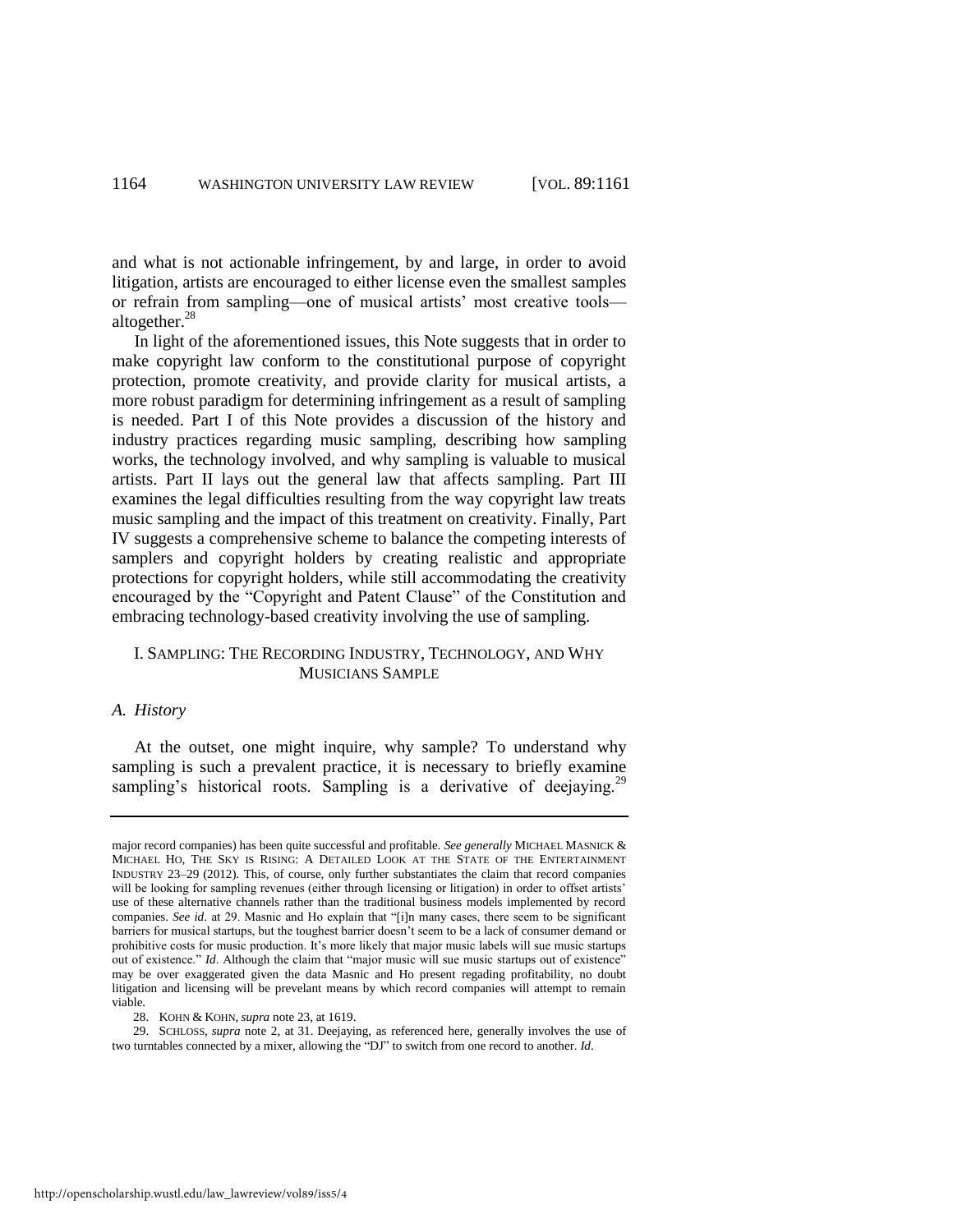and what is not actionable infringement, by and large, in order to avoid litigation, artists are encouraged to either license even the smallest samples or refrain from sampling—one of musical artists' most creative tools altogether.<sup>28</sup>

In light of the aforementioned issues, this Note suggests that in order to make copyright law conform to the constitutional purpose of copyright protection, promote creativity, and provide clarity for musical artists, a more robust paradigm for determining infringement as a result of sampling is needed. Part I of this Note provides a discussion of the history and industry practices regarding music sampling, describing how sampling works, the technology involved, and why sampling is valuable to musical artists. Part II lays out the general law that affects sampling. Part III examines the legal difficulties resulting from the way copyright law treats music sampling and the impact of this treatment on creativity. Finally, Part IV suggests a comprehensive scheme to balance the competing interests of samplers and copyright holders by creating realistic and appropriate protections for copyright holders, while still accommodating the creativity encouraged by the "Copyright and Patent Clause" of the Constitution and embracing technology-based creativity involving the use of sampling.

# I. SAMPLING: THE RECORDING INDUSTRY, TECHNOLOGY, AND WHY MUSICIANS SAMPLE

#### *A. History*

At the outset, one might inquire, why sample? To understand why sampling is such a prevalent practice, it is necessary to briefly examine sampling's historical roots. Sampling is a derivative of deejaying.<sup>29</sup>

major record companies) has been quite successful and profitable. *See generally* MICHAEL MASNICK & MICHAEL HO, THE SKY IS RISING: A DETAILED LOOK AT THE STATE OF THE ENTERTAINMENT INDUSTRY 23–29 (2012). This, of course, only further substantiates the claim that record companies will be looking for sampling revenues (either through licensing or litigation) in order to offset artists' use of these alternative channels rather than the traditional business models implemented by record companies. *See id.* at 29. Masnic and Ho explain that "[i]n many cases, there seem to be significant barriers for musical startups, but the toughest barrier doesn't seem to be a lack of consumer demand or prohibitive costs for music production. It's more likely that major music labels will sue music startups out of existence." *Id.* Although the claim that "major music will sue music startups out of existence" may be over exaggerated given the data Masnic and Ho present regading profitability, no doubt litigation and licensing will be prevelant means by which record companies will attempt to remain viable.

<sup>28.</sup> KOHN & KOHN, *supra* not[e 23,](#page-3-0) at 1619.

<sup>29.</sup> SCHLOSS, *supra* note [2,](#page-1-0) at 31. Deejaying, as referenced here, generally involves the use of two turntables connected by a mixer, allowing the "DJ" to switch from one record to another. *Id*.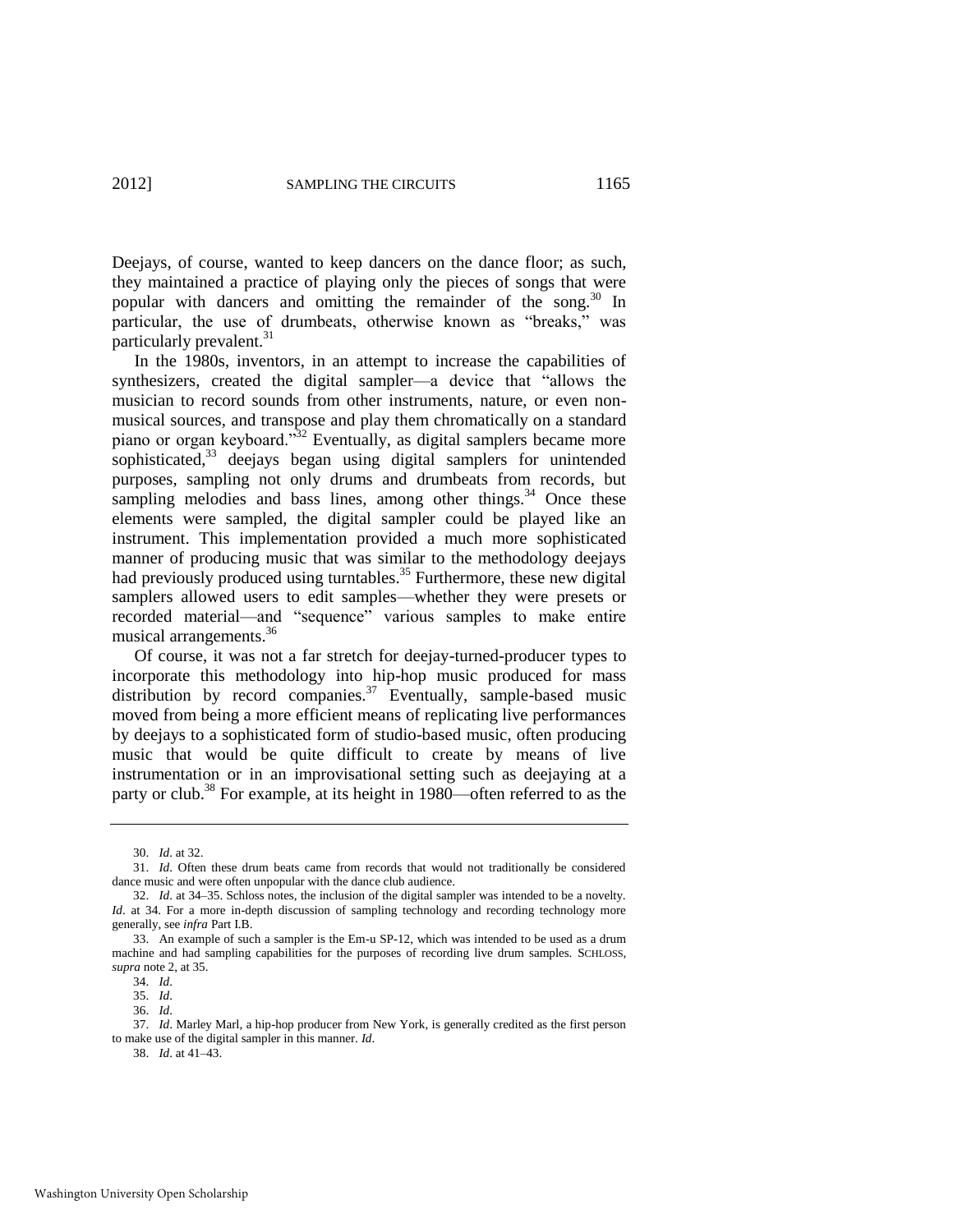Deejays, of course, wanted to keep dancers on the dance floor; as such, they maintained a practice of playing only the pieces of songs that were popular with dancers and omitting the remainder of the song.<sup>30</sup> In particular, the use of drumbeats, otherwise known as "breaks," was particularly prevalent.<sup>31</sup>

In the 1980s, inventors, in an attempt to increase the capabilities of synthesizers, created the digital sampler—a device that "allows the musician to record sounds from other instruments, nature, or even nonmusical sources, and transpose and play them chromatically on a standard piano or organ keyboard.<sup>332</sup> Eventually, as digital samplers became more sophisticated,<sup>33</sup> deejays began using digital samplers for unintended purposes, sampling not only drums and drumbeats from records, but sampling melodies and bass lines, among other things.<sup>34</sup> Once these elements were sampled, the digital sampler could be played like an instrument. This implementation provided a much more sophisticated manner of producing music that was similar to the methodology deejays had previously produced using turntables.<sup>35</sup> Furthermore, these new digital samplers allowed users to edit samples—whether they were presets or recorded material—and "sequence" various samples to make entire musical arrangements.<sup>36</sup>

Of course, it was not a far stretch for deejay-turned-producer types to incorporate this methodology into hip-hop music produced for mass distribution by record companies.<sup>37</sup> Eventually, sample-based music moved from being a more efficient means of replicating live performances by deejays to a sophisticated form of studio-based music, often producing music that would be quite difficult to create by means of live instrumentation or in an improvisational setting such as deejaying at a party or club.<sup>38</sup> For example, at its height in 1980—often referred to as the

<sup>30.</sup> *Id*. at 32.

<sup>31.</sup> *Id*. Often these drum beats came from records that would not traditionally be considered dance music and were often unpopular with the dance club audience.

<sup>32.</sup> *Id*. at 34–35. Schloss notes, the inclusion of the digital sampler was intended to be a novelty. *Id.* at 34. For a more in-depth discussion of sampling technology and recording technology more generally, see *infra* Part I.B.

<sup>33.</sup> An example of such a sampler is the Em-u SP-12, which was intended to be used as a drum machine and had sampling capabilities for the purposes of recording live drum samples. SCHLOSS, *supra* not[e 2,](#page-1-0) at 35.

<sup>34.</sup> *Id*.

<sup>35.</sup> *Id*.

<sup>36.</sup> *Id*.

<sup>37.</sup> *Id*. Marley Marl, a hip-hop producer from New York, is generally credited as the first person to make use of the digital sampler in this manner. *Id*.

<sup>38.</sup> *Id*. at 41–43.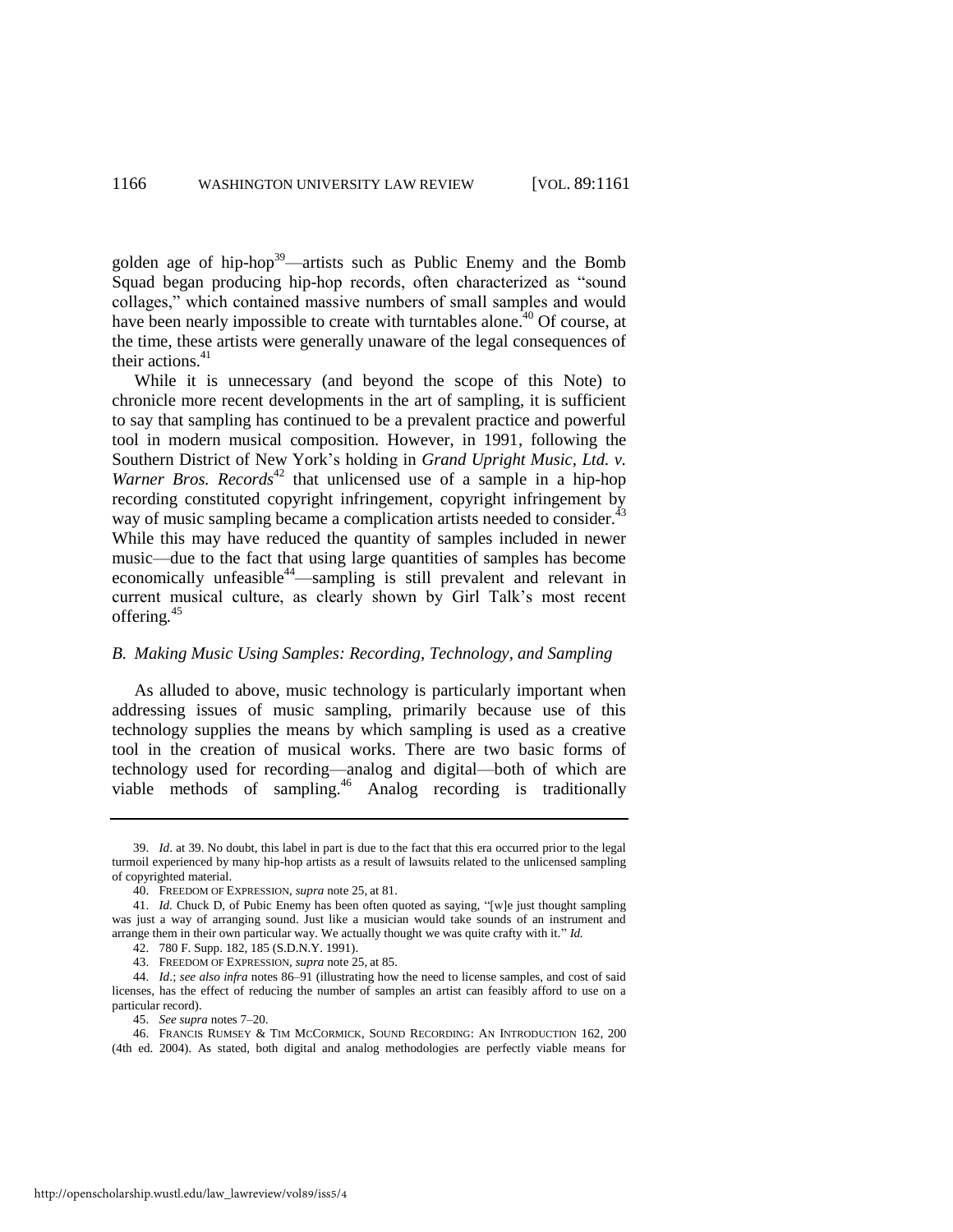golden age of hip-hop<sup>39</sup>—artists such as Public Enemy and the Bomb Squad began producing hip-hop records, often characterized as "sound collages," which contained massive numbers of small samples and would have been nearly impossible to create with turntables alone.<sup>40</sup> Of course, at the time, these artists were generally unaware of the legal consequences of their actions. $41$ 

While it is unnecessary (and beyond the scope of this Note) to chronicle more recent developments in the art of sampling, it is sufficient to say that sampling has continued to be a prevalent practice and powerful tool in modern musical composition. However, in 1991, following the Southern District of New York's holding in *Grand Upright Music, Ltd. v. Warner Bros. Records*<sup>42</sup> that unlicensed use of a sample in a hip-hop recording constituted copyright infringement, copyright infringement by way of music sampling became a complication artists needed to consider.<sup>43</sup> While this may have reduced the quantity of samples included in newer music—due to the fact that using large quantities of samples has become economically unfeasible<sup>44</sup>—sampling is still prevalent and relevant in current musical culture, as clearly shown by Girl Talk's most recent offering*.* 45

#### *B. Making Music Using Samples: Recording, Technology, and Sampling*

As alluded to above, music technology is particularly important when addressing issues of music sampling, primarily because use of this technology supplies the means by which sampling is used as a creative tool in the creation of musical works. There are two basic forms of technology used for recording—analog and digital—both of which are viable methods of sampling.<sup>46</sup> Analog recording is traditionally

<sup>39.</sup> *Id*. at 39. No doubt, this label in part is due to the fact that this era occurred prior to the legal turmoil experienced by many hip-hop artists as a result of lawsuits related to the unlicensed sampling of copyrighted material.

<span id="page-6-0"></span><sup>40.</sup> FREEDOM OF EXPRESSION, *supra* not[e 25,](#page-3-1) at 81.

<sup>41.</sup> *Id.* Chuck D, of Pubic Enemy has been often quoted as saying, "[w]e just thought sampling was just a way of arranging sound. Just like a musician would take sounds of an instrument and arrange them in their own particular way. We actually thought we was quite crafty with it." Id.

<sup>42. 780</sup> F. Supp. 182, 185 (S.D.N.Y. 1991).

<sup>43.</sup> FREEDOM OF EXPRESSION, *supra* not[e 25,](#page-3-1) at 85.

<sup>44.</sup> *Id*.; *see also infra* notes [86–](#page-12-0)[91](#page-13-0) (illustrating how the need to license samples, and cost of said licenses, has the effect of reducing the number of samples an artist can feasibly afford to use on a particular record).

<sup>45.</sup> *See supra* note[s 7](#page-2-1)[–20.](#page-3-2) 

<sup>46.</sup> FRANCIS RUMSEY & TIM MCCORMICK, SOUND RECORDING: AN INTRODUCTION 162, 200 (4th ed. 2004). As stated, both digital and analog methodologies are perfectly viable means for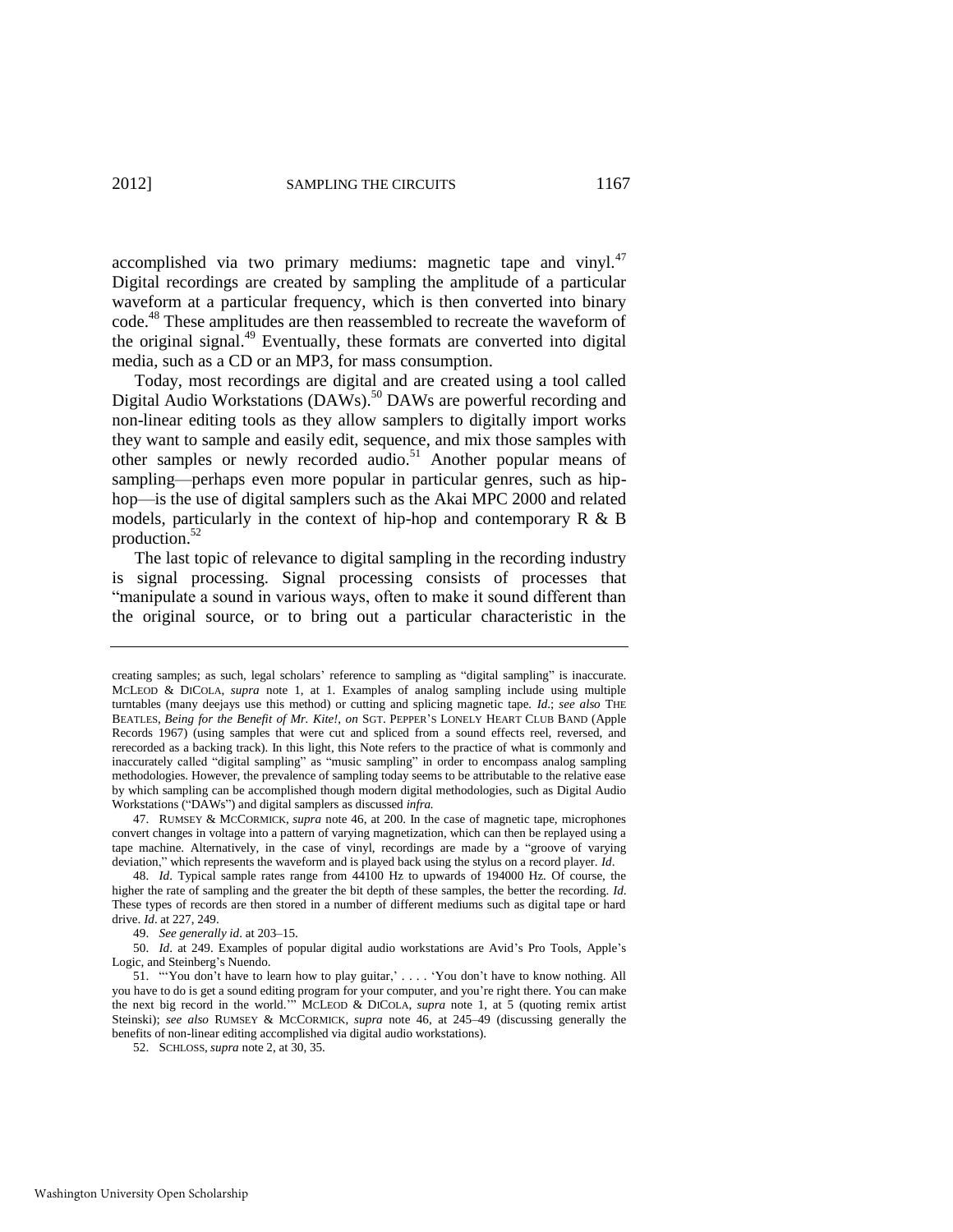accomplished via two primary mediums: magnetic tape and vinyl.<sup>47</sup> Digital recordings are created by sampling the amplitude of a particular waveform at a particular frequency, which is then converted into binary code.<sup>48</sup> These amplitudes are then reassembled to recreate the waveform of the original signal.<sup>49</sup> Eventually, these formats are converted into digital media, such as a CD or an MP3, for mass consumption.

Today, most recordings are digital and are created using a tool called Digital Audio Workstations (DAWs).<sup>50</sup> DAWs are powerful recording and non-linear editing tools as they allow samplers to digitally import works they want to sample and easily edit, sequence, and mix those samples with other samples or newly recorded audio.<sup>51</sup> Another popular means of sampling—perhaps even more popular in particular genres, such as hiphop—is the use of digital samplers such as the Akai MPC 2000 and related models, particularly in the context of hip-hop and contemporary  $R \& B$ production.<sup>52</sup>

The last topic of relevance to digital sampling in the recording industry is signal processing. Signal processing consists of processes that "manipulate a sound in various ways, often to make it sound different than the original source, or to bring out a particular characteristic in the

49. *See generally id*. at 203–15.

50. *Id*. at 249. Examples of popular digital audio workstations are Avid's Pro Tools, Apple's Logic, and Steinberg's Nuendo.

creating samples; as such, legal scholars' reference to sampling as "digital sampling" is inaccurate. MCLEOD & DICOLA, *supra* note [1,](#page-1-1) at 1. Examples of analog sampling include using multiple turntables (many deejays use this method) or cutting and splicing magnetic tape. *Id*.; *see also* THE BEATLES, *Being for the Benefit of Mr. Kite!*, *on* SGT. PEPPER'S LONELY HEART CLUB BAND (Apple Records 1967) (using samples that were cut and spliced from a sound effects reel, reversed, and rerecorded as a backing track). In this light, this Note refers to the practice of what is commonly and inaccurately called "digital sampling" as "music sampling" in order to encompass analog sampling methodologies. However, the prevalence of sampling today seems to be attributable to the relative ease by which sampling can be accomplished though modern digital methodologies, such as Digital Audio Workstations ("DAWs") and digital samplers as discussed *infra*.

<sup>47.</sup> RUMSEY & MCCORMICK, *supra* not[e 46,](#page-6-0) at 200. In the case of magnetic tape, microphones convert changes in voltage into a pattern of varying magnetization, which can then be replayed using a tape machine. Alternatively, in the case of vinyl, recordings are made by a "groove of varying deviation," which represents the waveform and is played back using the stylus on a record player. *Id*.

<sup>48.</sup> *Id*. Typical sample rates range from 44100 Hz to upwards of 194000 Hz. Of course, the higher the rate of sampling and the greater the bit depth of these samples, the better the recording. *Id*. These types of records are then stored in a number of different mediums such as digital tape or hard drive. *Id*. at 227, 249.

<sup>51. &</sup>quot;You don't have to learn how to play guitar,' . . . . 'You don't have to know nothing. All you have to do is get a sound editing program for your computer, and you're right there. You can make the next big record in the world." MCLEOD & DICOLA, *supra* note [1,](#page-1-1) at 5 (quoting remix artist Steinski); *see also* RUMSEY & MCCORMICK, *supra* note [46,](#page-6-0) at 245–49 (discussing generally the benefits of non-linear editing accomplished via digital audio workstations).

<sup>52.</sup> SCHLOSS, *supra* not[e 2,](#page-1-0) at 30, 35.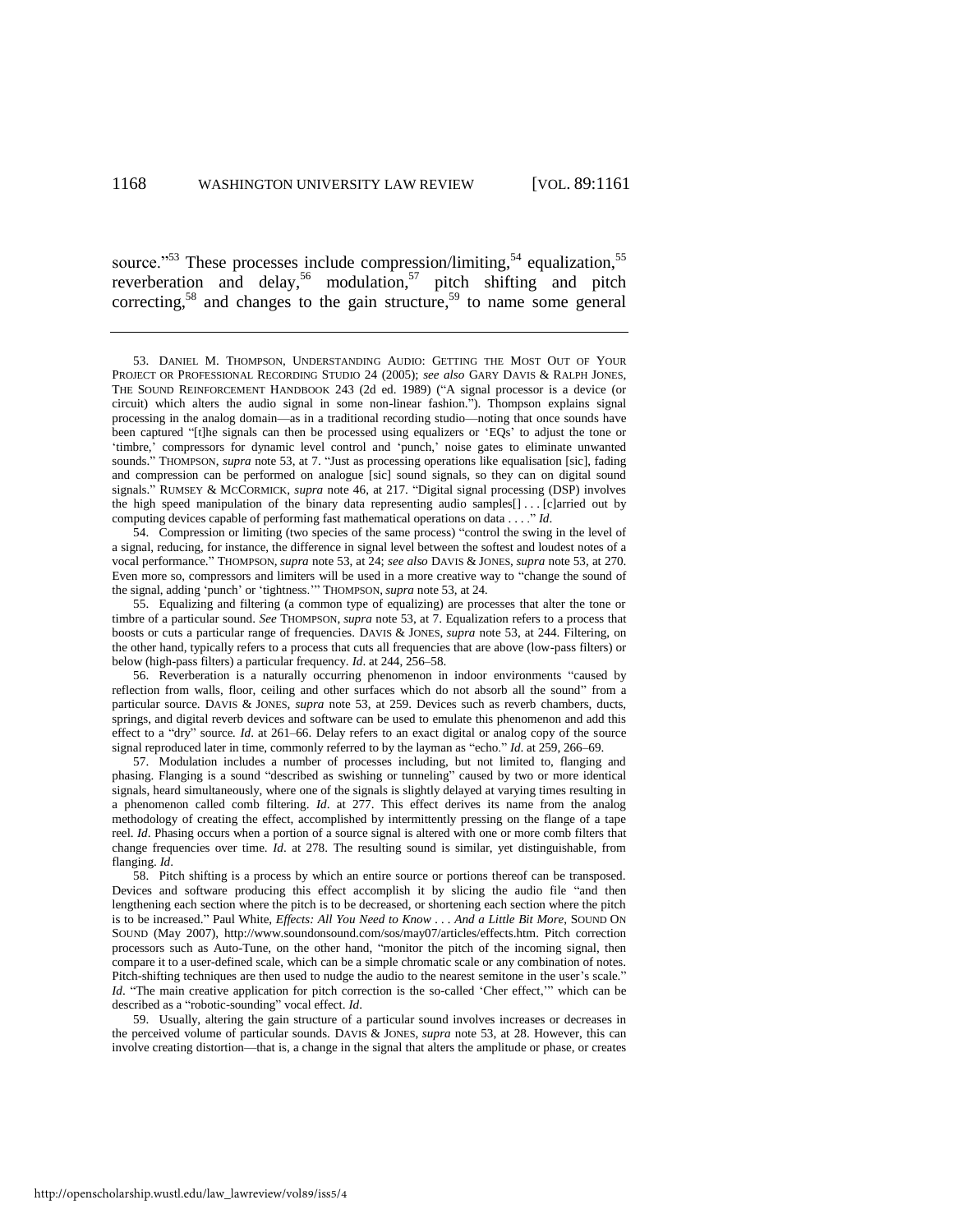<span id="page-8-1"></span><span id="page-8-0"></span>source."<sup>53</sup> These processes include compression/limiting, $54$  equalization,  $55$ reverberation and delay,<sup>56</sup> modulation,<sup>57</sup> pitch shifting and pitch correcting,<sup>58</sup> and changes to the gain structure,<sup>59</sup> to name some general

54. Compression or limiting (two species of the same process) "control the swing in the level of a signal, reducing, for instance, the difference in signal level between the softest and loudest notes of a vocal performance.‖ THOMPSON, *supra* not[e 53,](#page-8-0) at 24; *see also* DAVIS & JONES, *supra* not[e 53,](#page-8-0) at 270. Even more so, compressors and limiters will be used in a more creative way to "change the sound of the signal, adding 'punch' or 'tightness.'" THOMPSON, *supra* not[e 53,](#page-8-0) at 24.

55. Equalizing and filtering (a common type of equalizing) are processes that alter the tone or timbre of a particular sound. *See* THOMPSON, *supra* not[e 53,](#page-8-0) at 7. Equalization refers to a process that boosts or cuts a particular range of frequencies. DAVIS & JONES, *supra* note [53,](#page-8-0) at 244. Filtering, on the other hand, typically refers to a process that cuts all frequencies that are above (low-pass filters) or below (high-pass filters) a particular frequency. *Id*. at 244, 256–58.

56. Reverberation is a naturally occurring phenomenon in indoor environments "caused by reflection from walls, floor, ceiling and other surfaces which do not absorb all the sound" from a particular source. DAVIS & JONES, *supra* note [53,](#page-8-0) at 259. Devices such as reverb chambers, ducts, springs, and digital reverb devices and software can be used to emulate this phenomenon and add this effect to a "dry" source. Id. at 261–66. Delay refers to an exact digital or analog copy of the source signal reproduced later in time, commonly referred to by the layman as "echo." *Id.* at 259, 266–69.

57. Modulation includes a number of processes including, but not limited to, flanging and phasing. Flanging is a sound "described as swishing or tunneling" caused by two or more identical signals, heard simultaneously, where one of the signals is slightly delayed at varying times resulting in a phenomenon called comb filtering. *Id*. at 277. This effect derives its name from the analog methodology of creating the effect, accomplished by intermittently pressing on the flange of a tape reel. *Id*. Phasing occurs when a portion of a source signal is altered with one or more comb filters that change frequencies over time. *Id*. at 278. The resulting sound is similar, yet distinguishable, from flanging. *Id*.

58. Pitch shifting is a process by which an entire source or portions thereof can be transposed. Devices and software producing this effect accomplish it by slicing the audio file "and then lengthening each section where the pitch is to be decreased, or shortening each section where the pitch is to be increased." Paul White, *Effects: All You Need to Know ... And a Little Bit More*, SOUND ON SOUND (May 2007), http://www.soundonsound.com/sos/may07/articles/effects.htm. Pitch correction processors such as Auto-Tune, on the other hand, "monitor the pitch of the incoming signal, then compare it to a user-defined scale, which can be a simple chromatic scale or any combination of notes. Pitch-shifting techniques are then used to nudge the audio to the nearest semitone in the user's scale." *Id.* "The main creative application for pitch correction is the so-called 'Cher effect,'" which can be described as a "robotic-sounding" vocal effect. *Id*.

59. Usually, altering the gain structure of a particular sound involves increases or decreases in the perceived volume of particular sounds. DAVIS & JONES, *supra* note [53,](#page-8-0) at 28. However, this can involve creating distortion—that is, a change in the signal that alters the amplitude or phase, or creates

<sup>53.</sup> DANIEL M. THOMPSON, UNDERSTANDING AUDIO: GETTING THE MOST OUT OF YOUR PROJECT OR PROFESSIONAL RECORDING STUDIO 24 (2005); *see also* GARY DAVIS & RALPH JONES, THE SOUND REINFORCEMENT HANDBOOK 243 (2d ed. 1989) ("A signal processor is a device (or circuit) which alters the audio signal in some non-linear fashion."). Thompson explains signal processing in the analog domain—as in a traditional recording studio—noting that once sounds have been captured "[t]he signals can then be processed using equalizers or 'EQs' to adjust the tone or ‗timbre,' compressors for dynamic level control and ‗punch,' noise gates to eliminate unwanted sounds." THOMPSON, *supra* note [53,](#page-8-0) at 7. "Just as processing operations like equalisation [sic], fading and compression can be performed on analogue [sic] sound signals, so they can on digital sound signals." RUMSEY & MCCORMICK, *supra* note [46,](#page-6-0) at 217. "Digital signal processing (DSP) involves the high speed manipulation of the binary data representing audio samples[] . . . [c]arried out by computing devices capable of performing fast mathematical operations on data . . . ." *Id*.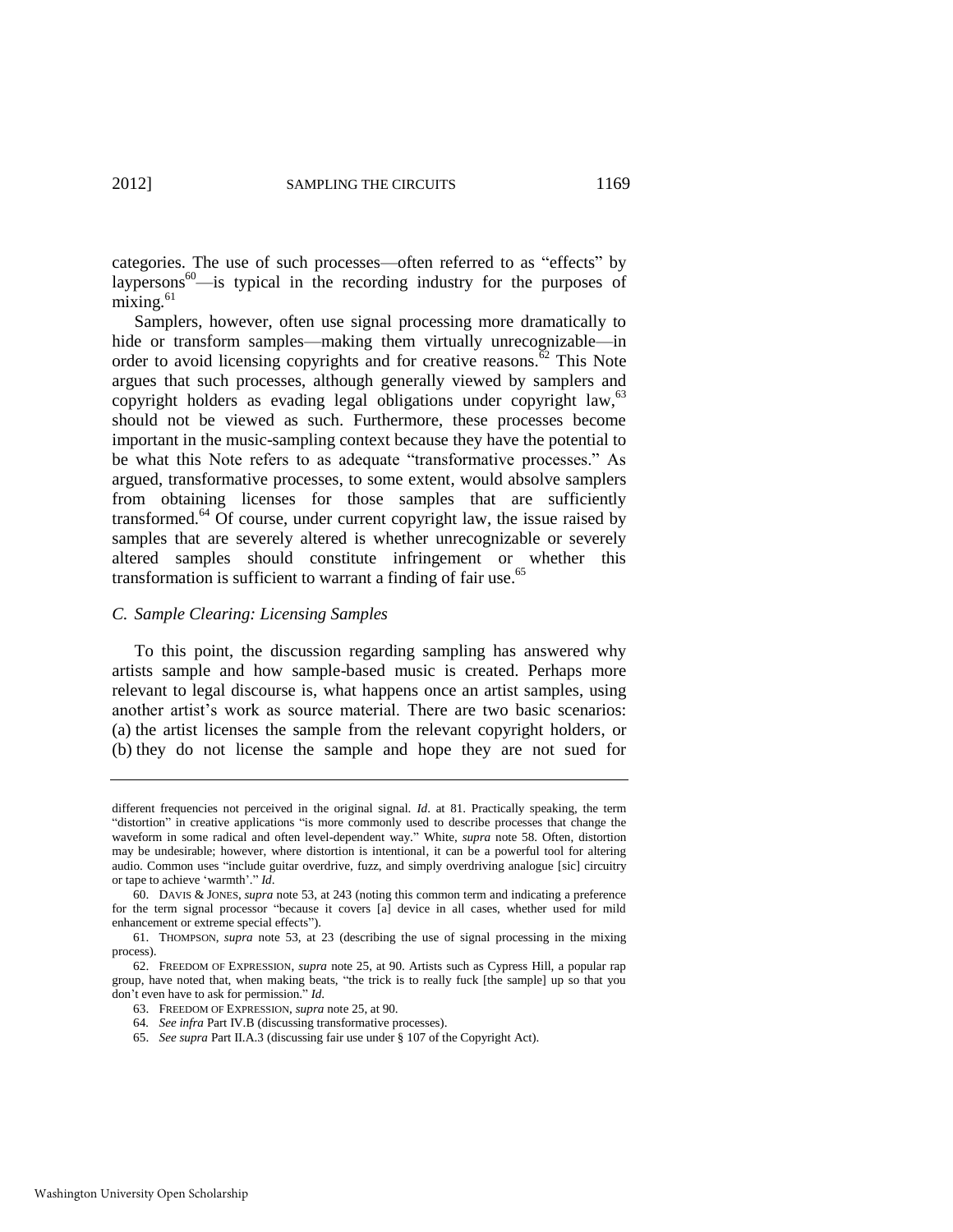categories. The use of such processes—often referred to as "effects" by laypersons<sup>60</sup>—is typical in the recording industry for the purposes of  $mixing.<sup>61</sup>$ 

<span id="page-9-1"></span><span id="page-9-0"></span>Samplers, however, often use signal processing more dramatically to hide or transform samples—making them virtually unrecognizable—in order to avoid licensing copyrights and for creative reasons.<sup> $\bar{6}$ 2</sup> This Note argues that such processes, although generally viewed by samplers and copyright holders as evading legal obligations under copyright law,<sup>63</sup> should not be viewed as such. Furthermore, these processes become important in the music-sampling context because they have the potential to be what this Note refers to as adequate "transformative processes." As argued, transformative processes, to some extent, would absolve samplers from obtaining licenses for those samples that are sufficiently transformed.<sup>64</sup> Of course, under current copyright law, the issue raised by samples that are severely altered is whether unrecognizable or severely altered samples should constitute infringement or whether this transformation is sufficient to warrant a finding of fair use.<sup>65</sup>

#### *C. Sample Clearing: Licensing Samples*

To this point, the discussion regarding sampling has answered why artists sample and how sample-based music is created. Perhaps more relevant to legal discourse is, what happens once an artist samples, using another artist's work as source material. There are two basic scenarios: (a) the artist licenses the sample from the relevant copyright holders, or (b) they do not license the sample and hope they are not sued for

different frequencies not perceived in the original signal. *Id*. at 81. Practically speaking, the term ―distortion‖ in creative applications ―is more commonly used to describe processes that change the waveform in some radical and often level-dependent way.‖ White, *supra* note [58.](#page-8-1) Often, distortion may be undesirable; however, where distortion is intentional, it can be a powerful tool for altering audio. Common uses "include guitar overdrive, fuzz, and simply overdriving analogue [sic] circuitry or tape to achieve 'warmth'." *Id.* 

<sup>60.</sup> DAVIS & JONES, *supra* note [53,](#page-8-0) at 243 (noting this common term and indicating a preference for the term signal processor "because it covers [a] device in all cases, whether used for mild enhancement or extreme special effects").

<sup>61.</sup> THOMPSON, *supra* note [53,](#page-8-0) at 23 (describing the use of signal processing in the mixing process).

<sup>62.</sup> FREEDOM OF EXPRESSION, *supra* note [25,](#page-3-1) at 90. Artists such as Cypress Hill, a popular rap group, have noted that, when making beats, "the trick is to really fuck [the sample] up so that you don't even have to ask for permission." *Id*.

<sup>63.</sup> FREEDOM OF EXPRESSION, *supra* not[e 25,](#page-3-1) at 90.

<sup>64</sup>*. See infra* Part IV.B (discussing transformative processes).

<sup>65.</sup> *See supra* Part II.A.3 (discussing fair use under § 107 of the Copyright Act).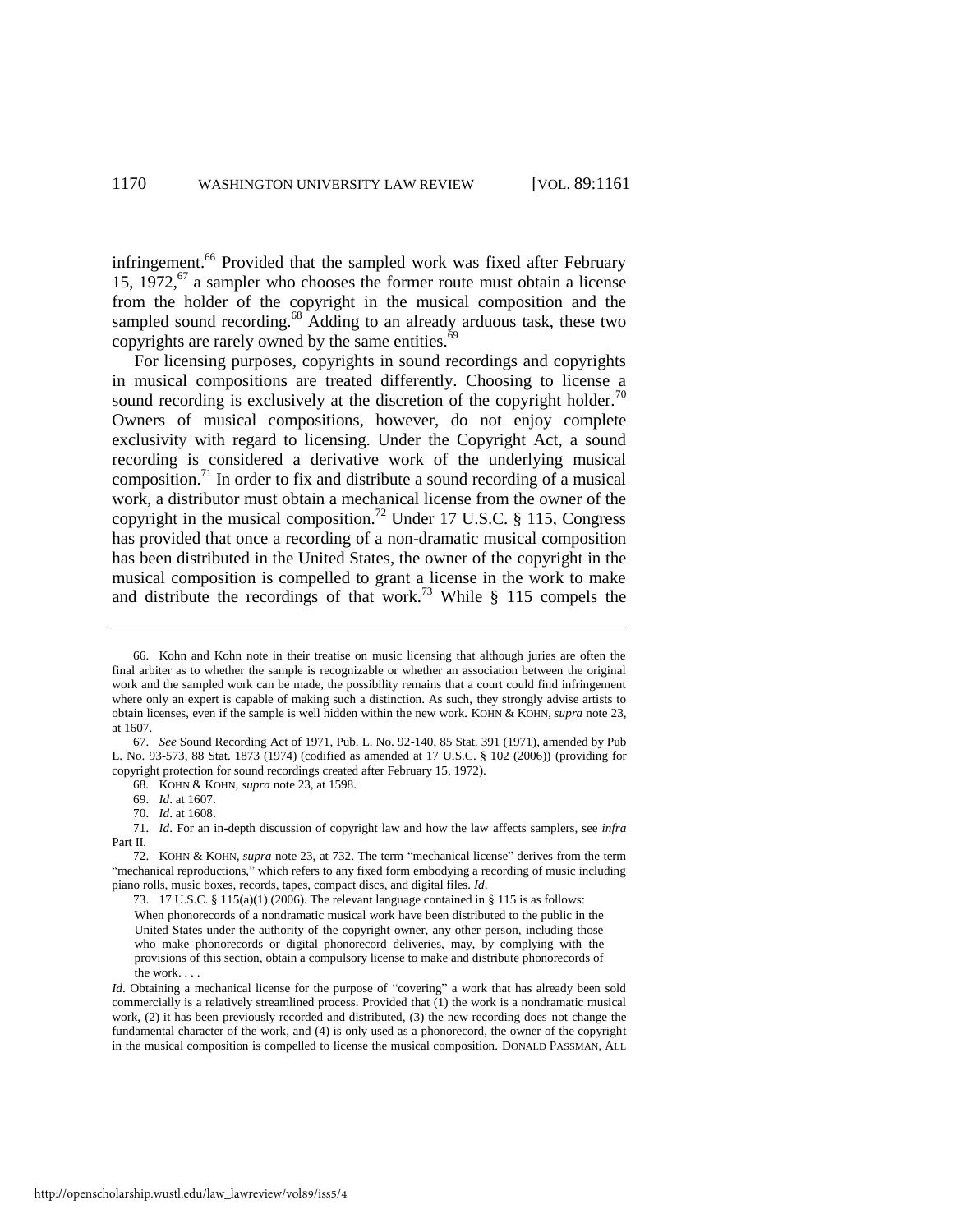infringement.<sup>66</sup> Provided that the sampled work was fixed after February 15, 1972, $^{67}$  a sampler who chooses the former route must obtain a license from the holder of the copyright in the musical composition and the sampled sound recording.<sup>68</sup> Adding to an already arduous task, these two copyrights are rarely owned by the same entities.<sup>69</sup>

<span id="page-10-1"></span>For licensing purposes, copyrights in sound recordings and copyrights in musical compositions are treated differently. Choosing to license a sound recording is exclusively at the discretion of the copyright holder.<sup>70</sup> Owners of musical compositions, however, do not enjoy complete exclusivity with regard to licensing. Under the Copyright Act, a sound recording is considered a derivative work of the underlying musical composition.<sup>71</sup> In order to fix and distribute a sound recording of a musical work, a distributor must obtain a mechanical license from the owner of the copyright in the musical composition.<sup>72</sup> Under 17 U.S.C.  $\S$  115, Congress has provided that once a recording of a non-dramatic musical composition has been distributed in the United States, the owner of the copyright in the musical composition is compelled to grant a license in the work to make and distribute the recordings of that work.<sup>73</sup> While  $\S$  115 compels the

<span id="page-10-0"></span><sup>66.</sup> Kohn and Kohn note in their treatise on music licensing that although juries are often the final arbiter as to whether the sample is recognizable or whether an association between the original work and the sampled work can be made, the possibility remains that a court could find infringement where only an expert is capable of making such a distinction. As such, they strongly advise artists to obtain licenses, even if the sample is well hidden within the new work. KOHN & KOHN, *supra* not[e 23,](#page-3-0)  at 1607.

<sup>67.</sup> *See* Sound Recording Act of 1971, Pub. L. No. 92-140, 85 Stat. 391 (1971), amended by Pub L. No. 93-573, 88 Stat. 1873 (1974) (codified as amended at 17 U.S.C. § 102 (2006)) (providing for copyright protection for sound recordings created after February 15, 1972).

<sup>68</sup>*.* KOHN & KOHN, *supra* not[e 23,](#page-3-0) at 1598.

<sup>69.</sup> *Id*. at 1607.

<sup>70.</sup> *Id*. at 1608.

<sup>71.</sup> *Id*. For an in-depth discussion of copyright law and how the law affects samplers, see *infra* Part II.

<sup>72.</sup> KOHN & KOHN, *supra* note [23,](#page-3-0) at 732. The term "mechanical license" derives from the term "mechanical reproductions," which refers to any fixed form embodying a recording of music including piano rolls, music boxes, records, tapes, compact discs, and digital files. *Id*.

<sup>73. 17</sup> U.S.C. § 115(a)(1) (2006). The relevant language contained in § 115 is as follows:

When phonorecords of a nondramatic musical work have been distributed to the public in the United States under the authority of the copyright owner, any other person, including those who make phonorecords or digital phonorecord deliveries, may, by complying with the provisions of this section, obtain a compulsory license to make and distribute phonorecords of the work. . . .

*Id*. Obtaining a mechanical license for the purpose of "covering" a work that has already been sold commercially is a relatively streamlined process. Provided that (1) the work is a nondramatic musical work, (2) it has been previously recorded and distributed, (3) the new recording does not change the fundamental character of the work, and (4) is only used as a phonorecord, the owner of the copyright in the musical composition is compelled to license the musical composition. DONALD PASSMAN, ALL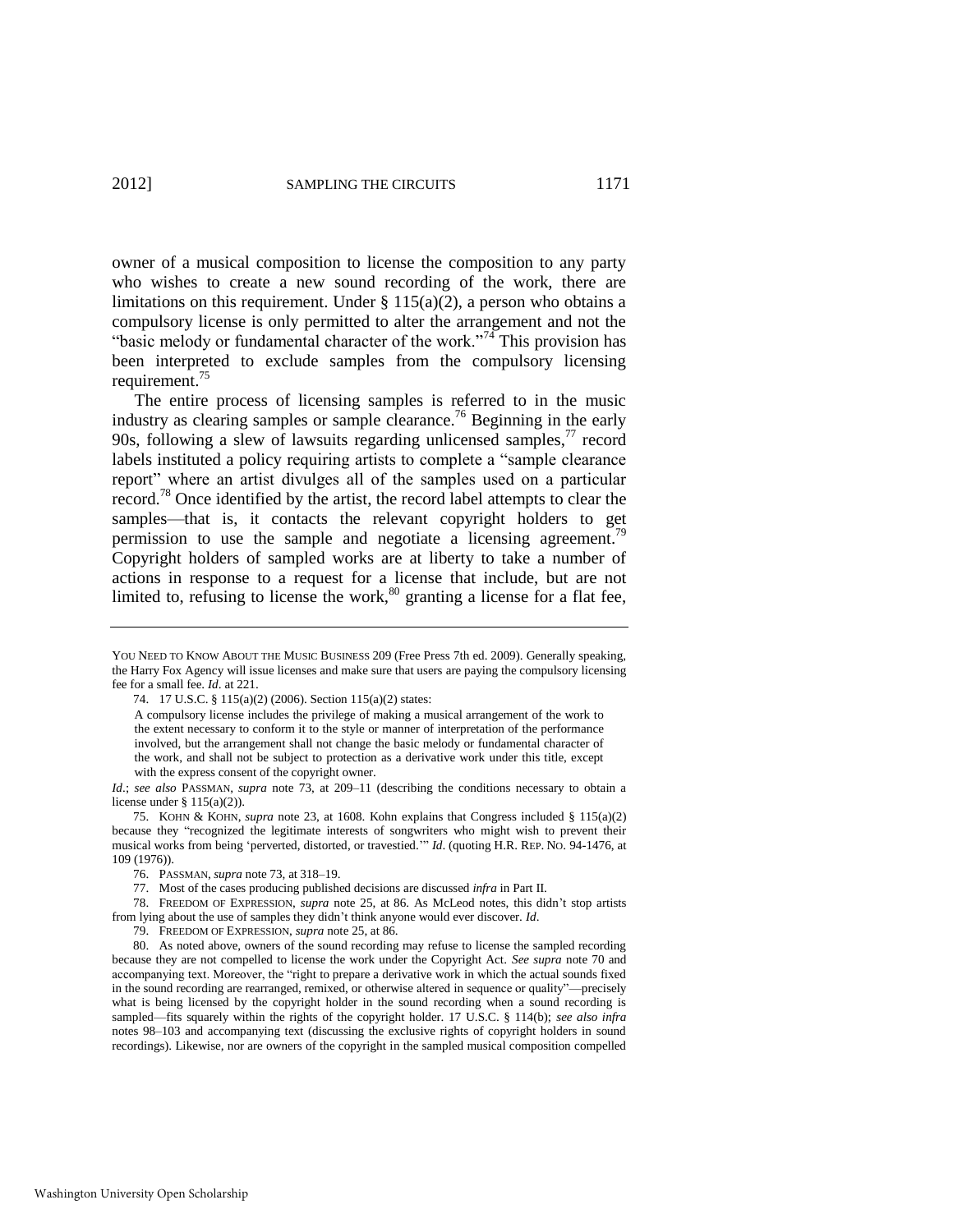owner of a musical composition to license the composition to any party who wishes to create a new sound recording of the work, there are limitations on this requirement. Under  $\S 115(a)(2)$ , a person who obtains a compulsory license is only permitted to alter the arrangement and not the "basic melody or fundamental character of the work."<sup>74</sup> This provision has been interpreted to exclude samples from the compulsory licensing requirement.<sup>75</sup>

<span id="page-11-0"></span>The entire process of licensing samples is referred to in the music industry as clearing samples or sample clearance.<sup>76</sup> Beginning in the early 90s, following a slew of lawsuits regarding unlicensed samples,  $\frac{7}{7}$  record labels instituted a policy requiring artists to complete a "sample clearance" report" where an artist divulges all of the samples used on a particular record.<sup>78</sup> Once identified by the artist, the record label attempts to clear the samples—that is, it contacts the relevant copyright holders to get permission to use the sample and negotiate a licensing agreement.<sup>79</sup> Copyright holders of sampled works are at liberty to take a number of actions in response to a request for a license that include, but are not limited to, refusing to license the work, $80$  granting a license for a flat fee,

YOU NEED TO KNOW ABOUT THE MUSIC BUSINESS 209 (Free Press 7th ed. 2009). Generally speaking, the Harry Fox Agency will issue licenses and make sure that users are paying the compulsory licensing fee for a small fee. *Id*. at 221.

<sup>74. 17</sup> U.S.C. § 115(a)(2) (2006). Section 115(a)(2) states:

A compulsory license includes the privilege of making a musical arrangement of the work to the extent necessary to conform it to the style or manner of interpretation of the performance involved, but the arrangement shall not change the basic melody or fundamental character of the work, and shall not be subject to protection as a derivative work under this title, except with the express consent of the copyright owner.

*Id*.; *see also* PASSMAN, *supra* note [73,](#page-10-0) at 209–11 (describing the conditions necessary to obtain a license under  $§ 115(a)(2)$ .

<sup>75.</sup> KOHN & KOHN, *supra* note [23,](#page-3-0) at 1608. Kohn explains that Congress included § 115(a)(2) because they "recognized the legitimate interests of songwriters who might wish to prevent their musical works from being 'perverted, distorted, or travestied.'" *Id.* (quoting H.R. REP. NO. 94-1476, at 109 (1976)).

<sup>76.</sup> PASSMAN, *supra* not[e 73,](#page-10-0) at 318–19.

<sup>77.</sup> Most of the cases producing published decisions are discussed *infra* in Part II.

<sup>78.</sup> FREEDOM OF EXPRESSION, *supra* note [25,](#page-3-1) at 86. As McLeod notes, this didn't stop artists from lying about the use of samples they didn't think anyone would ever discover. *Id*.

<sup>79.</sup> FREEDOM OF EXPRESSION, *supra* not[e 25,](#page-3-1) at 86.

<sup>80.</sup> As noted above, owners of the sound recording may refuse to license the sampled recording because they are not compelled to license the work under the Copyright Act. *See supra* note [70](#page-10-1) and accompanying text. Moreover, the "right to prepare a derivative work in which the actual sounds fixed in the sound recording are rearranged, remixed, or otherwise altered in sequence or quality"—precisely what is being licensed by the copyright holder in the sound recording when a sound recording is sampled—fits squarely within the rights of the copyright holder. 17 U.S.C. § 114(b); *see also infra*  notes [98–](#page-14-1)[103](#page-15-0) and accompanying text (discussing the exclusive rights of copyright holders in sound recordings). Likewise, nor are owners of the copyright in the sampled musical composition compelled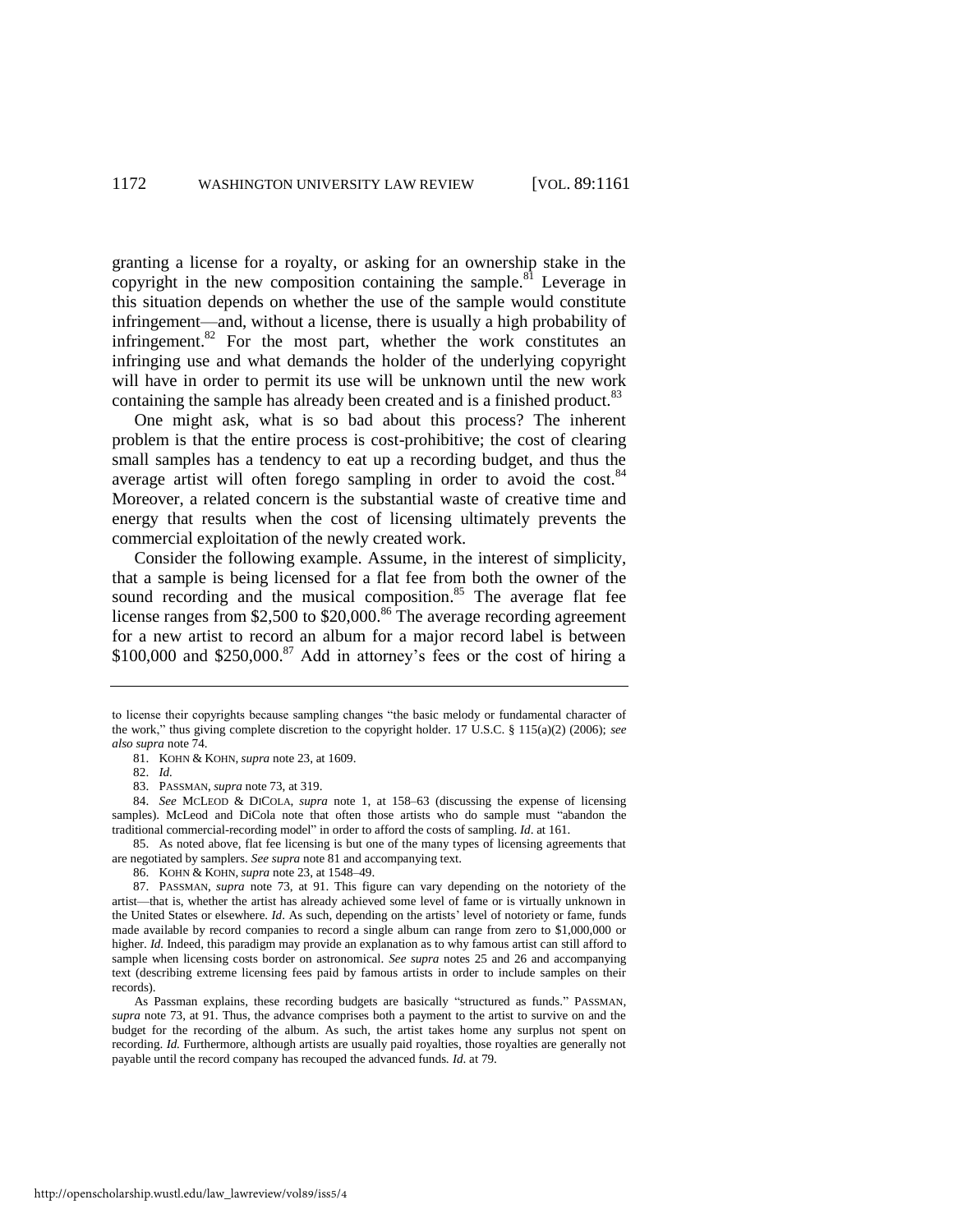<span id="page-12-1"></span>granting a license for a royalty, or asking for an ownership stake in the copyright in the new composition containing the sample. $81$  Leverage in this situation depends on whether the use of the sample would constitute infringement—and, without a license, there is usually a high probability of infringement. $82$  For the most part, whether the work constitutes an infringing use and what demands the holder of the underlying copyright will have in order to permit its use will be unknown until the new work containing the sample has already been created and is a finished product.<sup>83</sup>

One might ask, what is so bad about this process? The inherent problem is that the entire process is cost-prohibitive; the cost of clearing small samples has a tendency to eat up a recording budget, and thus the average artist will often forego sampling in order to avoid the cost.<sup>84</sup> Moreover, a related concern is the substantial waste of creative time and energy that results when the cost of licensing ultimately prevents the commercial exploitation of the newly created work.

<span id="page-12-0"></span>Consider the following example. Assume, in the interest of simplicity, that a sample is being licensed for a flat fee from both the owner of the sound recording and the musical composition.<sup>85</sup> The average flat fee license ranges from \$2,500 to \$20,000.<sup>86</sup> The average recording agreement for a new artist to record an album for a major record label is between  $$100,000$  and  $$250,000$ .<sup>87</sup> Add in attorney's fees or the cost of hiring a

84. *See* MCLEOD & DICOLA, *supra* note [1,](#page-1-1) at 158–63 (discussing the expense of licensing samples). McLeod and DiCola note that often those artists who do sample must "abandon the traditional commercial-recording model" in order to afford the costs of sampling. *Id.* at 161.

85. As noted above, flat fee licensing is but one of the many types of licensing agreements that are negotiated by samplers. *See supra* not[e 81 a](#page-12-1)nd accompanying text.

86. KOHN & KOHN, *supra* not[e 23,](#page-3-0) at 1548–49.

87. PASSMAN, *supra* note [73,](#page-10-0) at 91. This figure can vary depending on the notoriety of the artist—that is, whether the artist has already achieved some level of fame or is virtually unknown in the United States or elsewhere. *Id*. As such, depending on the artists' level of notoriety or fame, funds made available by record companies to record a single album can range from zero to \$1,000,000 or higher. *Id.* Indeed, this paradigm may provide an explanation as to why famous artist can still afford to sample when licensing costs border on astronomical. *See supra* notes [25](#page-3-1) and [26](#page-3-3) and accompanying text (describing extreme licensing fees paid by famous artists in order to include samples on their records).

As Passman explains, these recording budgets are basically "structured as funds." PASSMAN, *supra* note [73,](#page-10-0) at 91. Thus, the advance comprises both a payment to the artist to survive on and the budget for the recording of the album. As such, the artist takes home any surplus not spent on recording. *Id.* Furthermore, although artists are usually paid royalties, those royalties are generally not payable until the record company has recouped the advanced funds. *Id*. at 79.

to license their copyrights because sampling changes "the basic melody or fundamental character of the work," thus giving complete discretion to the copyright holder. 17 U.S.C.  $\S$  115(a)(2) (2006); *see also supra* not[e 74.](#page-11-0) 

<sup>81.</sup> KOHN & KOHN, *supra* not[e 23,](#page-3-0) at 1609.

<sup>82.</sup> *Id.*

<sup>83.</sup> PASSMAN, *supra* not[e 73,](#page-10-0) at 319.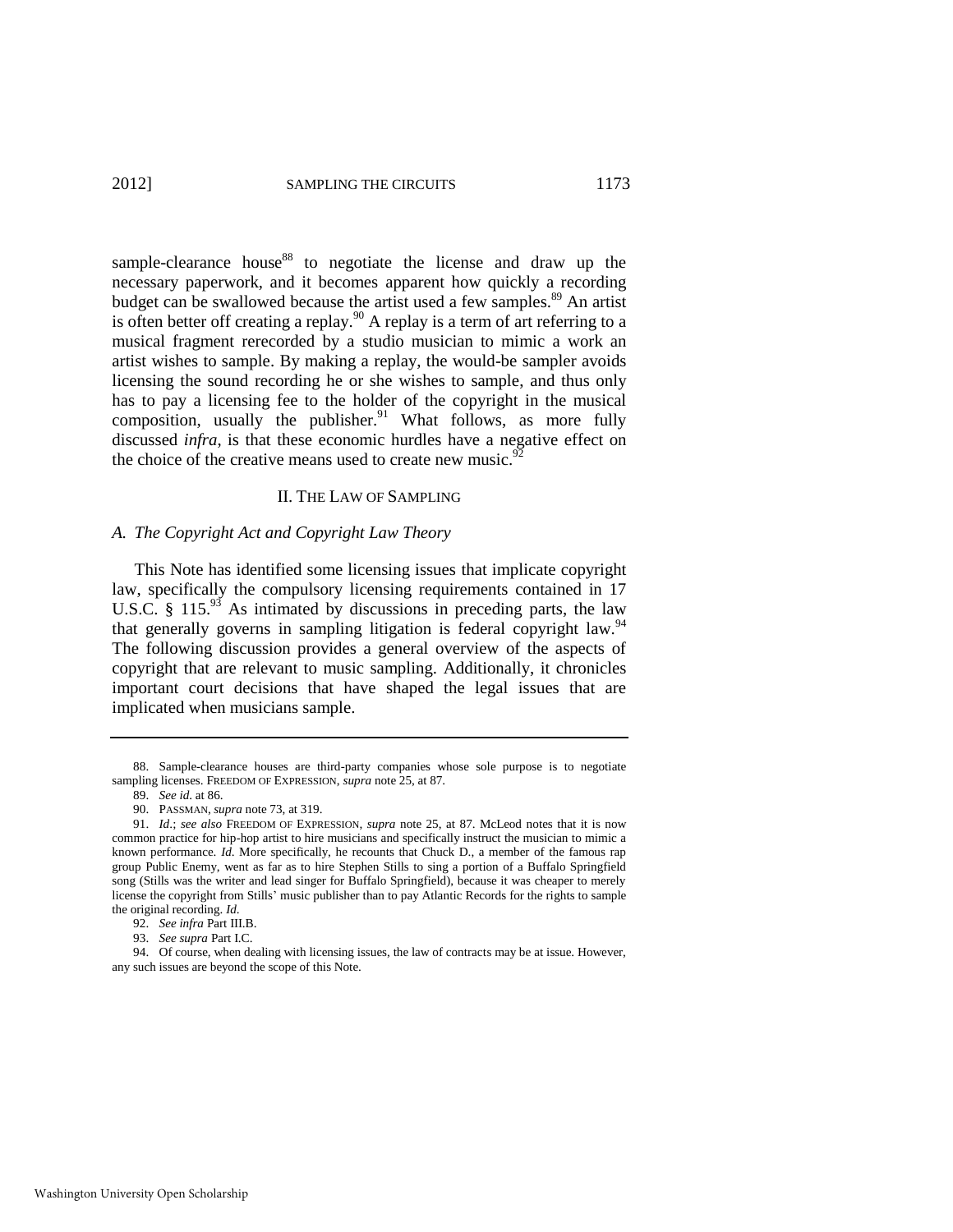sample-clearance house<sup>88</sup> to negotiate the license and draw up the necessary paperwork, and it becomes apparent how quickly a recording budget can be swallowed because the artist used a few samples.<sup>89</sup> An artist is often better off creating a replay.<sup>90</sup> A replay is a term of art referring to a musical fragment rerecorded by a studio musician to mimic a work an artist wishes to sample. By making a replay, the would-be sampler avoids licensing the sound recording he or she wishes to sample, and thus only has to pay a licensing fee to the holder of the copyright in the musical composition, usually the publisher.<sup>91</sup> What follows, as more fully discussed *infra*, is that these economic hurdles have a negative effect on the choice of the creative means used to create new music.<sup>9</sup>

#### <span id="page-13-1"></span><span id="page-13-0"></span>II. THE LAW OF SAMPLING

#### *A. The Copyright Act and Copyright Law Theory*

This Note has identified some licensing issues that implicate copyright law, specifically the compulsory licensing requirements contained in 17 U.S.C. § 115. $9^3$  As intimated by discussions in preceding parts, the law that generally governs in sampling litigation is federal copyright law.<sup>94</sup> The following discussion provides a general overview of the aspects of copyright that are relevant to music sampling. Additionally, it chronicles important court decisions that have shaped the legal issues that are implicated when musicians sample.

<sup>88.</sup> Sample-clearance houses are third-party companies whose sole purpose is to negotiate sampling licenses. FREEDOM OF EXPRESSION, *supra* not[e 25,](#page-3-1) at 87.

<sup>89.</sup> *See id*. at 86.

<sup>90.</sup> PASSMAN, *supra* not[e 73,](#page-10-0) at 319.

<sup>91.</sup> *Id*.; *see also* FREEDOM OF EXPRESSION, *supra* note [25,](#page-3-1) at 87. McLeod notes that it is now common practice for hip-hop artist to hire musicians and specifically instruct the musician to mimic a known performance. *Id*. More specifically, he recounts that Chuck D., a member of the famous rap group Public Enemy, went as far as to hire Stephen Stills to sing a portion of a Buffalo Springfield song (Stills was the writer and lead singer for Buffalo Springfield), because it was cheaper to merely license the copyright from Stills' music publisher than to pay Atlantic Records for the rights to sample the original recording. *Id*.

<sup>92.</sup> *See infra* Part III.B.

<sup>93.</sup> *See supra* Part I.C.

<sup>94.</sup> Of course, when dealing with licensing issues, the law of contracts may be at issue. However, any such issues are beyond the scope of this Note.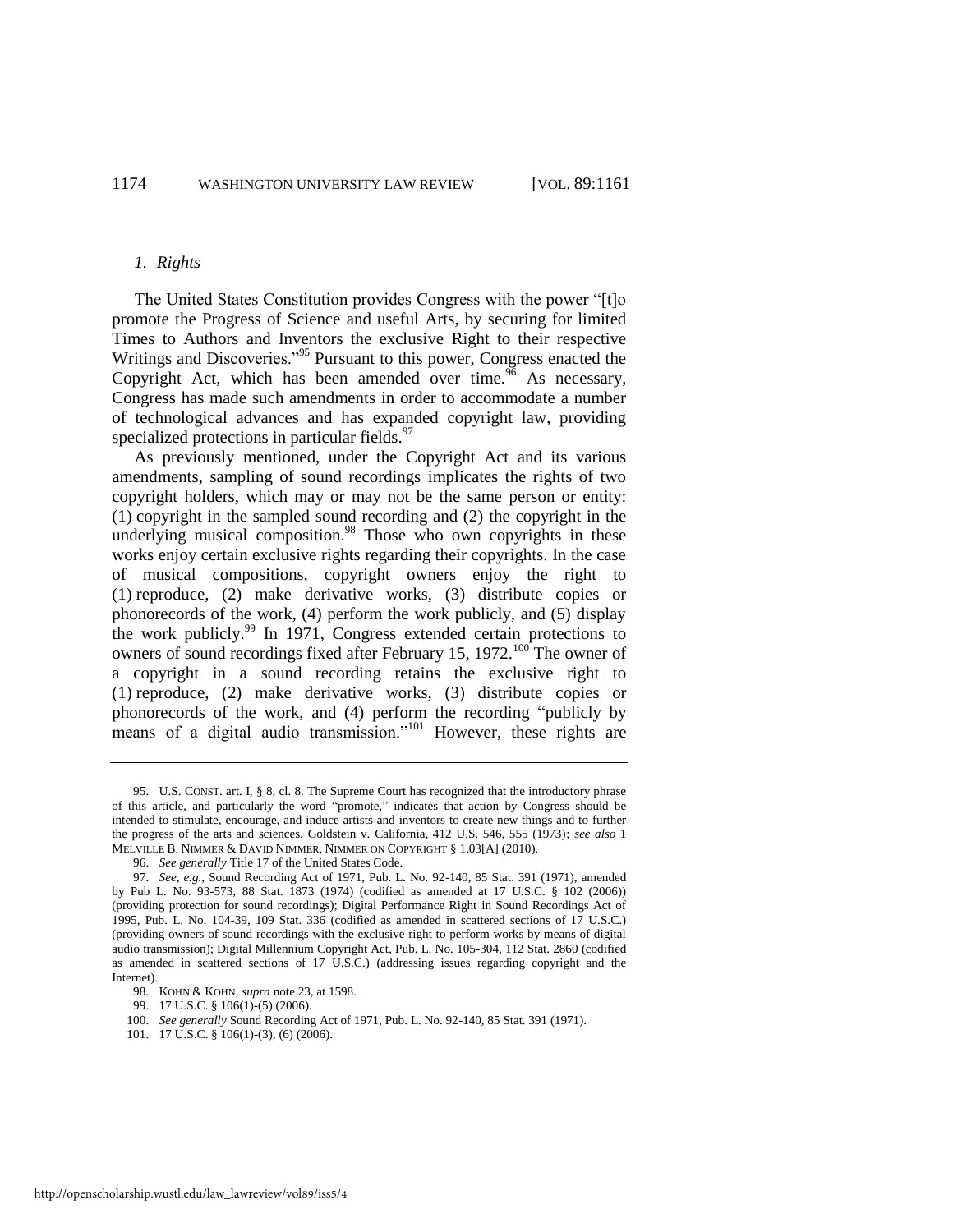#### <span id="page-14-4"></span>*1. Rights*

The United States Constitution provides Congress with the power "[t]o] promote the Progress of Science and useful Arts, by securing for limited Times to Authors and Inventors the exclusive Right to their respective Writings and Discoveries."<sup>95</sup> Pursuant to this power, Congress enacted the Copyright Act, which has been amended over time.<sup>96</sup> As necessary, Congress has made such amendments in order to accommodate a number of technological advances and has expanded copyright law, providing specialized protections in particular fields.<sup>97</sup>

<span id="page-14-5"></span><span id="page-14-1"></span>As previously mentioned, under the Copyright Act and its various amendments, sampling of sound recordings implicates the rights of two copyright holders, which may or may not be the same person or entity: (1) copyright in the sampled sound recording and (2) the copyright in the underlying musical composition.<sup>98</sup> Those who own copyrights in these works enjoy certain exclusive rights regarding their copyrights. In the case of musical compositions, copyright owners enjoy the right to (1) reproduce, (2) make derivative works, (3) distribute copies or phonorecords of the work, (4) perform the work publicly, and (5) display the work publicly.<sup>99</sup> In 1971, Congress extended certain protections to owners of sound recordings fixed after February 15, 1972.<sup>100</sup> The owner of a copyright in a sound recording retains the exclusive right to (1) reproduce, (2) make derivative works, (3) distribute copies or phonorecords of the work, and (4) perform the recording "publicly by means of a digital audio transmission." $101$  However, these rights are

<span id="page-14-3"></span><span id="page-14-2"></span><span id="page-14-0"></span><sup>95.</sup> U.S. CONST. art. I, § 8, cl. 8. The Supreme Court has recognized that the introductory phrase of this article, and particularly the word "promote," indicates that action by Congress should be intended to stimulate, encourage, and induce artists and inventors to create new things and to further the progress of the arts and sciences. Goldstein v. California, 412 U.S. 546, 555 (1973); *see also* 1 MELVILLE B. NIMMER & DAVID NIMMER, NIMMER ON COPYRIGHT § 1.03[A] (2010).

<sup>96.</sup> *See generally* Title 17 of the United States Code.

<sup>97.</sup> *See, e.g.*, Sound Recording Act of 1971, Pub. L. No. 92-140, 85 Stat. 391 (1971), amended by Pub L. No. 93-573, 88 Stat. 1873 (1974) (codified as amended at 17 U.S.C. § 102 (2006)) (providing protection for sound recordings); Digital Performance Right in Sound Recordings Act of 1995, Pub. L. No. 104-39, 109 Stat. 336 (codified as amended in scattered sections of 17 U.S.C.) (providing owners of sound recordings with the exclusive right to perform works by means of digital audio transmission); Digital Millennium Copyright Act, Pub. L. No. 105-304, 112 Stat. 2860 (codified as amended in scattered sections of 17 U.S.C.) (addressing issues regarding copyright and the Internet).

<sup>98.</sup> KOHN & KOHN, *supra* not[e 23,](#page-3-0) at 1598.

<sup>99. 17</sup> U.S.C. § 106(1)-(5) (2006).

<sup>100.</sup> *See generally* Sound Recording Act of 1971, Pub. L. No. 92-140, 85 Stat. 391 (1971).

<sup>101. 17</sup> U.S.C. § 106(1)-(3), (6) (2006).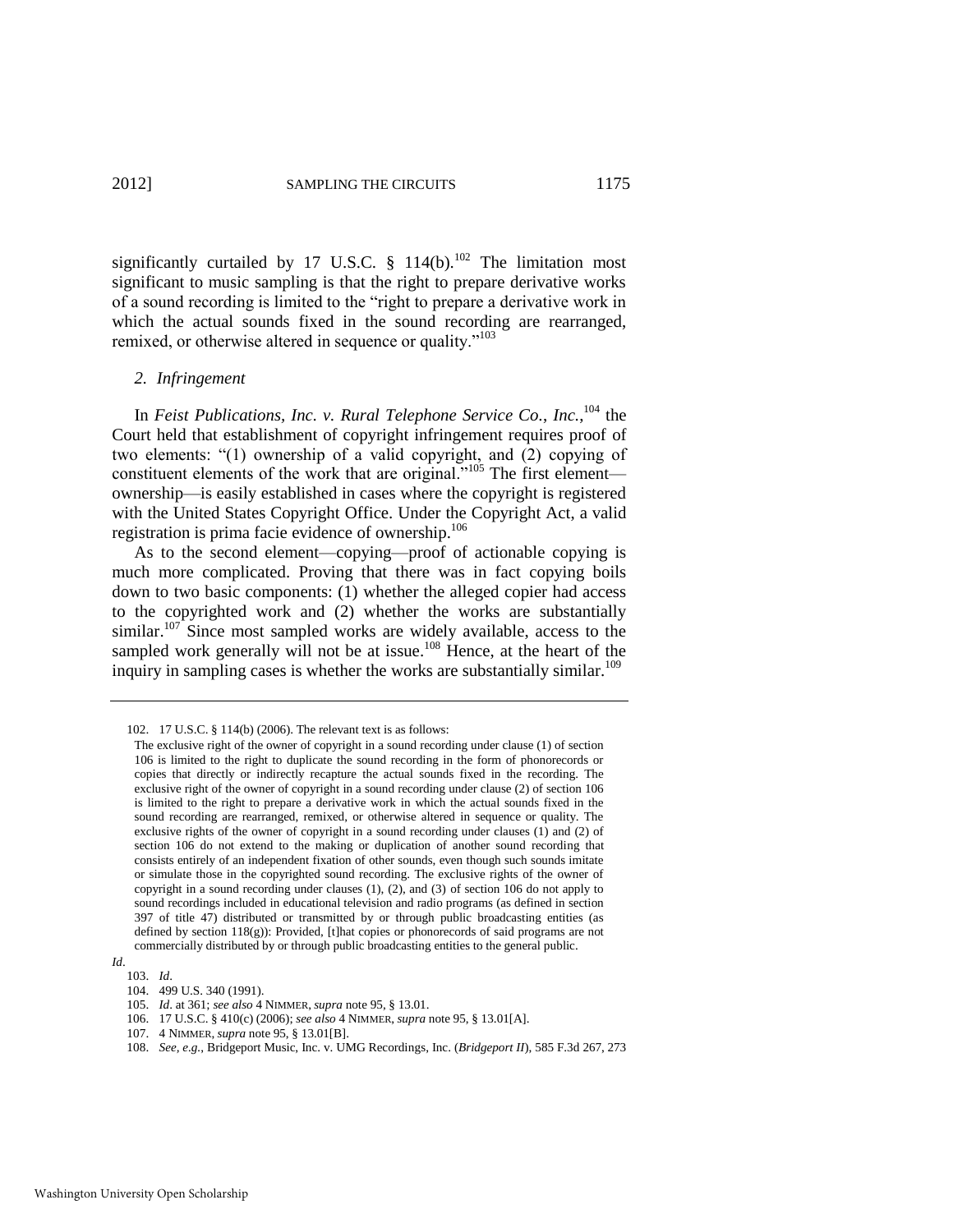significantly curtailed by 17 U.S.C.  $\S$  114(b).<sup>102</sup> The limitation most significant to music sampling is that the right to prepare derivative works of a sound recording is limited to the "right to prepare a derivative work in which the actual sounds fixed in the sound recording are rearranged, remixed, or otherwise altered in sequence or quality."<sup>103</sup>

#### <span id="page-15-1"></span><span id="page-15-0"></span>*2. Infringement*

In *Feist Publications, Inc. v. Rural Telephone Service Co.*, *Inc.*, <sup>104</sup> the Court held that establishment of copyright infringement requires proof of two elements: "(1) ownership of a valid copyright, and (2) copying of constituent elements of the work that are original.<sup>105</sup> The first element ownership—is easily established in cases where the copyright is registered with the United States Copyright Office. Under the Copyright Act, a valid registration is prima facie evidence of ownership.<sup>106</sup>

<span id="page-15-2"></span>As to the second element—copying—proof of actionable copying is much more complicated. Proving that there was in fact copying boils down to two basic components: (1) whether the alleged copier had access to the copyrighted work and (2) whether the works are substantially similar.<sup>107</sup> Since most sampled works are widely available, access to the sampled work generally will not be at issue.<sup>108</sup> Hence, at the heart of the inquiry in sampling cases is whether the works are substantially similar.<sup>109</sup>

107. 4 NIMMER, *supra* not[e 95,](#page-14-4) § 13.01[B].

<sup>102. 17</sup> U.S.C. § 114(b) (2006). The relevant text is as follows:

The exclusive right of the owner of copyright in a sound recording under clause (1) of section 106 is limited to the right to duplicate the sound recording in the form of phonorecords or copies that directly or indirectly recapture the actual sounds fixed in the recording. The exclusive right of the owner of copyright in a sound recording under clause (2) of section 106 is limited to the right to prepare a derivative work in which the actual sounds fixed in the sound recording are rearranged, remixed, or otherwise altered in sequence or quality. The exclusive rights of the owner of copyright in a sound recording under clauses (1) and (2) of section 106 do not extend to the making or duplication of another sound recording that consists entirely of an independent fixation of other sounds, even though such sounds imitate or simulate those in the copyrighted sound recording. The exclusive rights of the owner of copyright in a sound recording under clauses (1), (2), and (3) of section 106 do not apply to sound recordings included in educational television and radio programs (as defined in section 397 of title 47) distributed or transmitted by or through public broadcasting entities (as defined by section 118(g)): Provided, [t]hat copies or phonorecords of said programs are not commercially distributed by or through public broadcasting entities to the general public.

*Id*.

<sup>103.</sup> *Id*. 104. 499 U.S. 340 (1991).

<sup>105.</sup> *Id*. at 361; *see also* 4 NIMMER, *supra* not[e 95,](#page-14-4) § 13.01.

<sup>106. 17</sup> U.S.C. § 410(c) (2006); *see also* 4 NIMMER, *supra* not[e 95,](#page-14-4) § 13.01[A].

<sup>108.</sup> *See, e.g.*, Bridgeport Music, Inc. v. UMG Recordings, Inc. (*Bridgeport II*), 585 F.3d 267, 273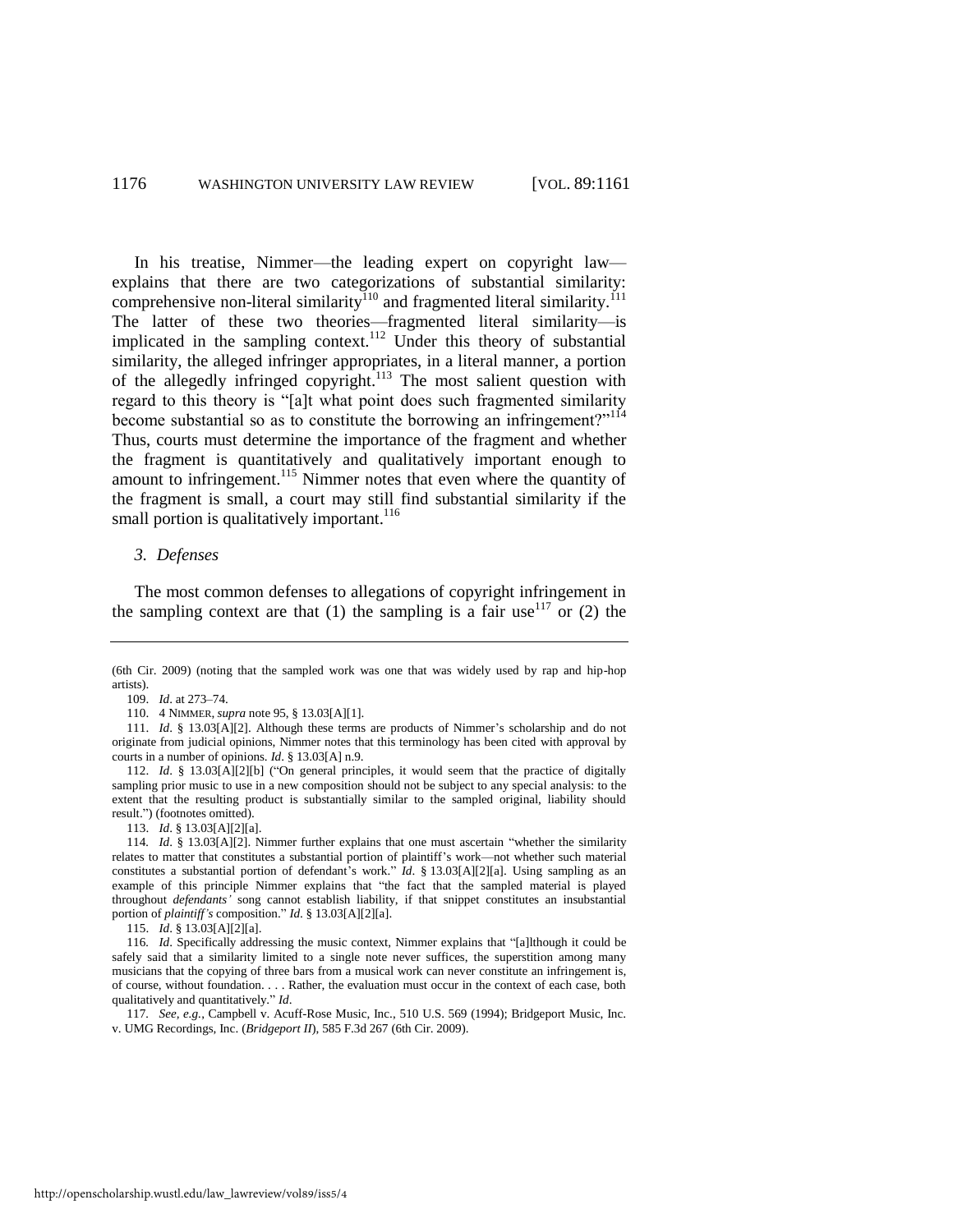<span id="page-16-0"></span>In his treatise, Nimmer—the leading expert on copyright law explains that there are two categorizations of substantial similarity: comprehensive non-literal similarity<sup>110</sup> and fragmented literal similarity.<sup>111</sup> The latter of these two theories—fragmented literal similarity—is implicated in the sampling context.<sup>112</sup> Under this theory of substantial similarity, the alleged infringer appropriates, in a literal manner, a portion of the allegedly infringed copyright.<sup>113</sup> The most salient question with regard to this theory is "[a]t what point does such fragmented similarity become substantial so as to constitute the borrowing an infringement?"<sup>114</sup> Thus, courts must determine the importance of the fragment and whether the fragment is quantitatively and qualitatively important enough to amount to infringement.<sup>115</sup> Nimmer notes that even where the quantity of the fragment is small, a court may still find substantial similarity if the small portion is qualitatively important.<sup>116</sup>

#### *3. Defenses*

The most common defenses to allegations of copyright infringement in the sampling context are that (1) the sampling is a fair use  $117$  or (2) the

111. *Id*. § 13.03[A][2]. Although these terms are products of Nimmer's scholarship and do not originate from judicial opinions, Nimmer notes that this terminology has been cited with approval by courts in a number of opinions. *Id*. § 13.03[A] n.9.

112. *Id.* § 13.03[A][2][b] ("On general principles, it would seem that the practice of digitally sampling prior music to use in a new composition should not be subject to any special analysis: to the extent that the resulting product is substantially similar to the sampled original, liability should result.") (footnotes omitted).

113. *Id*. § 13.03[A][2][a].

114*. Id.* § 13.03[A][2]. Nimmer further explains that one must ascertain "whether the similarity relates to matter that constitutes a substantial portion of plaintiff's work—not whether such material constitutes a substantial portion of defendant's work." *Id.* § 13.03[A][2][a]. Using sampling as an example of this principle Nimmer explains that "the fact that the sampled material is played throughout *defendants'* song cannot establish liability, if that snippet constitutes an insubstantial portion of *plaintiff's* composition." *Id.* § 13.03[A][2][a].

115. *Id*. § 13.03[A][2][a].

116. Id. Specifically addressing the music context, Nimmer explains that "[a]lthough it could be safely said that a similarity limited to a single note never suffices, the superstition among many musicians that the copying of three bars from a musical work can never constitute an infringement is, of course, without foundation. . . . Rather, the evaluation must occur in the context of each case, both qualitatively and quantitatively." *Id*.

117*. See, e.g.*, Campbell v. Acuff-Rose Music, Inc., 510 U.S. 569 (1994); Bridgeport Music, Inc. v. UMG Recordings, Inc. (*Bridgeport II*), 585 F.3d 267 (6th Cir. 2009).

<sup>(6</sup>th Cir. 2009) (noting that the sampled work was one that was widely used by rap and hip-hop artists).

<sup>109.</sup> *Id*. at 273–74.

<sup>110. 4</sup> NIMMER, *supra* not[e 95,](#page-14-4) § 13.03[A][1].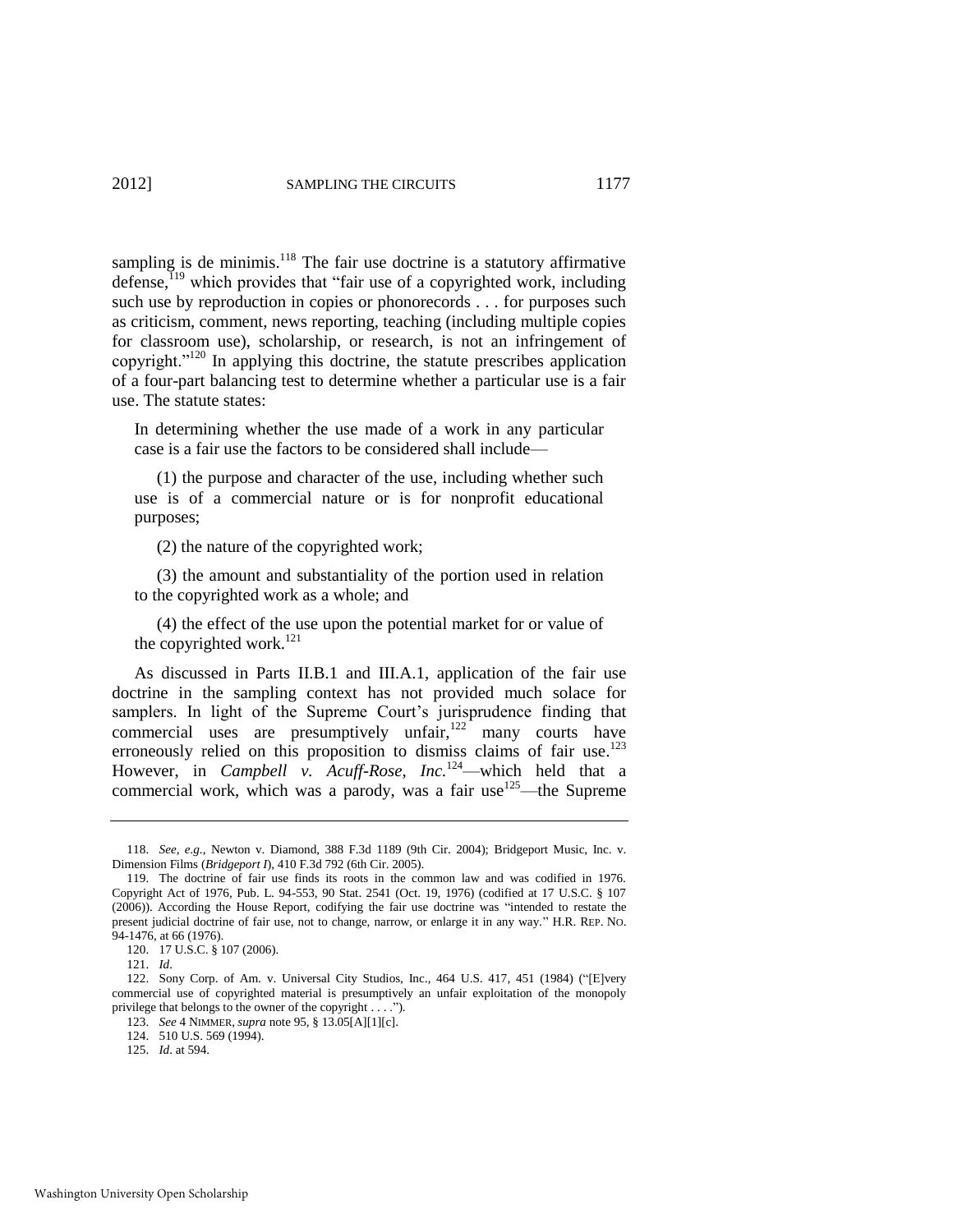sampling is de minimis. $118$  The fair use doctrine is a statutory affirmative defense, $119$  which provides that "fair use of a copyrighted work, including such use by reproduction in copies or phonorecords . . . for purposes such as criticism, comment, news reporting, teaching (including multiple copies for classroom use), scholarship, or research, is not an infringement of copyright." $120$  In applying this doctrine, the statute prescribes application of a four-part balancing test to determine whether a particular use is a fair use. The statute states:

In determining whether the use made of a work in any particular case is a fair use the factors to be considered shall include—

 (1) the purpose and character of the use, including whether such use is of a commercial nature or is for nonprofit educational purposes;

<span id="page-17-1"></span>(2) the nature of the copyrighted work;

 (3) the amount and substantiality of the portion used in relation to the copyrighted work as a whole; and

<span id="page-17-2"></span><span id="page-17-0"></span> (4) the effect of the use upon the potential market for or value of the copyrighted work. $^{121}$ 

As discussed in Parts II.B.1 and III.A.1, application of the fair use doctrine in the sampling context has not provided much solace for samplers. In light of the Supreme Court's jurisprudence finding that commercial uses are presumptively unfair, $122$ <sup>1</sup> many courts have erroneously relied on this proposition to dismiss claims of fair use.<sup>123</sup> However, in *Campbell v. Acuff-Rose, Inc.*<sup>124</sup>—which held that a commercial work, which was a parody, was a fair use <sup>125</sup>—the Supreme

<sup>118.</sup> *See, e.g.*, Newton v. Diamond, 388 F.3d 1189 (9th Cir. 2004); Bridgeport Music, Inc. v. Dimension Films (*Bridgeport I*), 410 F.3d 792 (6th Cir. 2005).

<sup>119.</sup> The doctrine of fair use finds its roots in the common law and was codified in 1976. Copyright Act of 1976, Pub. L. 94-553, 90 Stat. 2541 (Oct. 19, 1976) (codified at 17 U.S.C. § 107 (2006)). According the House Report, codifying the fair use doctrine was "intended to restate the present judicial doctrine of fair use, not to change, narrow, or enlarge it in any way." H.R. REP. No. 94-1476, at 66 (1976).

<sup>120. 17</sup> U.S.C. § 107 (2006).

<sup>121.</sup> *Id*.

<sup>122.</sup> Sony Corp. of Am. v. Universal City Studios, Inc., 464 U.S. 417, 451 (1984) ("[E]very commercial use of copyrighted material is presumptively an unfair exploitation of the monopoly privilege that belongs to the owner of the copyright  $\dots$ .").

<sup>123.</sup> *See* 4 NIMMER, *supra* note [95,](#page-14-4) § 13.05[A][1][c].

<sup>124. 510</sup> U.S. 569 (1994).

<sup>125.</sup> *Id*. at 594.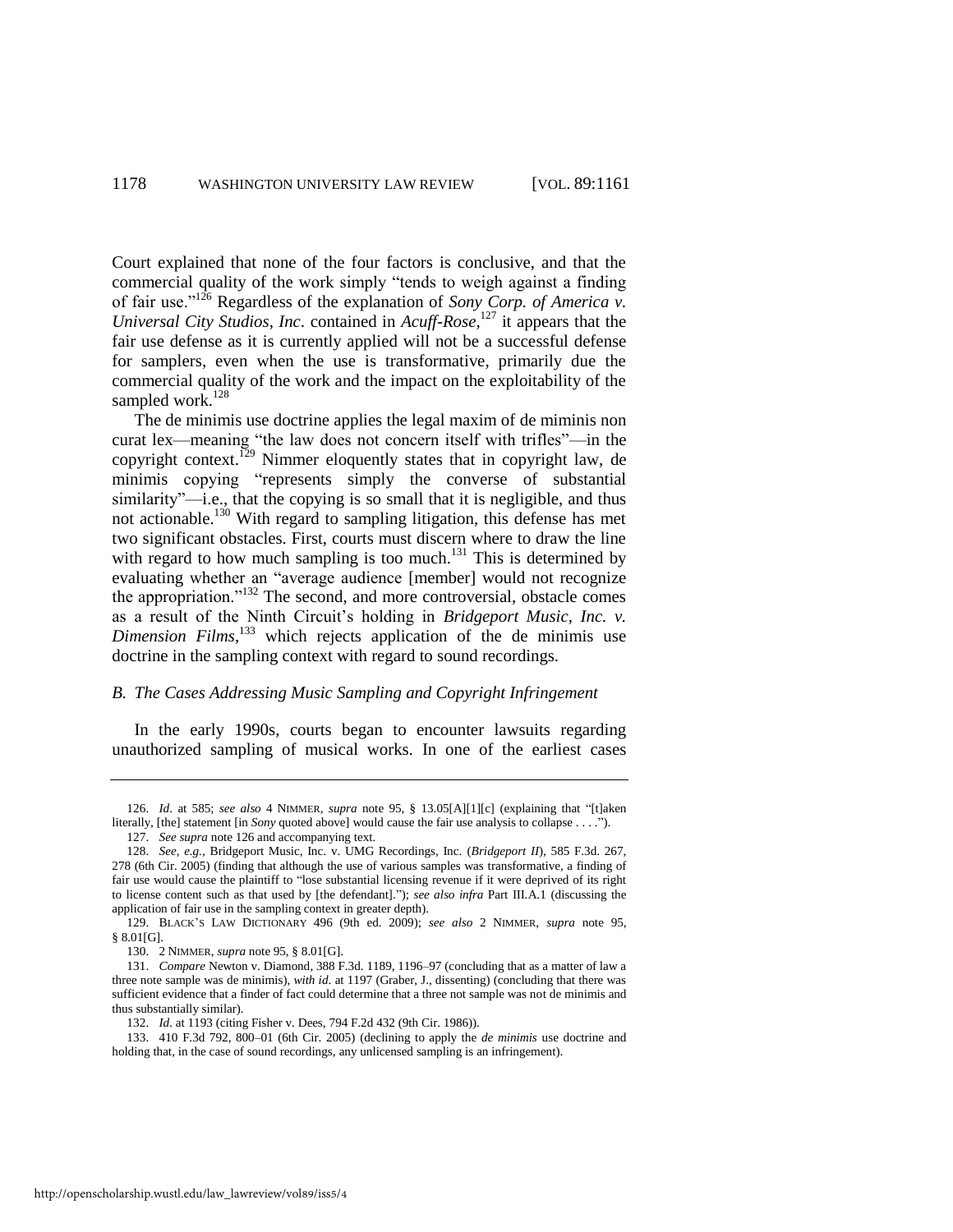<span id="page-18-0"></span>Court explained that none of the four factors is conclusive, and that the commercial quality of the work simply "tends to weigh against a finding of fair use.‖<sup>126</sup> Regardless of the explanation of *Sony Corp. of America v. Universal City Studios, Inc*. contained in *Acuff-Rose*, <sup>127</sup> it appears that the fair use defense as it is currently applied will not be a successful defense for samplers, even when the use is transformative, primarily due the commercial quality of the work and the impact on the exploitability of the sampled work.<sup>128</sup>

The de minimis use doctrine applies the legal maxim of de miminis non curat lex—meaning "the law does not concern itself with trifles"—in the copyright context.<sup>129</sup> Nimmer eloquently states that in copyright law, de minimis copying "represents simply the converse of substantial  $s$ imilarity"—i.e., that the copying is so small that it is negligible, and thus not actionable.<sup>130</sup> With regard to sampling litigation, this defense has met two significant obstacles. First, courts must discern where to draw the line with regard to how much sampling is too much.<sup>131</sup> This is determined by evaluating whether an "average audience [member] would not recognize the appropriation." $132$  The second, and more controversial, obstacle comes as a result of the Ninth Circuit's holding in *Bridgeport Music, Inc. v. Dimension Films*, <sup>133</sup> which rejects application of the de minimis use doctrine in the sampling context with regard to sound recordings.

## *B. The Cases Addressing Music Sampling and Copyright Infringement*

In the early 1990s, courts began to encounter lawsuits regarding unauthorized sampling of musical works. In one of the earliest cases

<sup>126.</sup> *Id*. at 585; *see also* 4 NIMMER, *supra* note [95,](#page-14-4) § 13.05[A][1][c] (explaining that ―[t]aken literally, [the] statement [in *Sony* quoted above] would cause the fair use analysis to collapse . . . .").

<sup>127.</sup> *See supra* not[e 126 a](#page-18-0)nd accompanying text.

<sup>128.</sup> *See, e.g.*, Bridgeport Music, Inc. v. UMG Recordings, Inc. (*Bridgeport II*), 585 F.3d. 267, 278 (6th Cir. 2005) (finding that although the use of various samples was transformative, a finding of fair use would cause the plaintiff to "lose substantial licensing revenue if it were deprived of its right to license content such as that used by [the defendant].‖); *see also infra* Part III.A.1 (discussing the application of fair use in the sampling context in greater depth).

<sup>129.</sup> BLACK'S LAW DICTIONARY 496 (9th ed. 2009); *see also* 2 NIMMER, *supra* note [95,](#page-14-4)  § 8.01[G].

<sup>130. 2</sup> NIMMER, *supra* not[e 95,](#page-14-4) § 8.01[G].

<sup>131.</sup> *Compare* Newton v. Diamond, 388 F.3d. 1189, 1196–97 (concluding that as a matter of law a three note sample was de minimis), *with id*. at 1197 (Graber, J., dissenting) (concluding that there was sufficient evidence that a finder of fact could determine that a three not sample was not de minimis and thus substantially similar).

<sup>132.</sup> *Id*. at 1193 (citing Fisher v. Dees, 794 F.2d 432 (9th Cir. 1986)).

<sup>133. 410</sup> F.3d 792, 800–01 (6th Cir. 2005) (declining to apply the *de minimis* use doctrine and holding that, in the case of sound recordings, any unlicensed sampling is an infringement).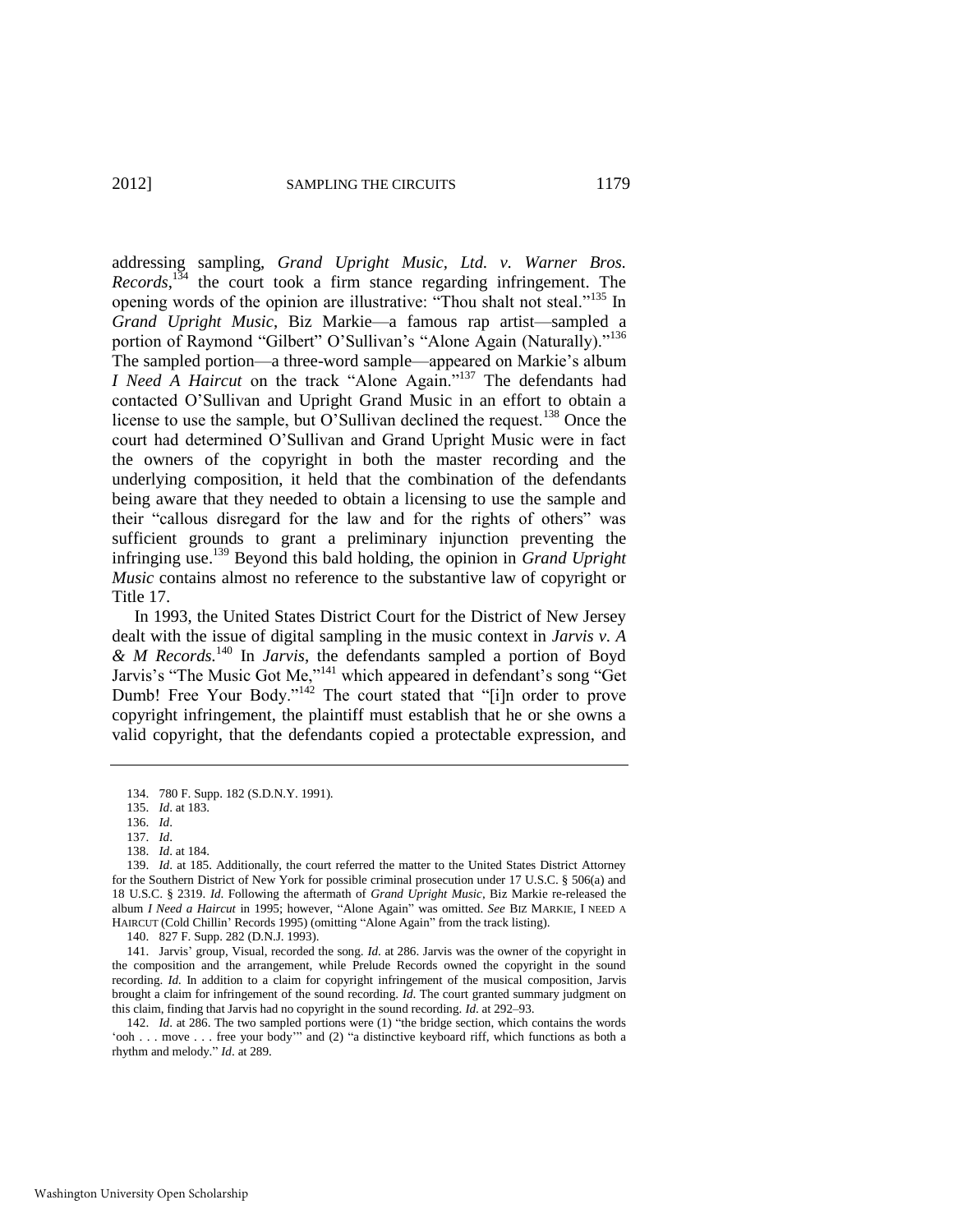addressing sampling, *Grand Upright Music, Ltd. v. Warner Bros. Records*, <sup>134</sup> the court took a firm stance regarding infringement. The opening words of the opinion are illustrative: "Thou shalt not steal."<sup>135</sup> In *Grand Upright Music*, Biz Markie—a famous rap artist—sampled a portion of Raymond "Gilbert" O'Sullivan's "Alone Again (Naturally)."<sup>136</sup> The sampled portion—a three-word sample—appeared on Markie's album *I Need A Haircut* on the track "Alone Again."<sup>137</sup> The defendants had contacted O'Sullivan and Upright Grand Music in an effort to obtain a license to use the sample, but O'Sullivan declined the request.<sup>138</sup> Once the court had determined O'Sullivan and Grand Upright Music were in fact the owners of the copyright in both the master recording and the underlying composition, it held that the combination of the defendants being aware that they needed to obtain a licensing to use the sample and their "callous disregard for the law and for the rights of others" was sufficient grounds to grant a preliminary injunction preventing the infringing use.<sup>139</sup> Beyond this bald holding, the opinion in *Grand Upright Music* contains almost no reference to the substantive law of copyright or Title 17.

In 1993, the United States District Court for the District of New Jersey dealt with the issue of digital sampling in the music context in *Jarvis v. A & M Records.*<sup>140</sup> In *Jarvis*, the defendants sampled a portion of Boyd Jarvis's "The Music Got Me," $^{141}$  which appeared in defendant's song "Get" Dumb! Free Your Body." $142$  The court stated that "[i]n order to prove copyright infringement, the plaintiff must establish that he or she owns a valid copyright, that the defendants copied a protectable expression, and

<sup>134. 780</sup> F. Supp. 182 (S.D.N.Y. 1991).

<sup>135.</sup> *Id*. at 183.

<sup>136.</sup> *Id*.

<sup>137.</sup> *Id*.

<sup>138.</sup> *Id*. at 184.

<sup>139.</sup> *Id*. at 185. Additionally, the court referred the matter to the United States District Attorney for the Southern District of New York for possible criminal prosecution under 17 U.S.C. § 506(a) and 18 U.S.C. § 2319. *Id*. Following the aftermath of *Grand Upright Music*, Biz Markie re-released the album *I Need a Haircut* in 1995; however, "Alone Again" was omitted. *See* BIZ MARKIE, I NEED A HAIRCUT (Cold Chillin' Records 1995) (omitting "Alone Again" from the track listing).

<sup>140. 827</sup> F. Supp. 282 (D.N.J. 1993).

<sup>141.</sup> Jarvis' group, Visual, recorded the song. *Id*. at 286. Jarvis was the owner of the copyright in the composition and the arrangement, while Prelude Records owned the copyright in the sound recording. *Id.* In addition to a claim for copyright infringement of the musical composition, Jarvis brought a claim for infringement of the sound recording. *Id*. The court granted summary judgment on this claim, finding that Jarvis had no copyright in the sound recording. *Id*. at 292–93.

<sup>142.</sup> *Id.* at 286. The two sampled portions were (1) "the bridge section, which contains the words  $\phi$  ooh . . . move . . . free your body" and (2)  $\phi$  a distinctive keyboard riff, which functions as both a rhythm and melody." *Id.* at 289.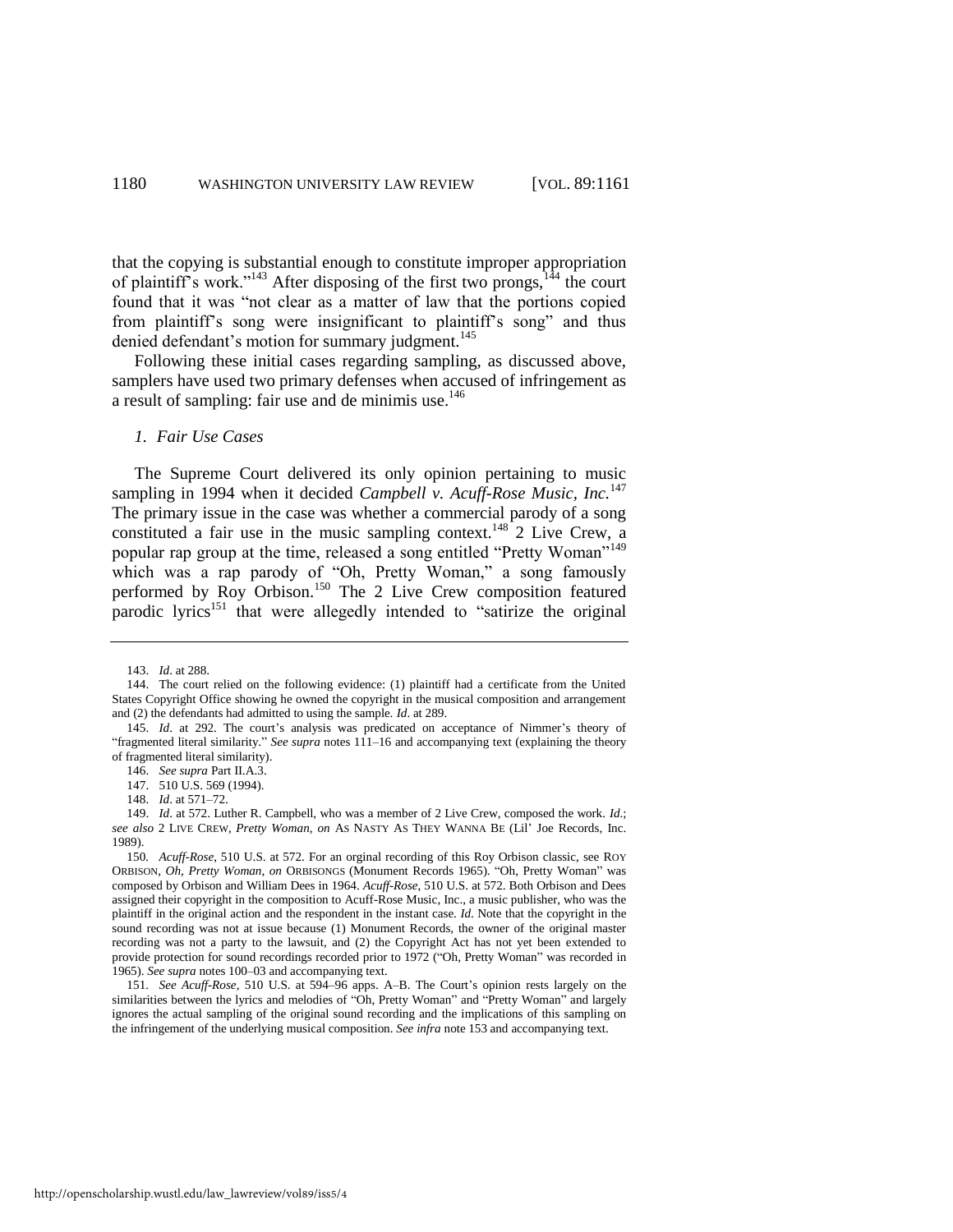that the copying is substantial enough to constitute improper appropriation of plaintiff's work."<sup>143</sup> After disposing of the first two prongs,<sup>144</sup> the court found that it was "not clear as a matter of law that the portions copied from plaintiff's song were insignificant to plaintiff's song" and thus denied defendant's motion for summary judgment.<sup>145</sup>

Following these initial cases regarding sampling, as discussed above, samplers have used two primary defenses when accused of infringement as a result of sampling: fair use and de minimis use.<sup>146</sup>

#### <span id="page-20-1"></span>*1. Fair Use Cases*

The Supreme Court delivered its only opinion pertaining to music sampling in 1994 when it decided *Campbell v. Acuff-Rose Music, Inc.*<sup>147</sup> The primary issue in the case was whether a commercial parody of a song constituted a fair use in the music sampling context.<sup>148</sup> 2 Live Crew, a popular rap group at the time, released a song entitled "Pretty Woman"<sup>149</sup> which was a rap parody of "Oh, Pretty Woman," a song famously performed by Roy Orbison.<sup>150</sup> The 2 Live Crew composition featured parodic lyrics<sup>151</sup> that were allegedly intended to "satirize the original"

<span id="page-20-0"></span><sup>143.</sup> *Id*. at 288.

<sup>144.</sup> The court relied on the following evidence: (1) plaintiff had a certificate from the United States Copyright Office showing he owned the copyright in the musical composition and arrangement and (2) the defendants had admitted to using the sample. *Id*. at 289.

<sup>145.</sup> *Id*. at 292. The court's analysis was predicated on acceptance of Nimmer's theory of "fragmented literal similarity." See supra notes 111-16 and accompanying text (explaining the theory of fragmented literal similarity).

<sup>146.</sup> *See supra* Part II.A.3.

<sup>147. 510</sup> U.S. 569 (1994).

<sup>148.</sup> *Id*. at 571–72.

<sup>149.</sup> *Id*. at 572. Luther R. Campbell, who was a member of 2 Live Crew, composed the work. *Id*.; *see also* 2 LIVE CREW, *Pretty Woman*, *on* AS NASTY AS THEY WANNA BE (Lil' Joe Records, Inc. 1989).

<sup>150</sup>*. Acuff-Rose*, 510 U.S. at 572. For an orginal recording of this Roy Orbison classic, see ROY ORBISON, *Oh, Pretty Woman, on* ORBISONGS (Monument Records 1965). "Oh, Pretty Woman" was composed by Orbison and William Dees in 1964. *Acuff-Rose*, 510 U.S. at 572. Both Orbison and Dees assigned their copyright in the composition to Acuff-Rose Music, Inc., a music publisher, who was the plaintiff in the original action and the respondent in the instant case. *Id*. Note that the copyright in the sound recording was not at issue because (1) Monument Records, the owner of the original master recording was not a party to the lawsuit, and (2) the Copyright Act has not yet been extended to provide protection for sound recordings recorded prior to 1972 ("Oh, Pretty Woman" was recorded in 1965). *See supra* notes [100–](#page-14-0)03 and accompanying text.

<sup>151</sup>*. See Acuff-Rose*, 510 U.S. at 594–96 apps. A–B. The Court's opinion rests largely on the similarities between the lyrics and melodies of "Oh, Pretty Woman" and "Pretty Woman" and largely ignores the actual sampling of the original sound recording and the implications of this sampling on the infringement of the underlying musical composition. *See infra* not[e 153](#page-21-0) and accompanying text.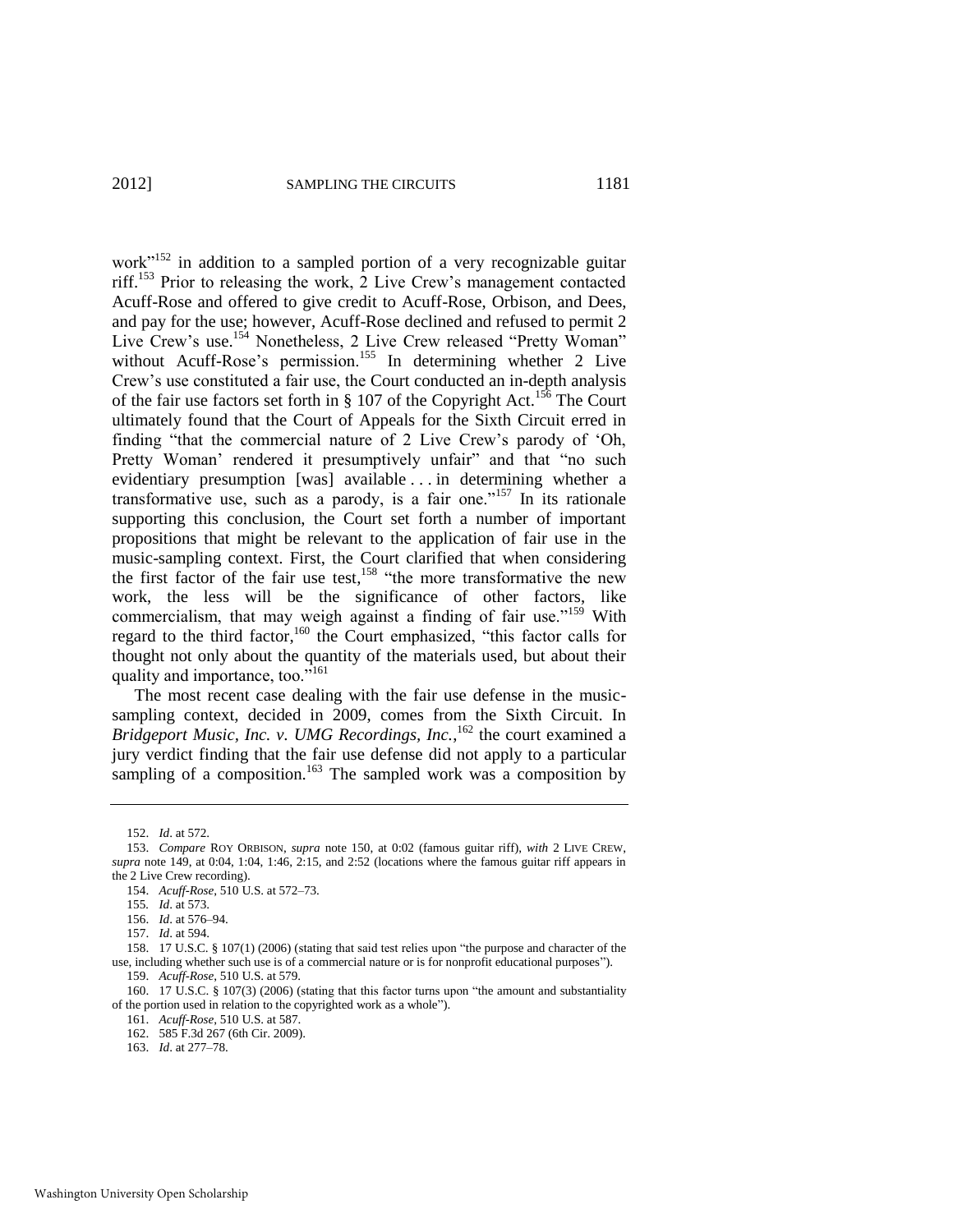<span id="page-21-0"></span>work $n<sup>152</sup>$  in addition to a sampled portion of a very recognizable guitar riff.<sup>153</sup> Prior to releasing the work, 2 Live Crew's management contacted Acuff-Rose and offered to give credit to Acuff-Rose, Orbison, and Dees, and pay for the use; however, Acuff-Rose declined and refused to permit 2 Live Crew's use.<sup>154</sup> Nonetheless, 2 Live Crew released "Pretty Woman" without Acuff-Rose's permission.<sup>155</sup> In determining whether 2 Live Crew's use constituted a fair use, the Court conducted an in-depth analysis of the fair use factors set forth in  $\S$  107 of the Copyright Act.<sup>156</sup> The Court ultimately found that the Court of Appeals for the Sixth Circuit erred in finding "that the commercial nature of 2 Live Crew's parody of 'Oh, Pretty Woman' rendered it presumptively unfair" and that "no such evidentiary presumption [was] available . . . in determining whether a transformative use, such as a parody, is a fair one.<sup> $157$ </sup> In its rationale supporting this conclusion, the Court set forth a number of important propositions that might be relevant to the application of fair use in the music-sampling context. First, the Court clarified that when considering the first factor of the fair use test,<sup>158</sup> "the more transformative the new work, the less will be the significance of other factors, like commercialism, that may weigh against a finding of fair use."<sup>159</sup> With regard to the third factor,<sup>160</sup> the Court emphasized, "this factor calls for thought not only about the quantity of the materials used, but about their quality and importance, too. $i<sup>5161</sup>$ 

The most recent case dealing with the fair use defense in the musicsampling context, decided in 2009, comes from the Sixth Circuit. In Bridgeport Music, Inc. v. UMG Recordings, Inc.,<sup>162</sup> the court examined a jury verdict finding that the fair use defense did not apply to a particular sampling of a composition.<sup>163</sup> The sampled work was a composition by

<span id="page-21-1"></span><sup>152.</sup> *Id*. at 572.

<sup>153.</sup> *Compare* ROY ORBISON, *supra* note [150,](#page-20-0) at 0:02 (famous guitar riff), *with* 2 LIVE CREW, *supra* note [149,](#page-20-1) at 0:04, 1:04, 1:46, 2:15, and 2:52 (locations where the famous guitar riff appears in the 2 Live Crew recording).

<sup>154.</sup> *Acuff-Rose*, 510 U.S. at 572–73.

<sup>155</sup>*. Id*. at 573.

<sup>156.</sup> *Id*. at 576–94.

<sup>157.</sup> *Id*. at 594.

<sup>158. 17</sup> U.S.C. § 107(1) (2006) (stating that said test relies upon "the purpose and character of the use, including whether such use is of a commercial nature or is for nonprofit educational purposes").

<sup>159.</sup> *Acuff-Rose*, 510 U.S. at 579.

<sup>160. 17</sup> U.S.C. § 107(3) (2006) (stating that this factor turns upon "the amount and substantiality of the portion used in relation to the copyrighted work as a whole").

<sup>161.</sup> *Acuff-Rose*, 510 U.S. at 587.

<sup>162. 585</sup> F.3d 267 (6th Cir. 2009).

<sup>163.</sup> *Id*. at 277–78.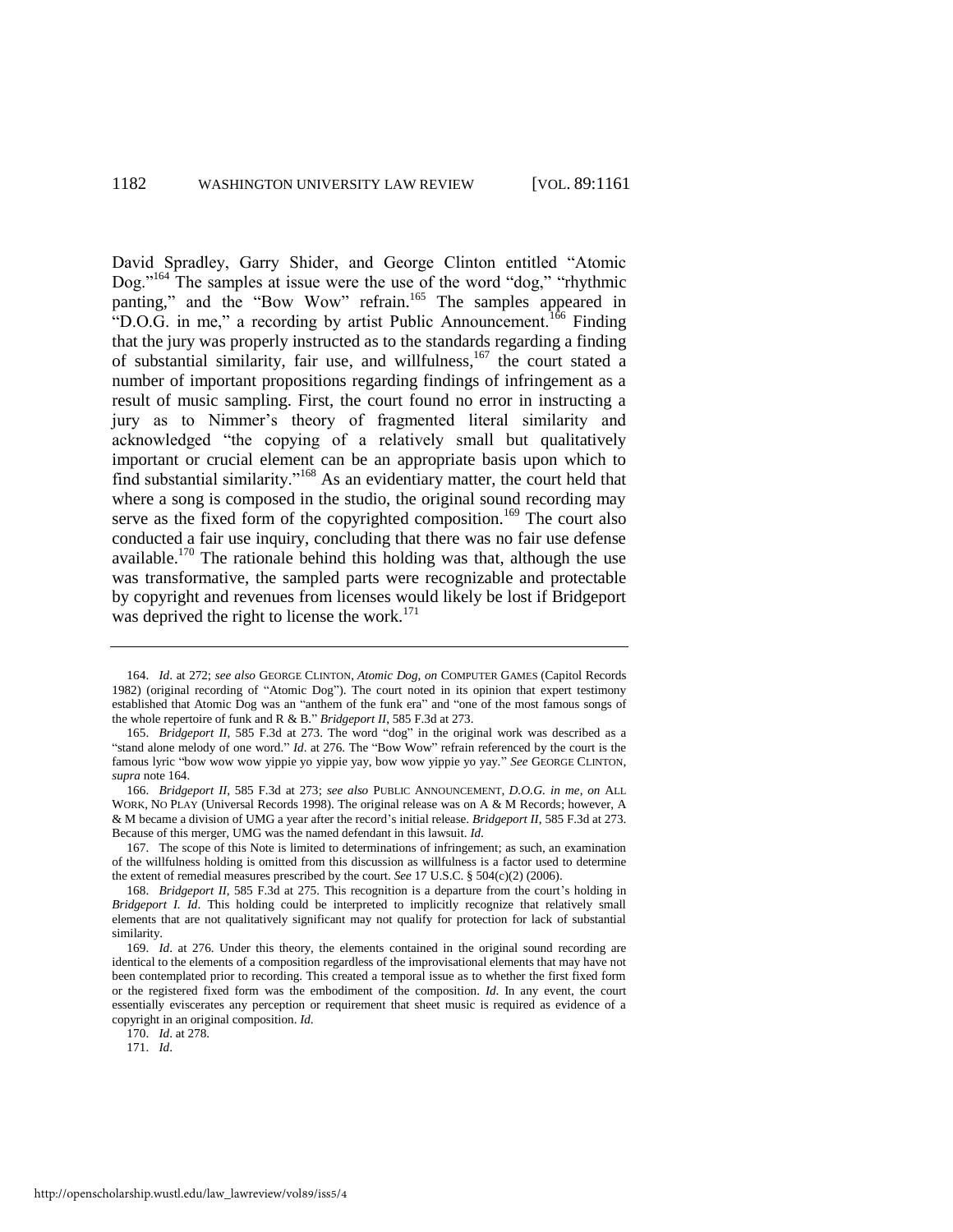<span id="page-22-1"></span><span id="page-22-0"></span>David Spradley, Garry Shider, and George Clinton entitled "Atomic Dog."<sup>164</sup> The samples at issue were the use of the word "dog," "rhythmic panting," and the "Bow Wow" refrain.<sup>165</sup> The samples appeared in "D.O.G. in me," a recording by artist Public Announcement.<sup>166</sup> Finding that the jury was properly instructed as to the standards regarding a finding of substantial similarity, fair use, and willfulness,<sup>167</sup> the court stated a number of important propositions regarding findings of infringement as a result of music sampling. First, the court found no error in instructing a jury as to Nimmer's theory of fragmented literal similarity and acknowledged "the copying of a relatively small but qualitatively important or crucial element can be an appropriate basis upon which to find substantial similarity."<sup>168</sup> As an evidentiary matter, the court held that where a song is composed in the studio, the original sound recording may serve as the fixed form of the copyrighted composition.<sup>169</sup> The court also conducted a fair use inquiry, concluding that there was no fair use defense available.<sup>170</sup> The rationale behind this holding was that, although the use was transformative, the sampled parts were recognizable and protectable by copyright and revenues from licenses would likely be lost if Bridgeport was deprived the right to license the work.<sup>171</sup>

170. *Id*. at 278.

171. *Id*.

<sup>164.</sup> *Id*. at 272; *see also* GEORGE CLINTON, *Atomic Dog*, *on* COMPUTER GAMES (Capitol Records 1982) (original recording of "Atomic Dog"). The court noted in its opinion that expert testimony established that Atomic Dog was an "anthem of the funk era" and "one of the most famous songs of the whole repertoire of funk and R & B." *Bridgeport II*, 585 F.3d at 273.

<sup>165.</sup> *Bridgeport II*, 585 F.3d at 273. The word "dog" in the original work was described as a "stand alone melody of one word." *Id.* at 276. The "Bow Wow" refrain referenced by the court is the famous lyric "bow wow wow yippie yo yippie yay, bow wow yippie yo yay." See GEORGE CLINTON, *supra* not[e 164.](#page-22-0)

<sup>166.</sup> *Bridgeport II*, 585 F.3d at 273; *see also* PUBLIC ANNOUNCEMENT, *D.O.G. in me*, *on* ALL WORK, NO PLAY (Universal Records 1998). The original release was on A & M Records; however, A & M became a division of UMG a year after the record's initial release. *Bridgeport II*, 585 F.3d at 273. Because of this merger, UMG was the named defendant in this lawsuit. *Id*.

<sup>167.</sup> The scope of this Note is limited to determinations of infringement; as such, an examination of the willfulness holding is omitted from this discussion as willfulness is a factor used to determine the extent of remedial measures prescribed by the court. *See* 17 U.S.C. § 504(c)(2) (2006).

<sup>168.</sup> *Bridgeport II*, 585 F.3d at 275. This recognition is a departure from the court's holding in *Bridgeport I. Id*. This holding could be interpreted to implicitly recognize that relatively small elements that are not qualitatively significant may not qualify for protection for lack of substantial similarity.

<sup>169.</sup> *Id*. at 276. Under this theory, the elements contained in the original sound recording are identical to the elements of a composition regardless of the improvisational elements that may have not been contemplated prior to recording. This created a temporal issue as to whether the first fixed form or the registered fixed form was the embodiment of the composition. *Id*. In any event, the court essentially eviscerates any perception or requirement that sheet music is required as evidence of a copyright in an original composition. *Id*.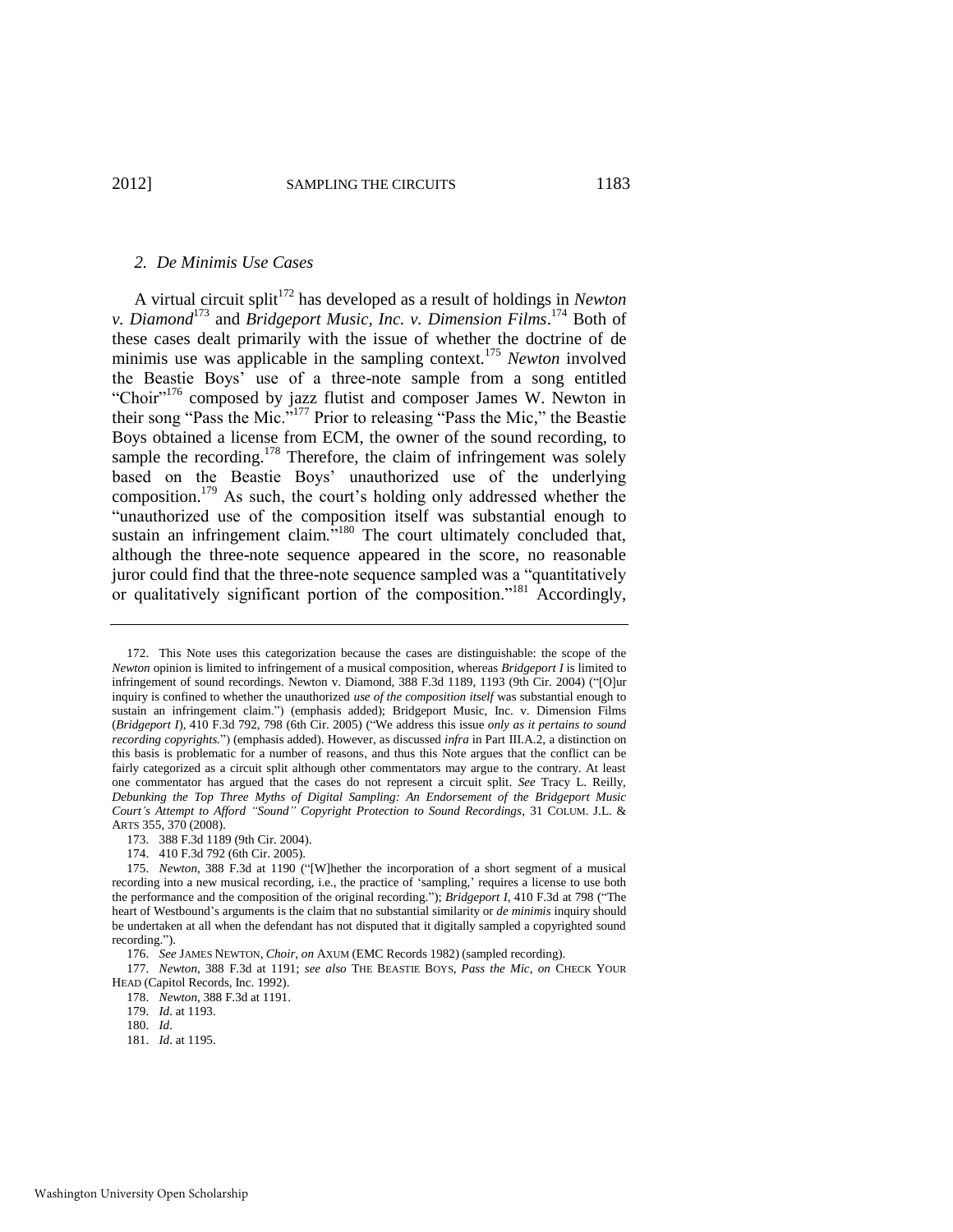#### <span id="page-23-0"></span>*2. De Minimis Use Cases*

A virtual circuit split<sup>172</sup> has developed as a result of holdings in *Newton v. Diamond*<sup>173</sup> and *Bridgeport Music, Inc. v. Dimension Films*. <sup>174</sup> Both of these cases dealt primarily with the issue of whether the doctrine of de minimis use was applicable in the sampling context.<sup>175</sup> *Newton* involved the Beastie Boys' use of a three-note sample from a song entitled "Choir"<sup>176</sup> composed by jazz flutist and composer James W. Newton in their song "Pass the Mic."<sup>177</sup> Prior to releasing "Pass the Mic," the Beastie Boys obtained a license from ECM, the owner of the sound recording, to sample the recording. $178$  Therefore, the claim of infringement was solely based on the Beastie Boys' unauthorized use of the underlying composition.<sup>179</sup> As such, the court's holding only addressed whether the "unauthorized use of the composition itself was substantial enough to sustain an infringement claim.<sup>5,180</sup> The court ultimately concluded that, although the three-note sequence appeared in the score, no reasonable juror could find that the three-note sequence sampled was a "quantitatively or qualitatively significant portion of the composition."<sup>181</sup> Accordingly,

- 180. *Id*.
- 181. *Id*. at 1195.

<sup>172.</sup> This Note uses this categorization because the cases are distinguishable: the scope of the *Newton* opinion is limited to infringement of a musical composition, whereas *Bridgeport I* is limited to infringement of sound recordings. Newton v. Diamond, 388 F.3d 1189, 1193 (9th Cir. 2004) ("[O]ur inquiry is confined to whether the unauthorized *use of the composition itself* was substantial enough to sustain an infringement claim.") (emphasis added); Bridgeport Music, Inc. v. Dimension Films (*Bridgeport I*), 410 F.3d 792, 798 (6th Cir. 2005) ("We address this issue *only as it pertains to sound recording copyrights.*‖) (emphasis added). However, as discussed *infra* in Part III.A.2, a distinction on this basis is problematic for a number of reasons, and thus this Note argues that the conflict can be fairly categorized as a circuit split although other commentators may argue to the contrary. At least one commentator has argued that the cases do not represent a circuit split. *See* Tracy L. Reilly, *Debunking the Top Three Myths of Digital Sampling: An Endorsement of the Bridgeport Music Court's Attempt to Afford "Sound" Copyright Protection to Sound Recordings*, 31 COLUM. J.L. & ARTS 355, 370 (2008).

<sup>173. 388</sup> F.3d 1189 (9th Cir. 2004).

<sup>174. 410</sup> F.3d 792 (6th Cir. 2005).

<sup>175.</sup> *Newton*, 388 F.3d at 1190 ("[W]hether the incorporation of a short segment of a musical recording into a new musical recording, i.e., the practice of ‗sampling,' requires a license to use both the performance and the composition of the original recording."); *Bridgeport I*, 410 F.3d at 798 ("The heart of Westbound's arguments is the claim that no substantial similarity or *de minimis* inquiry should be undertaken at all when the defendant has not disputed that it digitally sampled a copyrighted sound recording.").

<sup>176.</sup> *See* JAMES NEWTON, *Choir*, *on* AXUM (EMC Records 1982) (sampled recording).

<sup>177.</sup> *Newton*, 388 F.3d at 1191; *see also* THE BEASTIE BOYS, *Pass the Mic*, *on* CHECK YOUR HEAD (Capitol Records, Inc. 1992).

<sup>178.</sup> *Newton*, 388 F.3d at 1191.

<sup>179.</sup> *Id*. at 1193.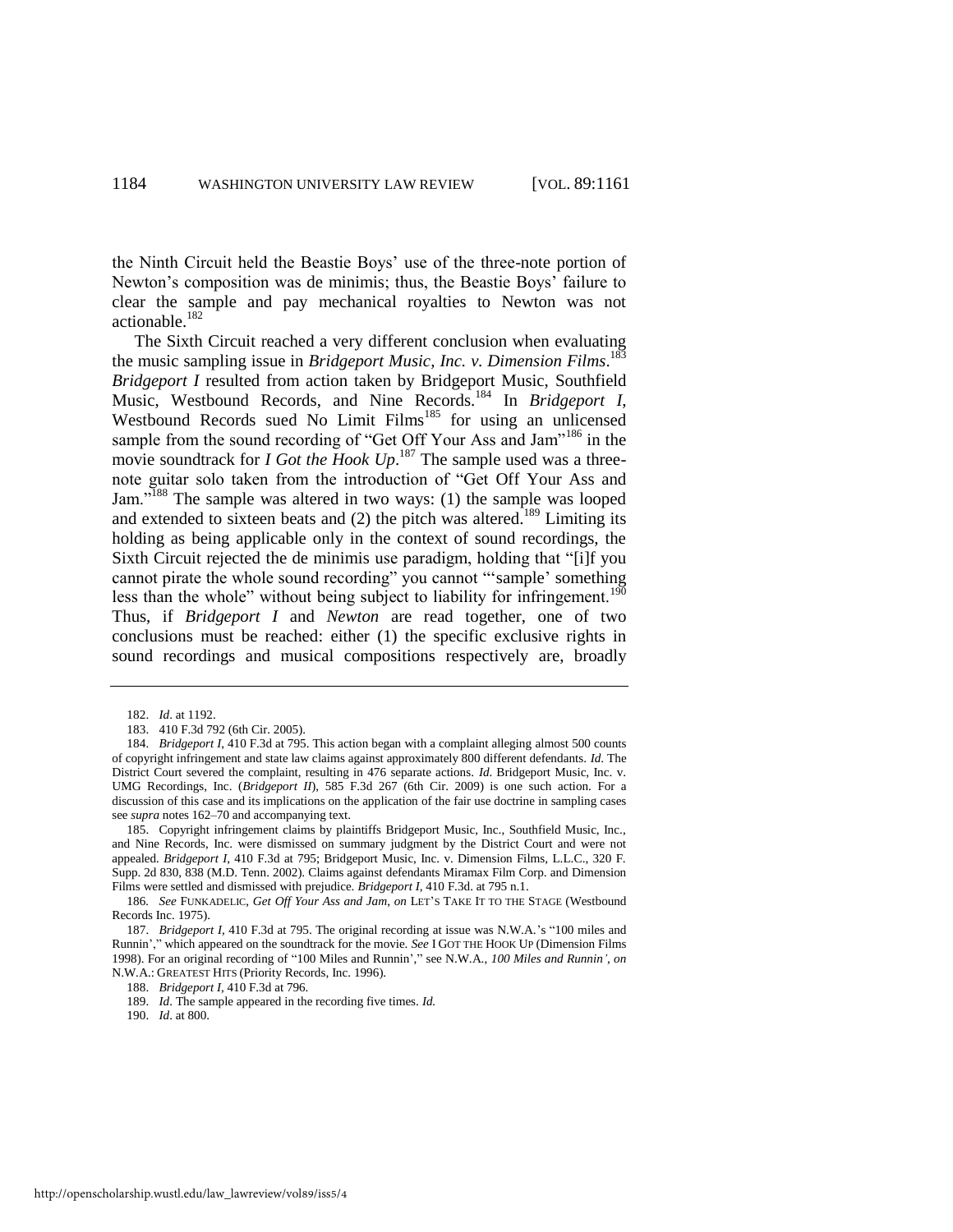the Ninth Circuit held the Beastie Boys' use of the three-note portion of Newton's composition was de minimis; thus, the Beastie Boys' failure to clear the sample and pay mechanical royalties to Newton was not actionable.<sup>182</sup>

The Sixth Circuit reached a very different conclusion when evaluating the music sampling issue in *Bridgeport Music, Inc. v. Dimension Films*. 183 *Bridgeport I* resulted from action taken by Bridgeport Music, Southfield Music, Westbound Records, and Nine Records.<sup>184</sup> In *Bridgeport I*, Westbound Records sued No Limit Films<sup>185</sup> for using an unlicensed sample from the sound recording of "Get Off Your Ass and Jam"<sup>186</sup> in the movie soundtrack for *I Got the Hook Up*. <sup>187</sup> The sample used was a threenote guitar solo taken from the introduction of "Get Off Your Ass and Jam."<sup>188</sup> The sample was altered in two ways: (1) the sample was looped and extended to sixteen beats and  $(2)$  the pitch was altered.<sup>189</sup> Limiting its holding as being applicable only in the context of sound recordings, the Sixth Circuit rejected the de minimis use paradigm, holding that "[i]f you cannot pirate the whole sound recording" you cannot "sample' something less than the whole" without being subject to liability for infringement.<sup>190</sup> Thus, if *Bridgeport I* and *Newton* are read together, one of two conclusions must be reached: either (1) the specific exclusive rights in sound recordings and musical compositions respectively are, broadly

185. Copyright infringement claims by plaintiffs Bridgeport Music, Inc., Southfield Music, Inc., and Nine Records, Inc. were dismissed on summary judgment by the District Court and were not appealed. *Bridgeport I*, 410 F.3d at 795; Bridgeport Music, Inc. v. Dimension Films, L.L.C., 320 F. Supp. 2d 830, 838 (M.D. Tenn. 2002). Claims against defendants Miramax Film Corp. and Dimension Films were settled and dismissed with prejudice. *Bridgeport I*, 410 F.3d. at 795 n.1.

<sup>182.</sup> *Id*. at 1192.

<sup>183. 410</sup> F.3d 792 (6th Cir. 2005).

<sup>184.</sup> *Bridgeport I*, 410 F.3d at 795. This action began with a complaint alleging almost 500 counts of copyright infringement and state law claims against approximately 800 different defendants. *Id*. The District Court severed the complaint, resulting in 476 separate actions. *Id*. Bridgeport Music, Inc. v. UMG Recordings, Inc. (*Bridgeport II*), 585 F.3d 267 (6th Cir. 2009) is one such action. For a discussion of this case and its implications on the application of the fair use doctrine in sampling cases see *supra* note[s 162–](#page-21-1)70 and accompanying text.

<sup>186</sup>*. See* FUNKADELIC, *Get Off Your Ass and Jam*, *on* LET'S TAKE IT TO THE STAGE (Westbound Records Inc. 1975).

<sup>187.</sup> *Bridgeport I*, 410 F.3d at 795. The original recording at issue was N.W.A.'s "100 miles and Runnin'," which appeared on the soundtrack for the movie. *See* I GOT THE HOOK UP (Dimension Films 1998). For an original recording of "100 Miles and Runnin'," see N.W.A., 100 Miles and Runnin', on N.W.A.: GREATEST HITS (Priority Records, Inc. 1996).

<sup>188.</sup> *Bridgeport I*, 410 F.3d at 796.

<sup>189.</sup> *Id*. The sample appeared in the recording five times. *Id.*

<sup>190.</sup> *Id*. at 800.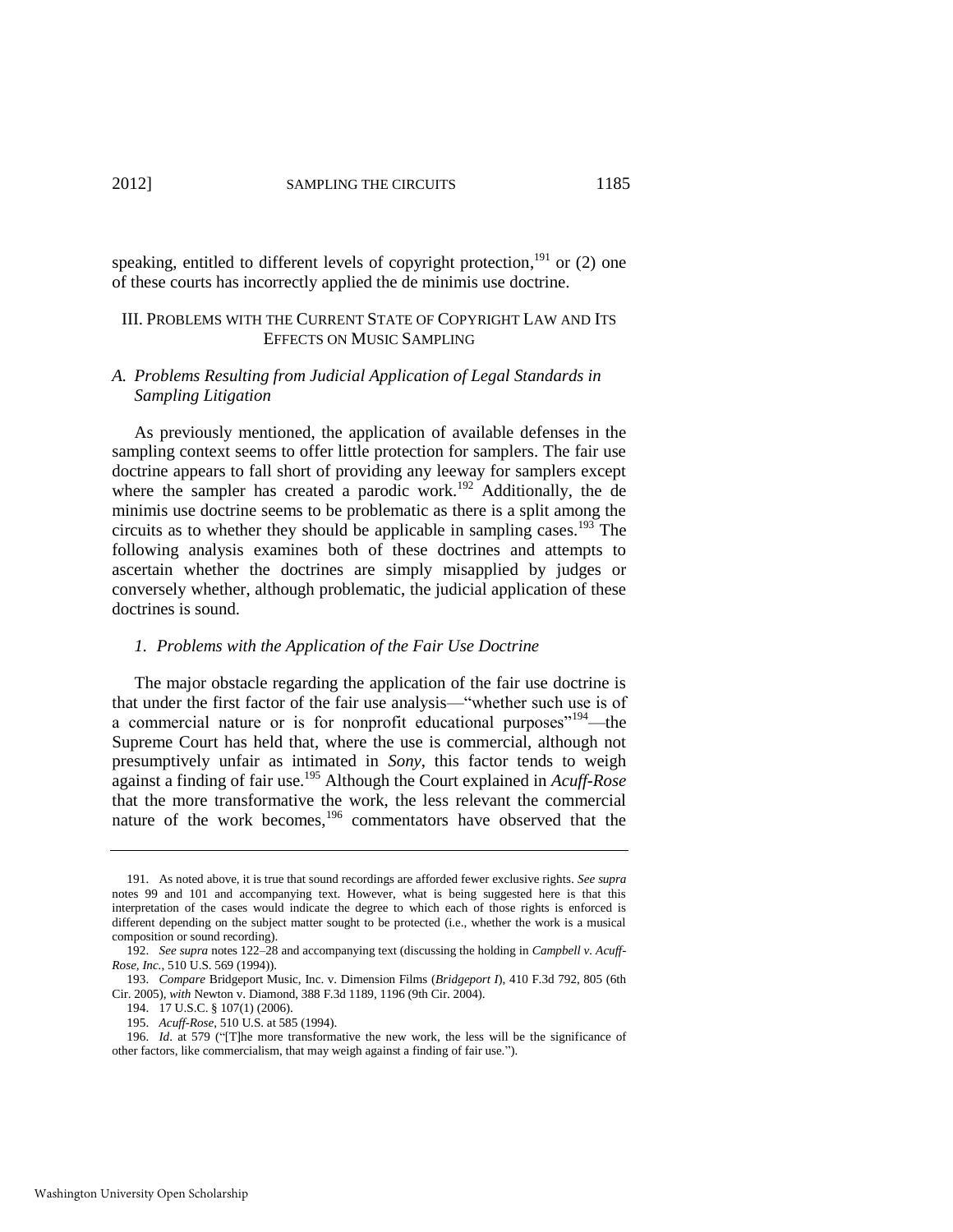# 2012] SAMPLING THE CIRCUITS 1185

speaking, entitled to different levels of copyright protection,<sup>191</sup> or  $(2)$  one of these courts has incorrectly applied the de minimis use doctrine.

# III. PROBLEMS WITH THE CURRENT STATE OF COPYRIGHT LAW AND ITS EFFECTS ON MUSIC SAMPLING

## *A. Problems Resulting from Judicial Application of Legal Standards in Sampling Litigation*

As previously mentioned, the application of available defenses in the sampling context seems to offer little protection for samplers. The fair use doctrine appears to fall short of providing any leeway for samplers except where the sampler has created a parodic work.<sup>192</sup> Additionally, the de minimis use doctrine seems to be problematic as there is a split among the circuits as to whether they should be applicable in sampling cases.<sup>193</sup> The following analysis examines both of these doctrines and attempts to ascertain whether the doctrines are simply misapplied by judges or conversely whether, although problematic, the judicial application of these doctrines is sound.

#### <span id="page-25-0"></span>*1. Problems with the Application of the Fair Use Doctrine*

The major obstacle regarding the application of the fair use doctrine is that under the first factor of the fair use analysis—"whether such use is of a commercial nature or is for nonprofit educational purposes<sup> $194$ </sup>—the Supreme Court has held that, where the use is commercial, although not presumptively unfair as intimated in *Sony*, this factor tends to weigh against a finding of fair use.<sup>195</sup> Although the Court explained in *Acuff-Rose* that the more transformative the work, the less relevant the commercial nature of the work becomes,<sup>196</sup> commentators have observed that the

<sup>191.</sup> As noted above, it is true that sound recordings are afforded fewer exclusive rights. *See supra*  notes [99](#page-14-2) and [101](#page-14-3) and accompanying text. However, what is being suggested here is that this interpretation of the cases would indicate the degree to which each of those rights is enforced is different depending on the subject matter sought to be protected (i.e., whether the work is a musical composition or sound recording).

<sup>192.</sup> *See supra* note[s 122–](#page-17-0)28 and accompanying text (discussing the holding in *Campbell v. Acuff-Rose, Inc.*, 510 U.S. 569 (1994)).

<sup>193.</sup> *Compare* Bridgeport Music, Inc. v. Dimension Films (*Bridgeport I*), 410 F.3d 792, 805 (6th Cir. 2005), *with* Newton v. Diamond, 388 F.3d 1189, 1196 (9th Cir. 2004).

<sup>194. 17</sup> U.S.C. § 107(1) (2006).

<sup>195.</sup> *Acuff-Rose*, 510 U.S. at 585 (1994).

<sup>196.</sup> *Id.* at 579 ("[T]he more transformative the new work, the less will be the significance of other factors, like commercialism, that may weigh against a finding of fair use.").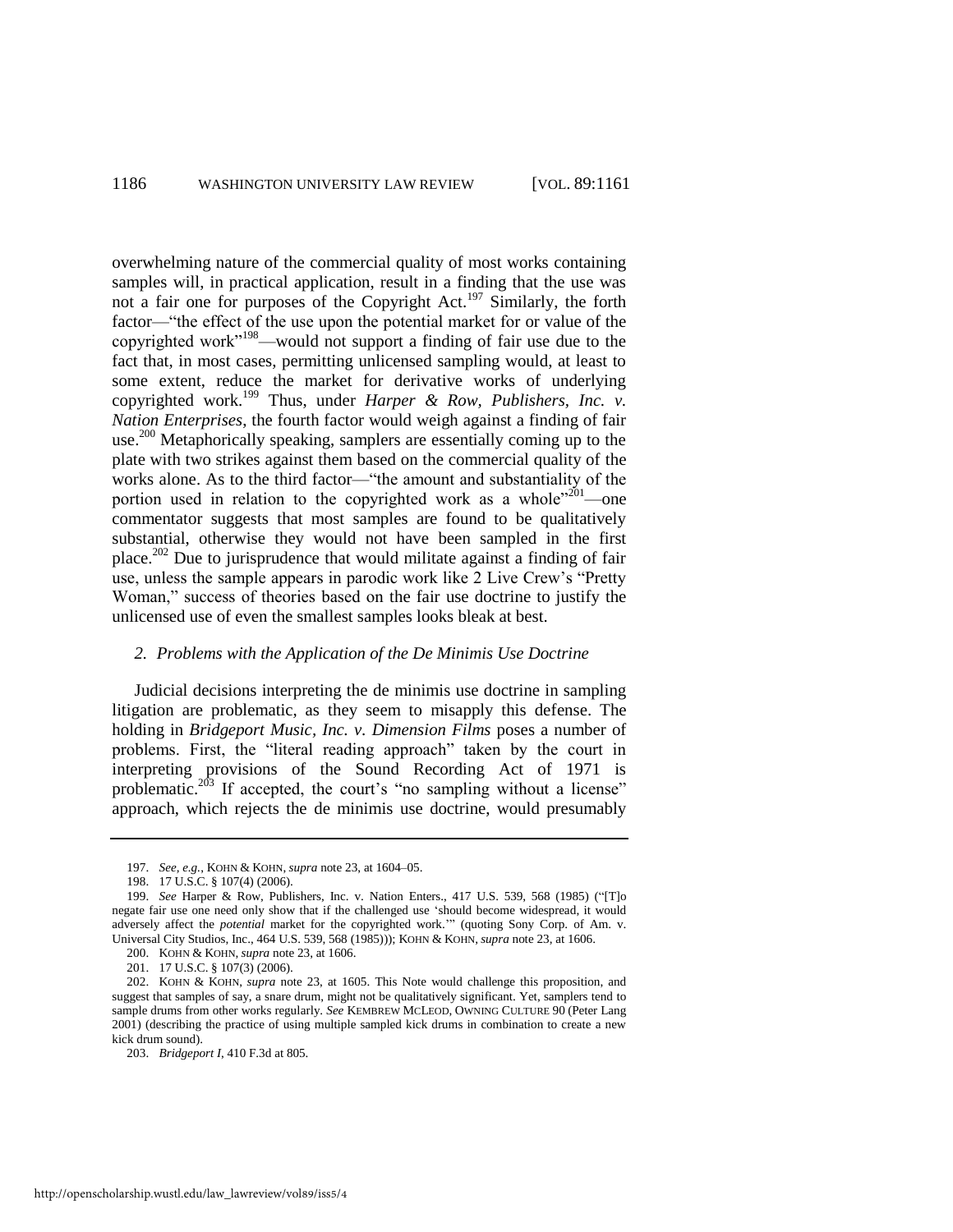<span id="page-26-2"></span><span id="page-26-1"></span>overwhelming nature of the commercial quality of most works containing samples will, in practical application, result in a finding that the use was not a fair one for purposes of the Copyright Act.<sup>197</sup> Similarly, the forth factor—"the effect of the use upon the potential market for or value of the copyrighted work"<sup>198</sup>—would not support a finding of fair use due to the fact that, in most cases, permitting unlicensed sampling would, at least to some extent, reduce the market for derivative works of underlying copyrighted work.<sup>199</sup> Thus, under *Harper & Row, Publishers, Inc. v. Nation Enterprises*, the fourth factor would weigh against a finding of fair use.<sup>200</sup> Metaphorically speaking, samplers are essentially coming up to the plate with two strikes against them based on the commercial quality of the works alone. As to the third factor—"the amount and substantiality of the portion used in relation to the copyrighted work as a whole<sup> $201$ </sup>—one commentator suggests that most samples are found to be qualitatively substantial, otherwise they would not have been sampled in the first place.<sup>202</sup> Due to jurisprudence that would militate against a finding of fair use, unless the sample appears in parodic work like 2 Live Crew's "Pretty" Woman," success of theories based on the fair use doctrine to justify the unlicensed use of even the smallest samples looks bleak at best.

## <span id="page-26-0"></span>*2. Problems with the Application of the De Minimis Use Doctrine*

Judicial decisions interpreting the de minimis use doctrine in sampling litigation are problematic, as they seem to misapply this defense. The holding in *Bridgeport Music, Inc. v. Dimension Films* poses a number of problems. First, the "literal reading approach" taken by the court in interpreting provisions of the Sound Recording Act of 1971 is problematic.<sup>203</sup> If accepted, the court's "no sampling without a license" approach, which rejects the de minimis use doctrine, would presumably

<sup>197.</sup> *See, e.g.*, KOHN & KOHN, *supra* not[e 23,](#page-3-0) at 1604–05.

<sup>198. 17</sup> U.S.C. § 107(4) (2006).

<sup>199.</sup> *See* Harper & Row, Publishers, Inc. v. Nation Enters., 417 U.S. 539, 568 (1985) ("[T]o negate fair use one need only show that if the challenged use 'should become widespread, it would adversely affect the *potential* market for the copyrighted work." (quoting Sony Corp. of Am. v. Universal City Studios, Inc., 464 U.S. 539, 568 (1985))); KOHN & KOHN, *supra* not[e 23,](#page-3-0) at 1606.

<sup>200.</sup> KOHN & KOHN, *supra* not[e 23,](#page-3-0) at 1606.

<sup>201. 17</sup> U.S.C. § 107(3) (2006).

<sup>202.</sup> KOHN & KOHN, *supra* note [23,](#page-3-0) at 1605. This Note would challenge this proposition, and suggest that samples of say, a snare drum, might not be qualitatively significant. Yet, samplers tend to sample drums from other works regularly. *See* KEMBREW MCLEOD, OWNING CULTURE 90 (Peter Lang 2001) (describing the practice of using multiple sampled kick drums in combination to create a new kick drum sound).

<sup>203.</sup> *Bridgeport I*, 410 F.3d at 805.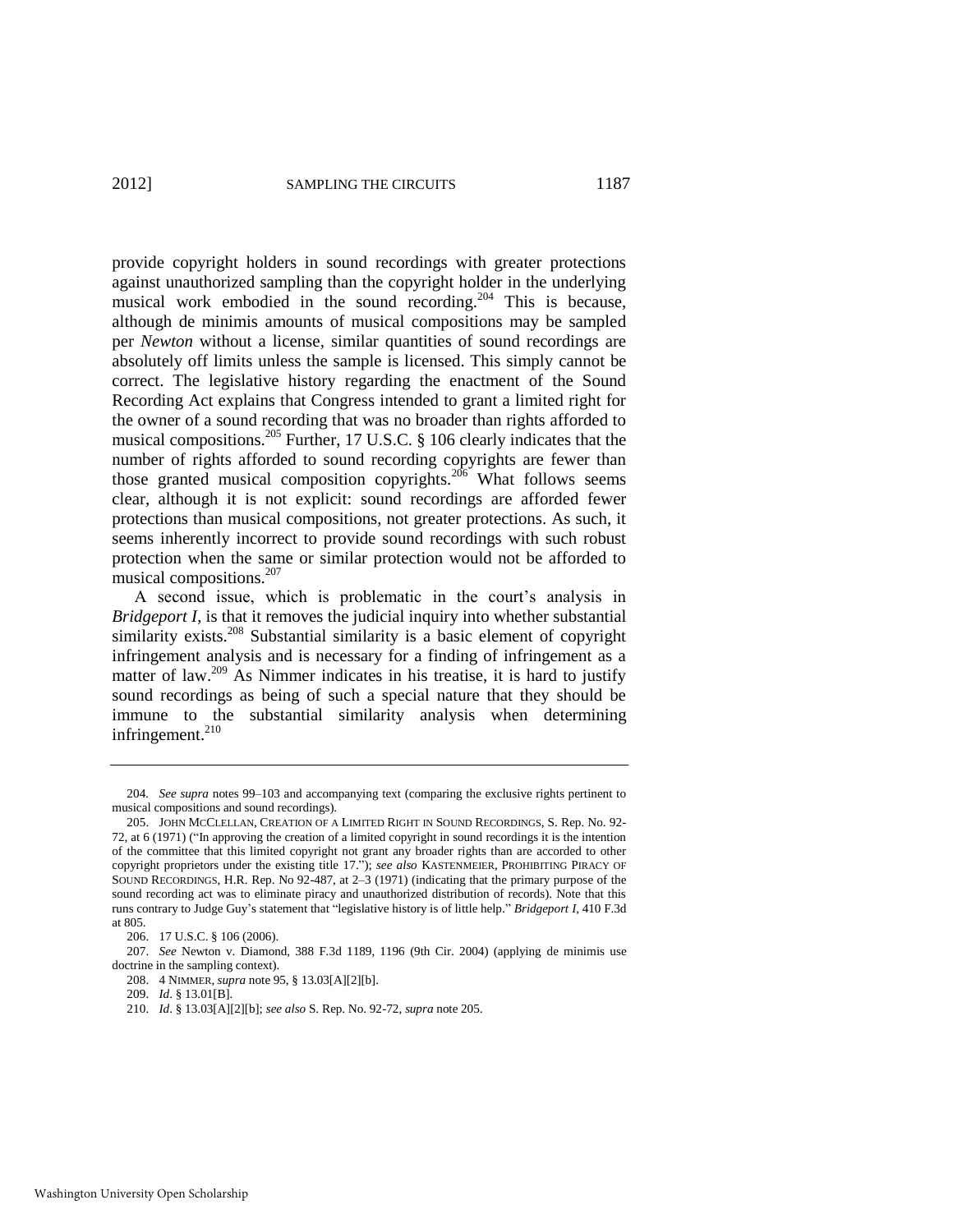provide copyright holders in sound recordings with greater protections against unauthorized sampling than the copyright holder in the underlying musical work embodied in the sound recording.<sup>204</sup> This is because, although de minimis amounts of musical compositions may be sampled per *Newton* without a license*,* similar quantities of sound recordings are absolutely off limits unless the sample is licensed. This simply cannot be correct. The legislative history regarding the enactment of the Sound Recording Act explains that Congress intended to grant a limited right for the owner of a sound recording that was no broader than rights afforded to musical compositions.<sup>205</sup> Further, 17 U.S.C. § 106 clearly indicates that the number of rights afforded to sound recording copyrights are fewer than those granted musical composition copyrights.<sup>206</sup> What follows seems clear, although it is not explicit: sound recordings are afforded fewer protections than musical compositions, not greater protections. As such, it seems inherently incorrect to provide sound recordings with such robust protection when the same or similar protection would not be afforded to musical compositions.<sup>207</sup>

<span id="page-27-0"></span>A second issue, which is problematic in the court's analysis in *Bridgeport I*, is that it removes the judicial inquiry into whether substantial similarity exists.<sup>208</sup> Substantial similarity is a basic element of copyright infringement analysis and is necessary for a finding of infringement as a matter of law.<sup>209</sup> As Nimmer indicates in his treatise, it is hard to justify sound recordings as being of such a special nature that they should be immune to the substantial similarity analysis when determining infringement. $210$ 

<sup>204</sup>*. See supra* notes [99](#page-14-2)[–103](#page-15-0) and accompanying text (comparing the exclusive rights pertinent to musical compositions and sound recordings).

<sup>205.</sup> JOHN MCCLELLAN, CREATION OF A LIMITED RIGHT IN SOUND RECORDINGS, S. Rep. No. 92- 72, at 6 (1971) ("In approving the creation of a limited copyright in sound recordings it is the intention of the committee that this limited copyright not grant any broader rights than are accorded to other copyright proprietors under the existing title 17."); *see also* KASTENMEIER, PROHIBITING PIRACY OF SOUND RECORDINGS, H.R. Rep. No 92-487, at 2–3 (1971) (indicating that the primary purpose of the sound recording act was to eliminate piracy and unauthorized distribution of records). Note that this runs contrary to Judge Guy's statement that "legislative history is of little help." Bridgeport I, 410 F.3d at 805.

<sup>206. 17</sup> U.S.C. § 106 (2006).

<sup>207.</sup> *See* Newton v. Diamond, 388 F.3d 1189, 1196 (9th Cir. 2004) (applying de minimis use doctrine in the sampling context).

<sup>208. 4</sup> NIMMER, *supra* not[e 95,](#page-14-4) § 13.03[A][2][b].

<sup>209.</sup> *Id*. § 13.01[B].

<sup>210.</sup> *Id*. § 13.03[A][2][b]; *see also* S. Rep. No. 92-72, *supra* not[e 205.](#page-27-0)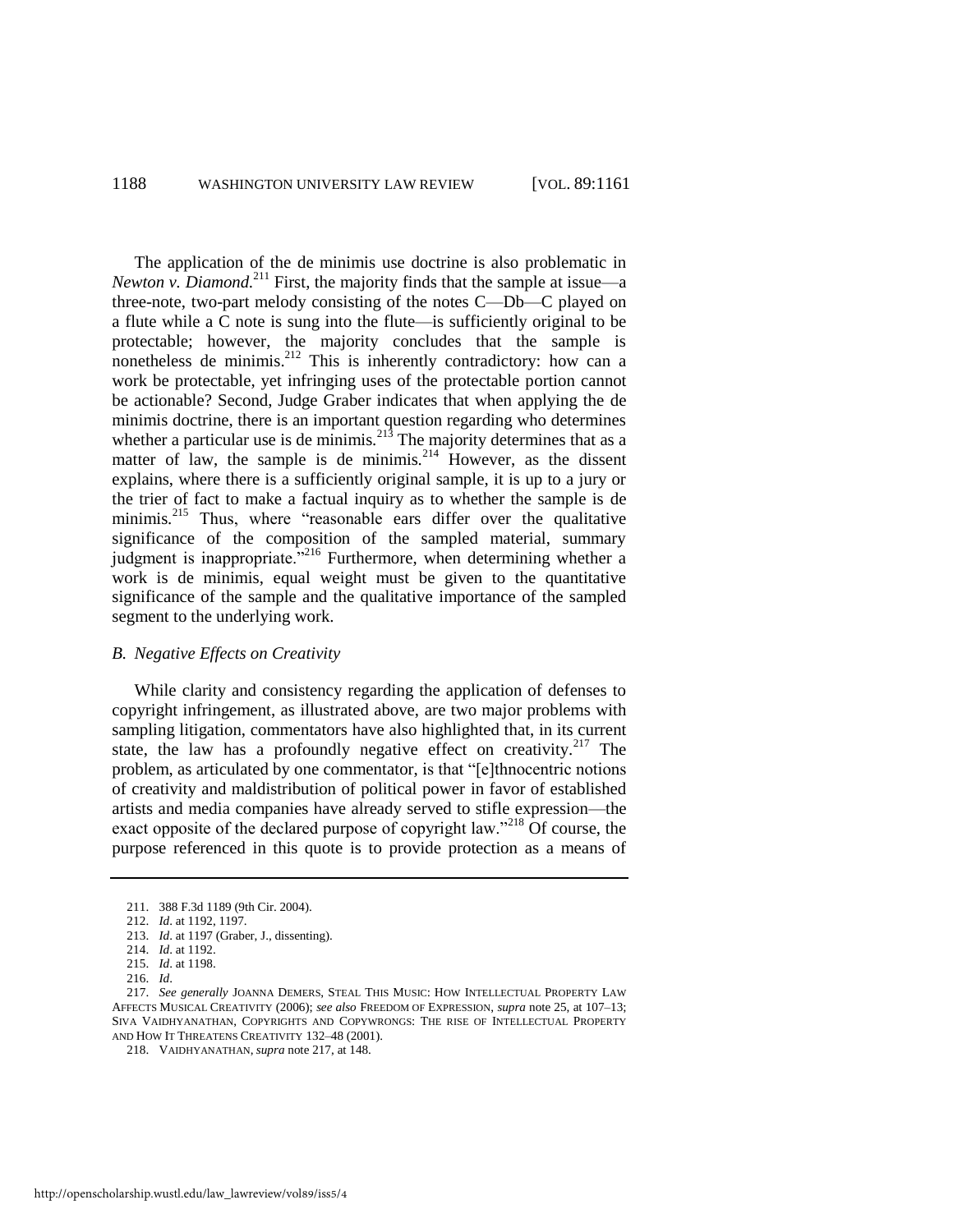<span id="page-28-2"></span>The application of the de minimis use doctrine is also problematic in *Newton v. Diamond.*<sup>211</sup> First, the majority finds that the sample at issue—a three-note, two-part melody consisting of the notes C—Db—C played on a flute while a C note is sung into the flute—is sufficiently original to be protectable; however, the majority concludes that the sample is nonetheless de minimis.<sup>212</sup> This is inherently contradictory: how can a work be protectable, yet infringing uses of the protectable portion cannot be actionable? Second, Judge Graber indicates that when applying the de minimis doctrine, there is an important question regarding who determines whether a particular use is de minimis.<sup>213</sup> The majority determines that as a matter of law, the sample is de minimis.<sup>214</sup> However, as the dissent explains, where there is a sufficiently original sample, it is up to a jury or the trier of fact to make a factual inquiry as to whether the sample is de minimis.<sup>215</sup> Thus, where "reasonable ears differ over the qualitative significance of the composition of the sampled material, summary judgment is inappropriate.<sup>7216</sup> Furthermore, when determining whether a work is de minimis, equal weight must be given to the quantitative significance of the sample and the qualitative importance of the sampled segment to the underlying work.

#### *B. Negative Effects on Creativity*

<span id="page-28-0"></span>While clarity and consistency regarding the application of defenses to copyright infringement, as illustrated above, are two major problems with sampling litigation, commentators have also highlighted that, in its current state, the law has a profoundly negative effect on creativity.<sup>217</sup> The problem, as articulated by one commentator, is that "[e]thnocentric notions of creativity and maldistribution of political power in favor of established artists and media companies have already served to stifle expression—the exact opposite of the declared purpose of copyright law."<sup>218</sup> Of course, the purpose referenced in this quote is to provide protection as a means of

<span id="page-28-1"></span><sup>211. 388</sup> F.3d 1189 (9th Cir. 2004).

<sup>212.</sup> *Id*. at 1192, 1197.

<sup>213.</sup> *Id*. at 1197 (Graber, J., dissenting).

<sup>214.</sup> *Id*. at 1192.

<sup>215.</sup> *Id*. at 1198.

<sup>216.</sup> *Id*.

<sup>217.</sup> *See generally* JOANNA DEMERS, STEAL THIS MUSIC: HOW INTELLECTUAL PROPERTY LAW AFFECTS MUSICAL CREATIVITY (2006); *see also* FREEDOM OF EXPRESSION, *supra* not[e 25,](#page-3-1) at 107–13; SIVA VAIDHYANATHAN, COPYRIGHTS AND COPYWRONGS: THE RISE OF INTELLECTUAL PROPERTY AND HOW IT THREATENS CREATIVITY 132–48 (2001).

<sup>218.</sup> VAIDHYANATHAN, *supra* not[e 217,](#page-28-0) at 148.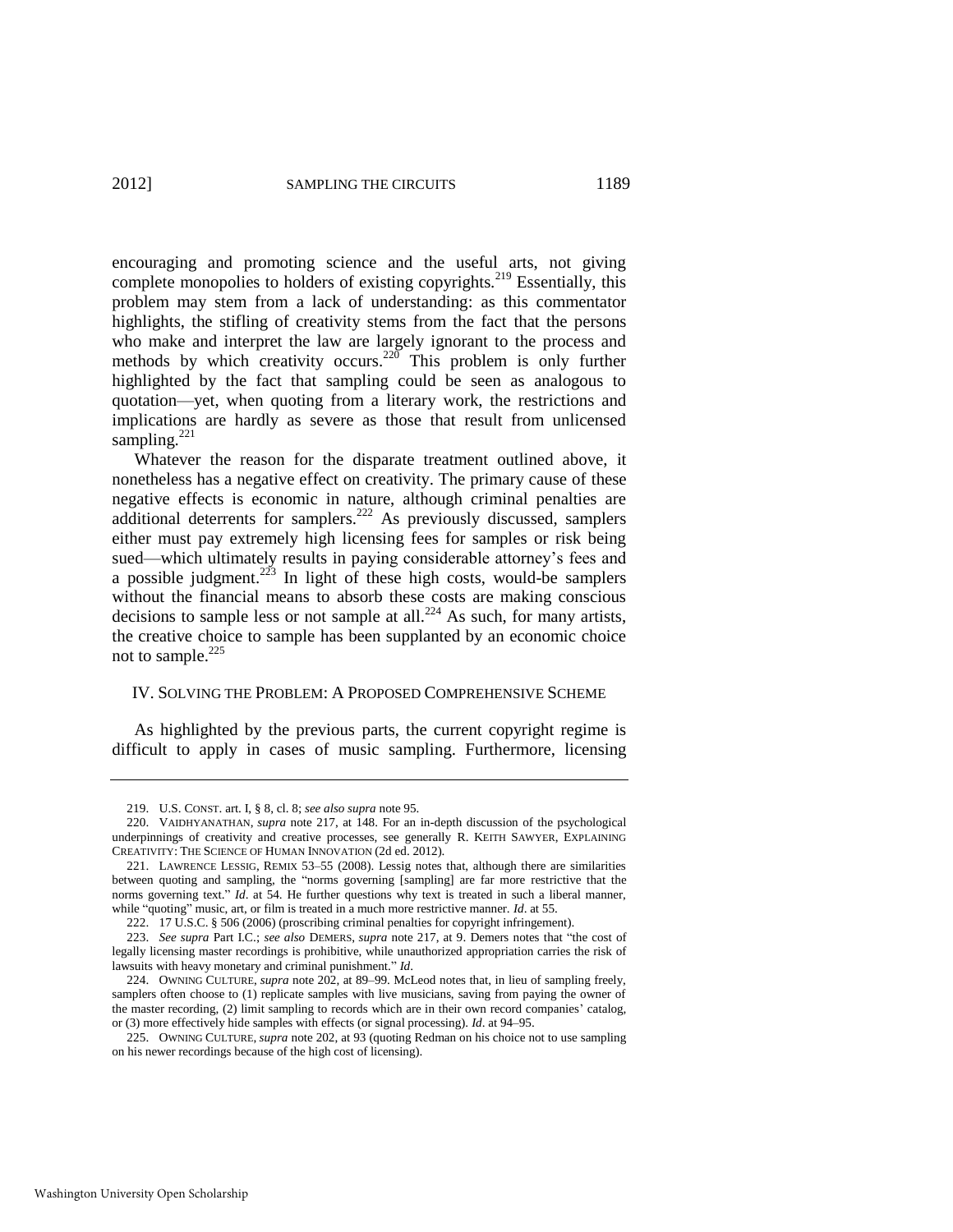encouraging and promoting science and the useful arts, not giving complete monopolies to holders of existing copyrights.<sup>219</sup> Essentially, this problem may stem from a lack of understanding: as this commentator highlights, the stifling of creativity stems from the fact that the persons who make and interpret the law are largely ignorant to the process and methods by which creativity occurs.<sup>220</sup> This problem is only further highlighted by the fact that sampling could be seen as analogous to quotation—yet, when quoting from a literary work, the restrictions and implications are hardly as severe as those that result from unlicensed sampling. $221$ 

<span id="page-29-0"></span>Whatever the reason for the disparate treatment outlined above, it nonetheless has a negative effect on creativity. The primary cause of these negative effects is economic in nature, although criminal penalties are additional deterrents for samplers.<sup>222</sup> As previously discussed, samplers either must pay extremely high licensing fees for samples or risk being sued—which ultimately results in paying considerable attorney's fees and a possible judgment.<sup>223</sup> In light of these high costs, would-be samplers without the financial means to absorb these costs are making conscious decisions to sample less or not sample at all.<sup>224</sup> As such, for many artists, the creative choice to sample has been supplanted by an economic choice not to sample. $^{225}$ 

#### IV. SOLVING THE PROBLEM: A PROPOSED COMPREHENSIVE SCHEME

As highlighted by the previous parts, the current copyright regime is difficult to apply in cases of music sampling. Furthermore, licensing

<sup>219.</sup> U.S. CONST. art. I, § 8, cl. 8; *see also supra* not[e 95.](#page-14-4) 

<sup>220.</sup> VAIDHYANATHAN, *supra* note [217,](#page-28-0) at 148. For an in-depth discussion of the psychological underpinnings of creativity and creative processes, see generally R. KEITH SAWYER, EXPLAINING CREATIVITY: THE SCIENCE OF HUMAN INNOVATION (2d ed. 2012).

<sup>221.</sup> LAWRENCE LESSIG, REMIX 53–55 (2008). Lessig notes that, although there are similarities between quoting and sampling, the "norms governing [sampling] are far more restrictive that the norms governing text." *Id*. at 54. He further questions why text is treated in such a liberal manner, while "quoting" music, art, or film is treated in a much more restrictive manner. *Id.* at 55.

<sup>222. 17</sup> U.S.C. § 506 (2006) (proscribing criminal penalties for copyright infringement).

<sup>223.</sup> *See supra* Part I.C.; *see also* DEMERS, *supra* note [217,](#page-28-0) at 9. Demers notes that "the cost of legally licensing master recordings is prohibitive, while unauthorized appropriation carries the risk of lawsuits with heavy monetary and criminal punishment." *Id*.

<sup>224.</sup> OWNING CULTURE, *supra* note [202,](#page-26-0) at 89–99. McLeod notes that, in lieu of sampling freely, samplers often choose to (1) replicate samples with live musicians, saving from paying the owner of the master recording, (2) limit sampling to records which are in their own record companies' catalog, or (3) more effectively hide samples with effects (or signal processing). *Id*. at 94–95.

<sup>225.</sup> OWNING CULTURE, *supra* not[e 202,](#page-26-0) at 93 (quoting Redman on his choice not to use sampling on his newer recordings because of the high cost of licensing).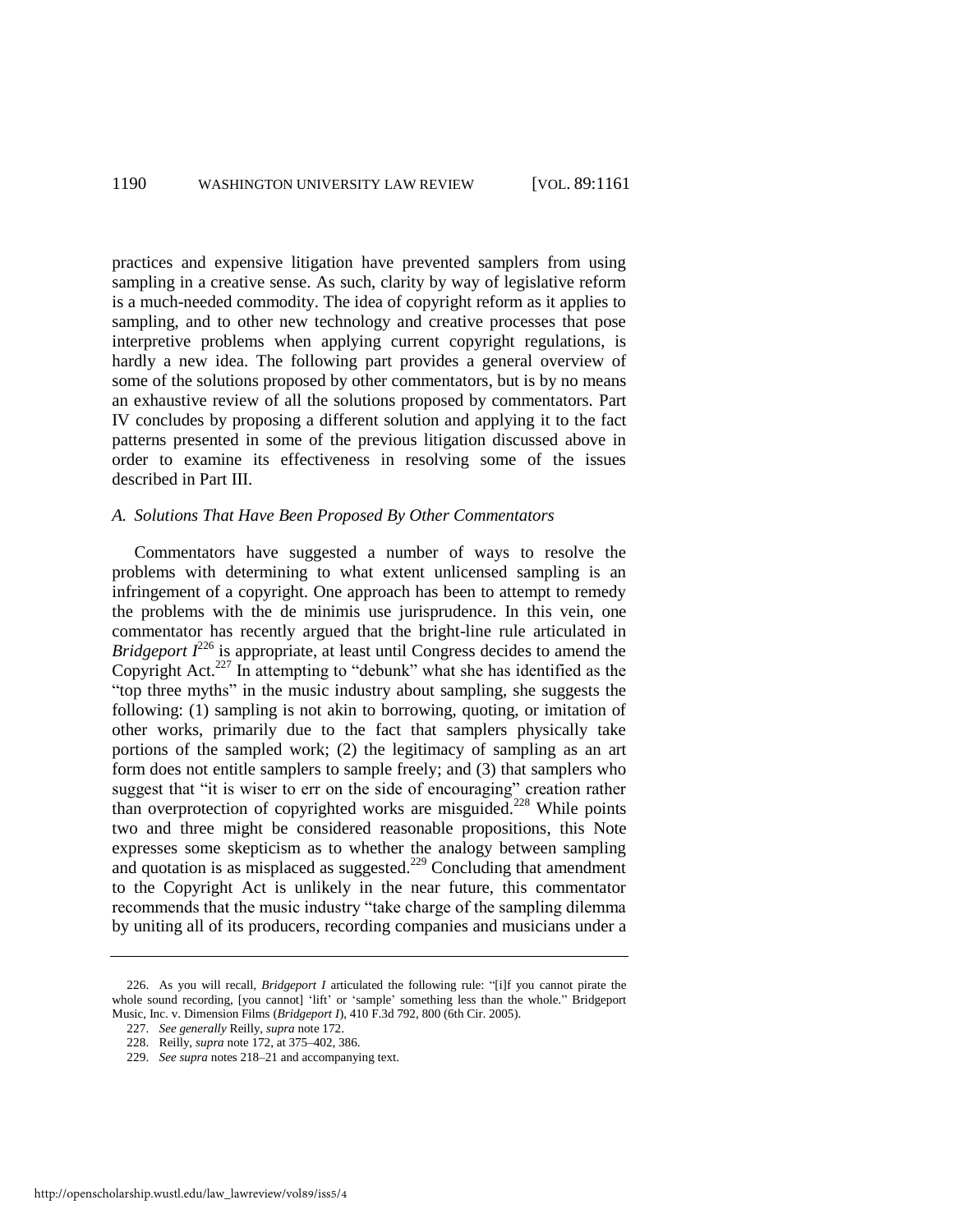practices and expensive litigation have prevented samplers from using sampling in a creative sense. As such, clarity by way of legislative reform is a much-needed commodity. The idea of copyright reform as it applies to sampling, and to other new technology and creative processes that pose interpretive problems when applying current copyright regulations, is hardly a new idea. The following part provides a general overview of some of the solutions proposed by other commentators, but is by no means an exhaustive review of all the solutions proposed by commentators. Part IV concludes by proposing a different solution and applying it to the fact patterns presented in some of the previous litigation discussed above in order to examine its effectiveness in resolving some of the issues described in Part III.

#### *A. Solutions That Have Been Proposed By Other Commentators*

Commentators have suggested a number of ways to resolve the problems with determining to what extent unlicensed sampling is an infringement of a copyright. One approach has been to attempt to remedy the problems with the de minimis use jurisprudence. In this vein, one commentator has recently argued that the bright-line rule articulated in *Bridgeport*  $I^{226}$  is appropriate, at least until Congress decides to amend the Copyright Act.<sup>227</sup> In attempting to "debunk" what she has identified as the "top three myths" in the music industry about sampling, she suggests the following: (1) sampling is not akin to borrowing, quoting, or imitation of other works, primarily due to the fact that samplers physically take portions of the sampled work; (2) the legitimacy of sampling as an art form does not entitle samplers to sample freely; and (3) that samplers who suggest that "it is wiser to err on the side of encouraging" creation rather than overprotection of copyrighted works are misguided.<sup>228</sup> While points two and three might be considered reasonable propositions, this Note expresses some skepticism as to whether the analogy between sampling and quotation is as misplaced as suggested.<sup>229</sup> Concluding that amendment to the Copyright Act is unlikely in the near future, this commentator recommends that the music industry "take charge of the sampling dilemma by uniting all of its producers, recording companies and musicians under a

<sup>226.</sup> As you will recall, *Bridgeport I* articulated the following rule: "[i]f you cannot pirate the whole sound recording, [you cannot] 'lift' or 'sample' something less than the whole." Bridgeport Music, Inc. v. Dimension Films (*Bridgeport I*), 410 F.3d 792, 800 (6th Cir. 2005).

<sup>227.</sup> *See generally* Reilly, *supra* not[e 172.](#page-23-0)

<sup>228.</sup> Reilly, *supra* note [172,](#page-23-0) at 375–402, 386.

<sup>229.</sup> *See supra* note[s 218–](#page-28-1)21 and accompanying text.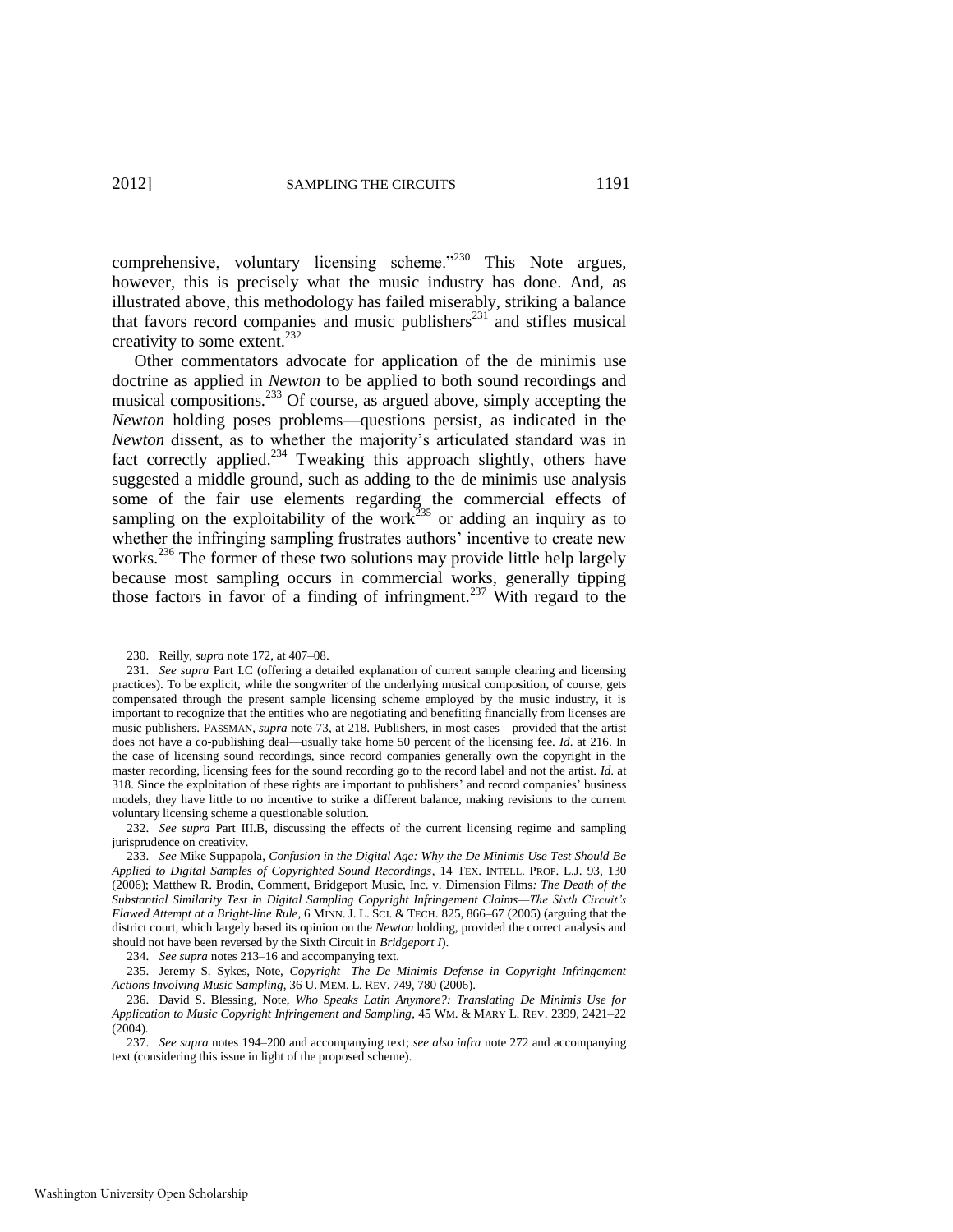<span id="page-31-0"></span>comprehensive, voluntary licensing scheme. $^{230}$  This Note argues, however, this is precisely what the music industry has done. And, as illustrated above, this methodology has failed miserably, striking a balance that favors record companies and music publishers<sup>231</sup> and stifles musical creativity to some extent.<sup>232</sup>

Other commentators advocate for application of the de minimis use doctrine as applied in *Newton* to be applied to both sound recordings and musical compositions.<sup>233</sup> Of course, as argued above, simply accepting the *Newton* holding poses problems—questions persist, as indicated in the *Newton* dissent, as to whether the majority's articulated standard was in fact correctly applied. $^{234}$  Tweaking this approach slightly, others have suggested a middle ground, such as adding to the de minimis use analysis some of the fair use elements regarding the commercial effects of sampling on the exploitability of the work $^{235}$  or adding an inquiry as to whether the infringing sampling frustrates authors' incentive to create new works.<sup>236</sup> The former of these two solutions may provide little help largely because most sampling occurs in commercial works, generally tipping those factors in favor of a finding of infringment.<sup>237</sup> With regard to the

<sup>230.</sup> Reilly, *supra* note [172,](#page-23-0) at 407–08.

<sup>231.</sup> *See supra* Part I.C (offering a detailed explanation of current sample clearing and licensing practices). To be explicit, while the songwriter of the underlying musical composition, of course, gets compensated through the present sample licensing scheme employed by the music industry, it is important to recognize that the entities who are negotiating and benefiting financially from licenses are music publishers. PASSMAN, *supra* note [73,](#page-10-0) at 218. Publishers, in most cases—provided that the artist does not have a co-publishing deal—usually take home 50 percent of the licensing fee. *Id*. at 216. In the case of licensing sound recordings, since record companies generally own the copyright in the master recording, licensing fees for the sound recording go to the record label and not the artist. *Id*. at 318. Since the exploitation of these rights are important to publishers' and record companies' business models, they have little to no incentive to strike a different balance, making revisions to the current voluntary licensing scheme a questionable solution.

<sup>232.</sup> *See supra* Part III.B, discussing the effects of the current licensing regime and sampling jurisprudence on creativity.

<sup>233.</sup> *See* Mike Suppapola, *Confusion in the Digital Age: Why the De Minimis Use Test Should Be Applied to Digital Samples of Copyrighted Sound Recordings*, 14 TEX. INTELL. PROP. L.J. 93, 130 (2006); Matthew R. Brodin, Comment, Bridgeport Music, Inc. v. Dimension Films*: The Death of the Substantial Similarity Test in Digital Sampling Copyright Infringement Claims—The Sixth Circuit's Flawed Attempt at a Bright-line Rule*, 6 MINN. J. L. SCI. & TECH. 825, 866–67 (2005) (arguing that the district court, which largely based its opinion on the *Newton* holding, provided the correct analysis and should not have been reversed by the Sixth Circuit in *Bridgeport I*).

<sup>234.</sup> *See supra* note[s 213–](#page-28-2)16 and accompanying text.

<sup>235.</sup> Jeremy S. Sykes, Note, *Copyright—The De Minimis Defense in Copyright Infringement Actions Involving Music Sampling*, 36 U. MEM. L. REV. 749, 780 (2006).

<sup>236.</sup> David S. Blessing, Note, *Who Speaks Latin Anymore?: Translating De Minimis Use for Application to Music Copyright Infringement and Sampling*, 45 WM. & MARY L. REV. 2399, 2421–22 (2004).

<sup>237.</sup> *See supra* note[s 194](#page-25-0)[–200 a](#page-26-1)nd accompanying text; *see also infra* not[e 272](#page-38-0) and accompanying text (considering this issue in light of the proposed scheme).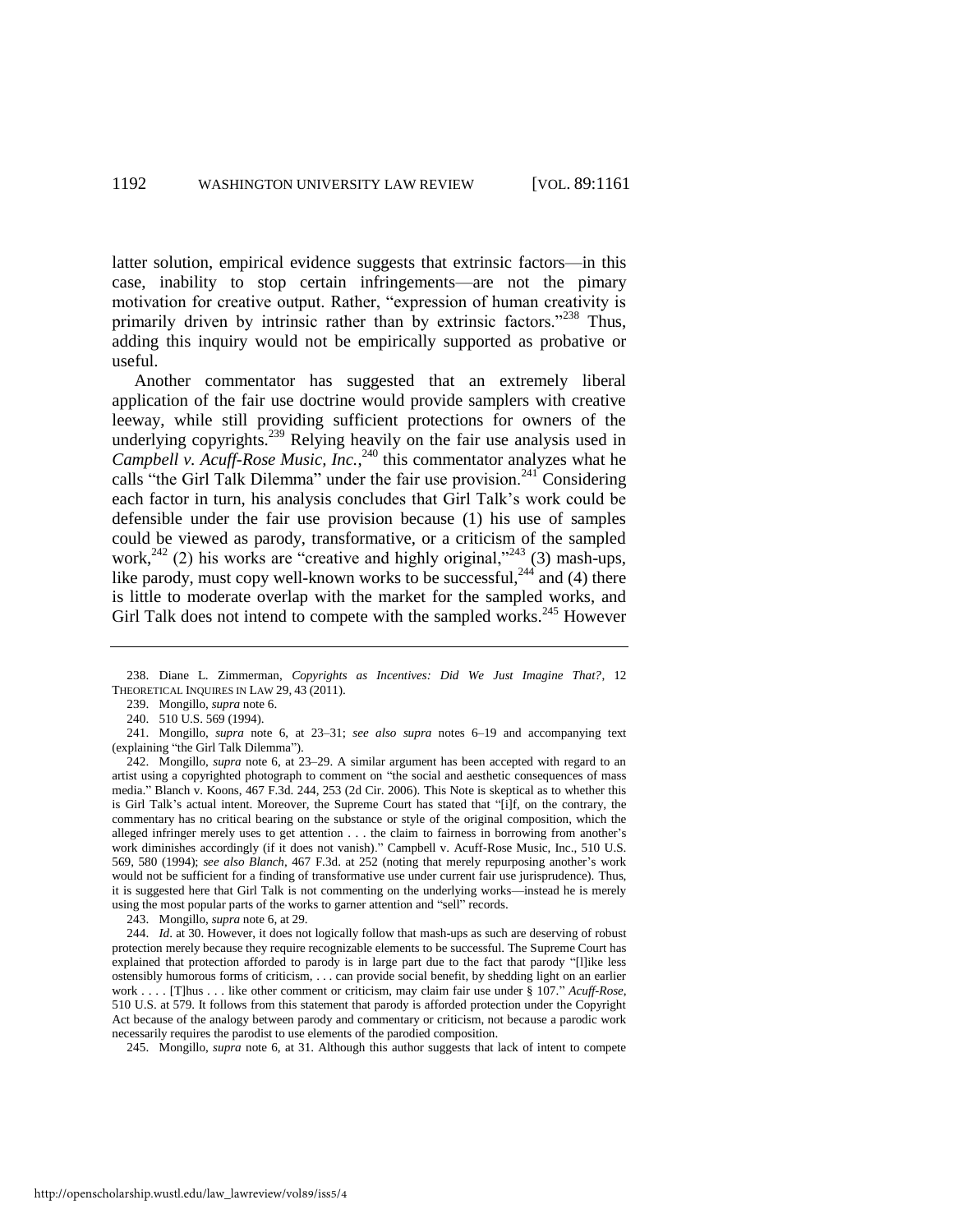latter solution, empirical evidence suggests that extrinsic factors—in this case, inability to stop certain infringements—are not the pimary motivation for creative output. Rather, "expression of human creativity is primarily driven by intrinsic rather than by extrinsic factors."<sup>238</sup> Thus, adding this inquiry would not be empirically supported as probative or useful.

<span id="page-32-0"></span>Another commentator has suggested that an extremely liberal application of the fair use doctrine would provide samplers with creative leeway, while still providing sufficient protections for owners of the underlying copyrights.<sup>239</sup> Relying heavily on the fair use analysis used in Campbell v. Acuff-Rose Music, Inc.,<sup>240</sup> this commentator analyzes what he calls "the Girl Talk Dilemma" under the fair use provision.<sup>241</sup> Considering each factor in turn, his analysis concludes that Girl Talk's work could be defensible under the fair use provision because (1) his use of samples could be viewed as parody, transformative, or a criticism of the sampled work, $242$  (2) his works are "creative and highly original," $243$  (3) mash-ups, like parody, must copy well-known works to be successful,  $^{244}$  and (4) there is little to moderate overlap with the market for the sampled works, and Girl Talk does not intend to compete with the sampled works.<sup>245</sup> However

243. Mongillo, *supra* not[e 6,](#page-2-0) at 29.

244. *Id*. at 30. However, it does not logically follow that mash-ups as such are deserving of robust protection merely because they require recognizable elements to be successful. The Supreme Court has explained that protection afforded to parody is in large part due to the fact that parody "[l]ike less ostensibly humorous forms of criticism, . . . can provide social benefit, by shedding light on an earlier work . . . . [T]hus . . . like other comment or criticism, may claim fair use under § 107." *Acuff-Rose*, 510 U.S. at 579. It follows from this statement that parody is afforded protection under the Copyright Act because of the analogy between parody and commentary or criticism, not because a parodic work necessarily requires the parodist to use elements of the parodied composition.

245. Mongillo, *supra* note [6,](#page-2-0) at 31. Although this author suggests that lack of intent to compete

<sup>238.</sup> Diane L. Zimmerman, *Copyrights as Incentives: Did We Just Imagine That?*, 12 THEORETICAL INQUIRES IN LAW 29, 43 (2011).

<sup>239.</sup> Mongillo, *supra* not[e 6.](#page-2-0)

<sup>240. 510</sup> U.S. 569 (1994).

<sup>241.</sup> Mongillo, *supra* note [6,](#page-2-0) at 23–31; *see also supra* notes [6](#page-2-0)[–19](#page-2-2) and accompanying text (explaining "the Girl Talk Dilemma").

<sup>242.</sup> Mongillo, *supra* note [6,](#page-2-0) at 23–29. A similar argument has been accepted with regard to an artist using a copyrighted photograph to comment on "the social and aesthetic consequences of mass media.‖ Blanch v. Koons, 467 F.3d. 244, 253 (2d Cir. 2006). This Note is skeptical as to whether this is Girl Talk's actual intent. Moreover, the Supreme Court has stated that "[i]f, on the contrary, the commentary has no critical bearing on the substance or style of the original composition, which the alleged infringer merely uses to get attention . . . the claim to fairness in borrowing from another's work diminishes accordingly (if it does not vanish)." Campbell v. Acuff-Rose Music, Inc., 510 U.S. 569, 580 (1994); *see also Blanch*, 467 F.3d. at 252 (noting that merely repurposing another's work would not be sufficient for a finding of transformative use under current fair use jurisprudence). Thus, it is suggested here that Girl Talk is not commenting on the underlying works—instead he is merely using the most popular parts of the works to garner attention and "sell" records.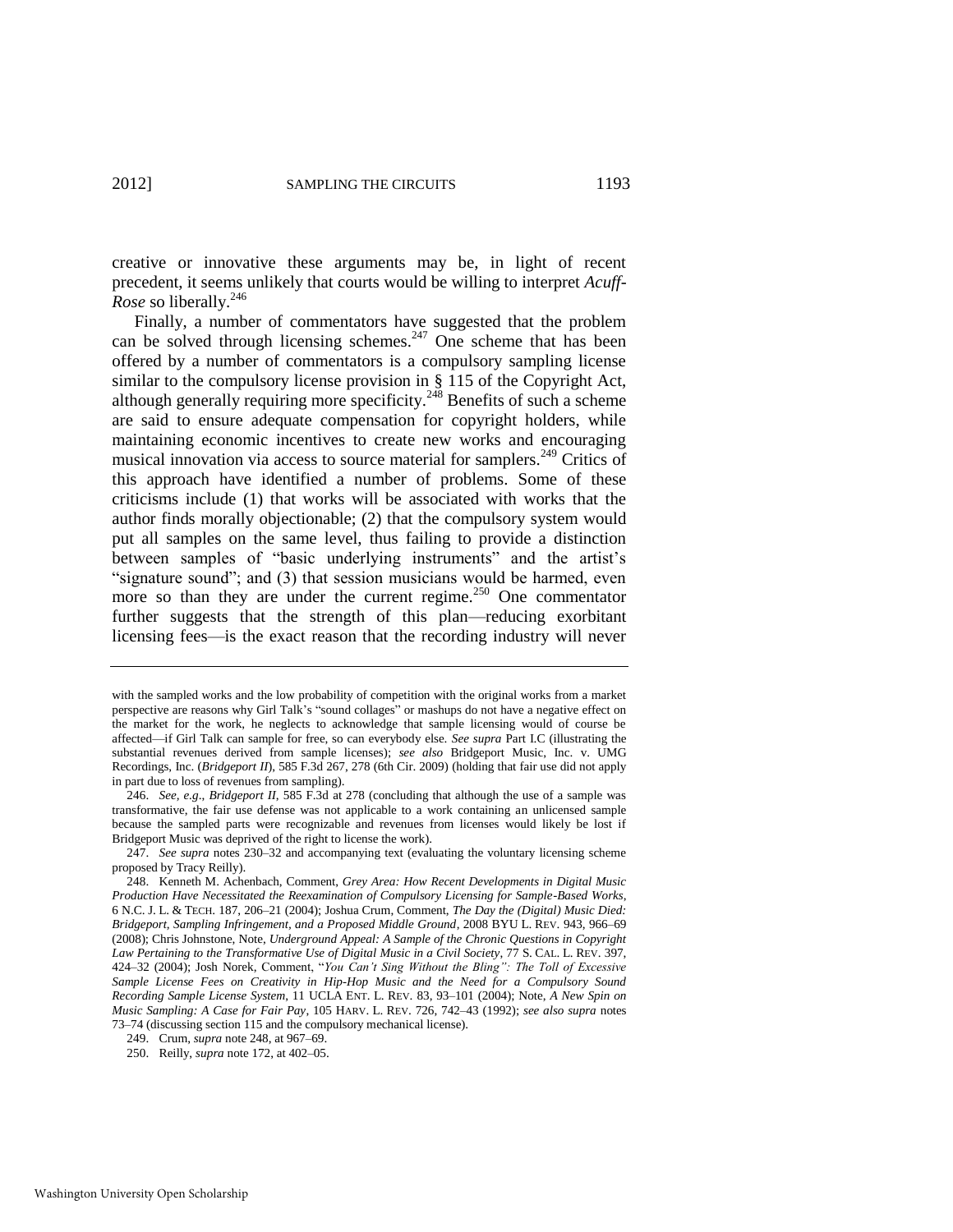creative or innovative these arguments may be, in light of recent precedent, it seems unlikely that courts would be willing to interpret *Acuff-Rose* so liberally.<sup>246</sup>

<span id="page-33-0"></span>Finally, a number of commentators have suggested that the problem can be solved through licensing schemes.<sup>247</sup> One scheme that has been offered by a number of commentators is a compulsory sampling license similar to the compulsory license provision in § 115 of the Copyright Act, although generally requiring more specificity.<sup>248</sup> Benefits of such a scheme are said to ensure adequate compensation for copyright holders, while maintaining economic incentives to create new works and encouraging musical innovation via access to source material for samplers.<sup>249</sup> Critics of this approach have identified a number of problems. Some of these criticisms include (1) that works will be associated with works that the author finds morally objectionable; (2) that the compulsory system would put all samples on the same level, thus failing to provide a distinction between samples of "basic underlying instruments" and the artist's "signature sound"; and  $(3)$  that session musicians would be harmed, even more so than they are under the current regime.<sup>250</sup> One commentator further suggests that the strength of this plan—reducing exorbitant licensing fees—is the exact reason that the recording industry will never

with the sampled works and the low probability of competition with the original works from a market perspective are reasons why Girl Talk's "sound collages" or mashups do not have a negative effect on the market for the work, he neglects to acknowledge that sample licensing would of course be affected—if Girl Talk can sample for free, so can everybody else. *See supra* Part I.C (illustrating the substantial revenues derived from sample licenses); *see also* Bridgeport Music, Inc. v. UMG Recordings, Inc. (*Bridgeport II*), 585 F.3d 267, 278 (6th Cir. 2009) (holding that fair use did not apply in part due to loss of revenues from sampling).

<sup>246.</sup> *See, e.g*., *Bridgeport II*, 585 F.3d at 278 (concluding that although the use of a sample was transformative, the fair use defense was not applicable to a work containing an unlicensed sample because the sampled parts were recognizable and revenues from licenses would likely be lost if Bridgeport Music was deprived of the right to license the work).

<sup>247.</sup> *See supra* notes [230–](#page-31-0)32 and accompanying text (evaluating the voluntary licensing scheme proposed by Tracy Reilly).

<sup>248.</sup> Kenneth M. Achenbach, Comment, *Grey Area: How Recent Developments in Digital Music Production Have Necessitated the Reexamination of Compulsory Licensing for Sample-Based Works*, 6 N.C. J. L. & TECH. 187, 206–21 (2004); Joshua Crum, Comment, *The Day the (Digital) Music Died: Bridgeport, Sampling Infringement, and a Proposed Middle Ground*, 2008 BYU L. REV. 943, 966–69 (2008); Chris Johnstone, Note, *Underground Appeal: A Sample of the Chronic Questions in Copyright Law Pertaining to the Transformative Use of Digital Music in a Civil Society*, 77 S. CAL. L. REV. 397, 424–32 (2004); Josh Norek, Comment, "You Can't Sing Without the Bling": The Toll of Excessive *Sample License Fees on Creativity in Hip-Hop Music and the Need for a Compulsory Sound Recording Sample License System*, 11 UCLA ENT. L. REV. 83, 93–101 (2004); Note, *A New Spin on Music Sampling: A Case for Fair Pay*, 105 HARV. L. REV. 726, 742–43 (1992); *see also supra* notes [73](#page-10-0)[–74](#page-11-0) (discussing section 115 and the compulsory mechanical license).

<sup>249.</sup> Crum, *supra* not[e 248,](#page-33-0) at 967–69.

<sup>250.</sup> Reilly, *supra* note [172,](#page-23-0) at 402–05.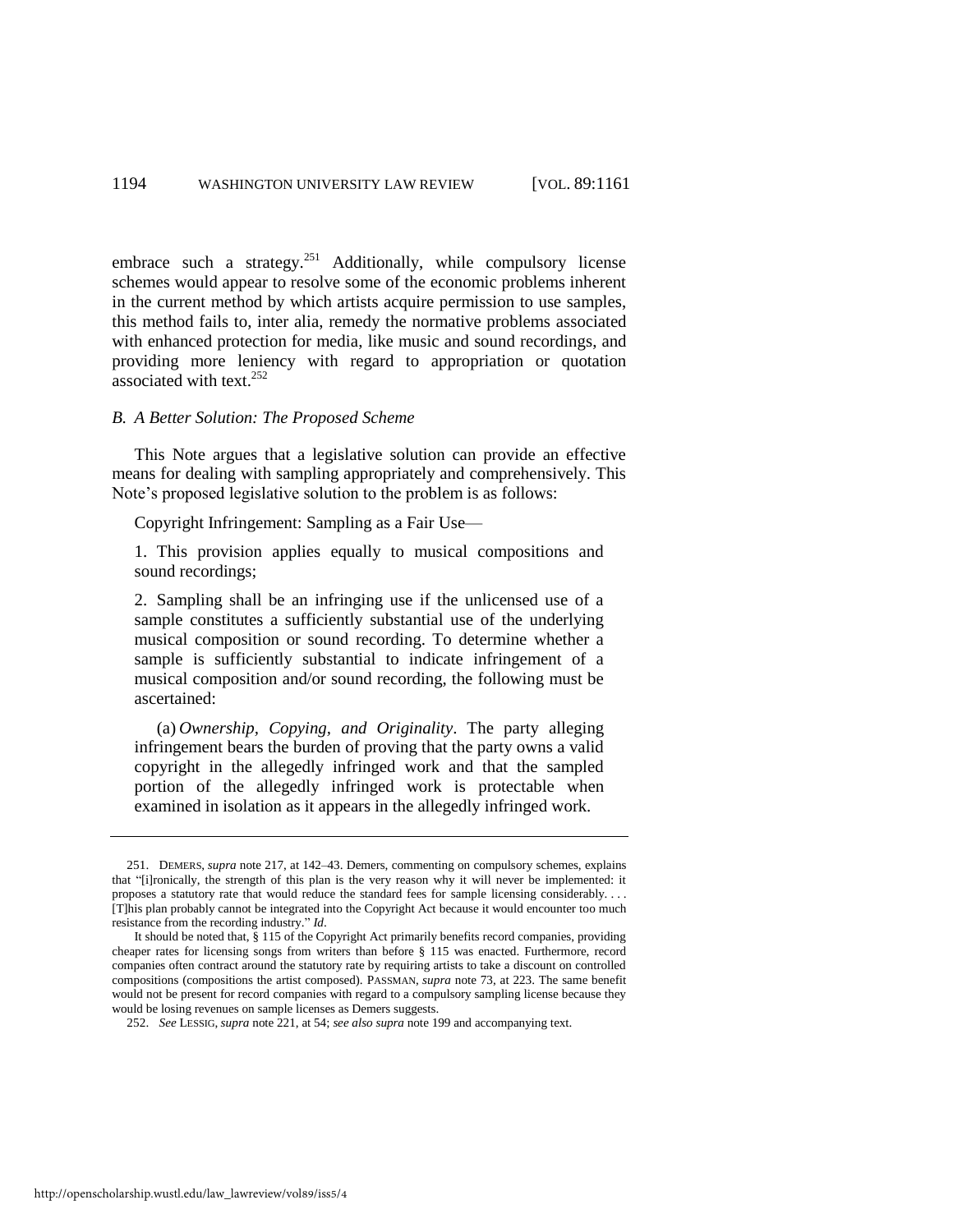embrace such a strategy.<sup>251</sup> Additionally, while compulsory license schemes would appear to resolve some of the economic problems inherent in the current method by which artists acquire permission to use samples, this method fails to, inter alia, remedy the normative problems associated with enhanced protection for media, like music and sound recordings, and providing more leniency with regard to appropriation or quotation associated with text. $^{252}$ 

#### *B. A Better Solution: The Proposed Scheme*

This Note argues that a legislative solution can provide an effective means for dealing with sampling appropriately and comprehensively. This Note's proposed legislative solution to the problem is as follows:

Copyright Infringement: Sampling as a Fair Use—

1. This provision applies equally to musical compositions and sound recordings;

2. Sampling shall be an infringing use if the unlicensed use of a sample constitutes a sufficiently substantial use of the underlying musical composition or sound recording. To determine whether a sample is sufficiently substantial to indicate infringement of a musical composition and/or sound recording, the following must be ascertained:

(a) *Ownership, Copying, and Originality*. The party alleging infringement bears the burden of proving that the party owns a valid copyright in the allegedly infringed work and that the sampled portion of the allegedly infringed work is protectable when examined in isolation as it appears in the allegedly infringed work.

<sup>251.</sup> DEMERS, *supra* note [217,](#page-28-0) at 142–43. Demers, commenting on compulsory schemes, explains that "[i]ronically, the strength of this plan is the very reason why it will never be implemented: it proposes a statutory rate that would reduce the standard fees for sample licensing considerably. . . . [T]his plan probably cannot be integrated into the Copyright Act because it would encounter too much resistance from the recording industry." Id.

It should be noted that, § 115 of the Copyright Act primarily benefits record companies, providing cheaper rates for licensing songs from writers than before § 115 was enacted. Furthermore, record companies often contract around the statutory rate by requiring artists to take a discount on controlled compositions (compositions the artist composed). PASSMAN, *supra* not[e 73,](#page-10-0) at 223. The same benefit would not be present for record companies with regard to a compulsory sampling license because they would be losing revenues on sample licenses as Demers suggests.

<sup>252.</sup> *See* LESSIG, *supra* not[e 221,](#page-29-0) at 54; *see also supra* not[e 199 a](#page-26-2)nd accompanying text.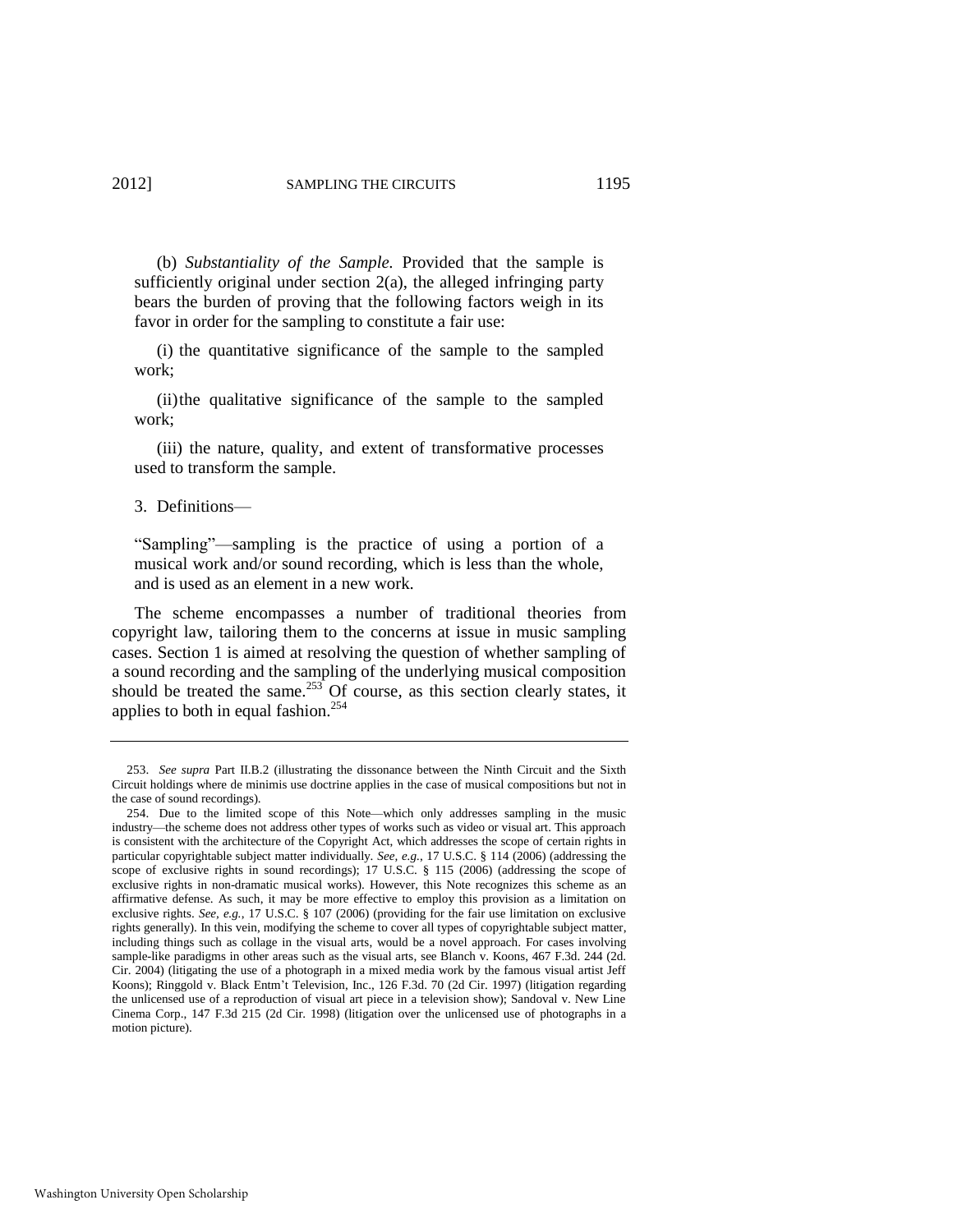(b) *Substantiality of the Sample.* Provided that the sample is sufficiently original under section  $2(a)$ , the alleged infringing party bears the burden of proving that the following factors weigh in its favor in order for the sampling to constitute a fair use:

(i) the quantitative significance of the sample to the sampled work;

 (ii) the qualitative significance of the sample to the sampled work;

 (iii) the nature, quality, and extent of transformative processes used to transform the sample.

3. Definitions—

―Sampling‖—sampling is the practice of using a portion of a musical work and/or sound recording, which is less than the whole, and is used as an element in a new work.

The scheme encompasses a number of traditional theories from copyright law, tailoring them to the concerns at issue in music sampling cases. Section 1 is aimed at resolving the question of whether sampling of a sound recording and the sampling of the underlying musical composition should be treated the same.<sup>253</sup> Of course, as this section clearly states, it applies to both in equal fashion. $254$ 

<sup>253.</sup> *See supra* Part II.B.2 (illustrating the dissonance between the Ninth Circuit and the Sixth Circuit holdings where de minimis use doctrine applies in the case of musical compositions but not in the case of sound recordings).

<sup>254.</sup> Due to the limited scope of this Note—which only addresses sampling in the music industry—the scheme does not address other types of works such as video or visual art. This approach is consistent with the architecture of the Copyright Act, which addresses the scope of certain rights in particular copyrightable subject matter individually. *See, e.g.*, 17 U.S.C. § 114 (2006) (addressing the scope of exclusive rights in sound recordings); 17 U.S.C. § 115 (2006) (addressing the scope of exclusive rights in non-dramatic musical works). However, this Note recognizes this scheme as an affirmative defense. As such, it may be more effective to employ this provision as a limitation on exclusive rights. *See, e.g.*, 17 U.S.C. § 107 (2006) (providing for the fair use limitation on exclusive rights generally). In this vein, modifying the scheme to cover all types of copyrightable subject matter, including things such as collage in the visual arts, would be a novel approach. For cases involving sample-like paradigms in other areas such as the visual arts, see Blanch v. Koons, 467 F.3d. 244 (2d. Cir. 2004) (litigating the use of a photograph in a mixed media work by the famous visual artist Jeff Koons); Ringgold v. Black Entm't Television, Inc., 126 F.3d. 70 (2d Cir. 1997) (litigation regarding the unlicensed use of a reproduction of visual art piece in a television show); Sandoval v. New Line Cinema Corp., 147 F.3d 215 (2d Cir. 1998) (litigation over the unlicensed use of photographs in a motion picture).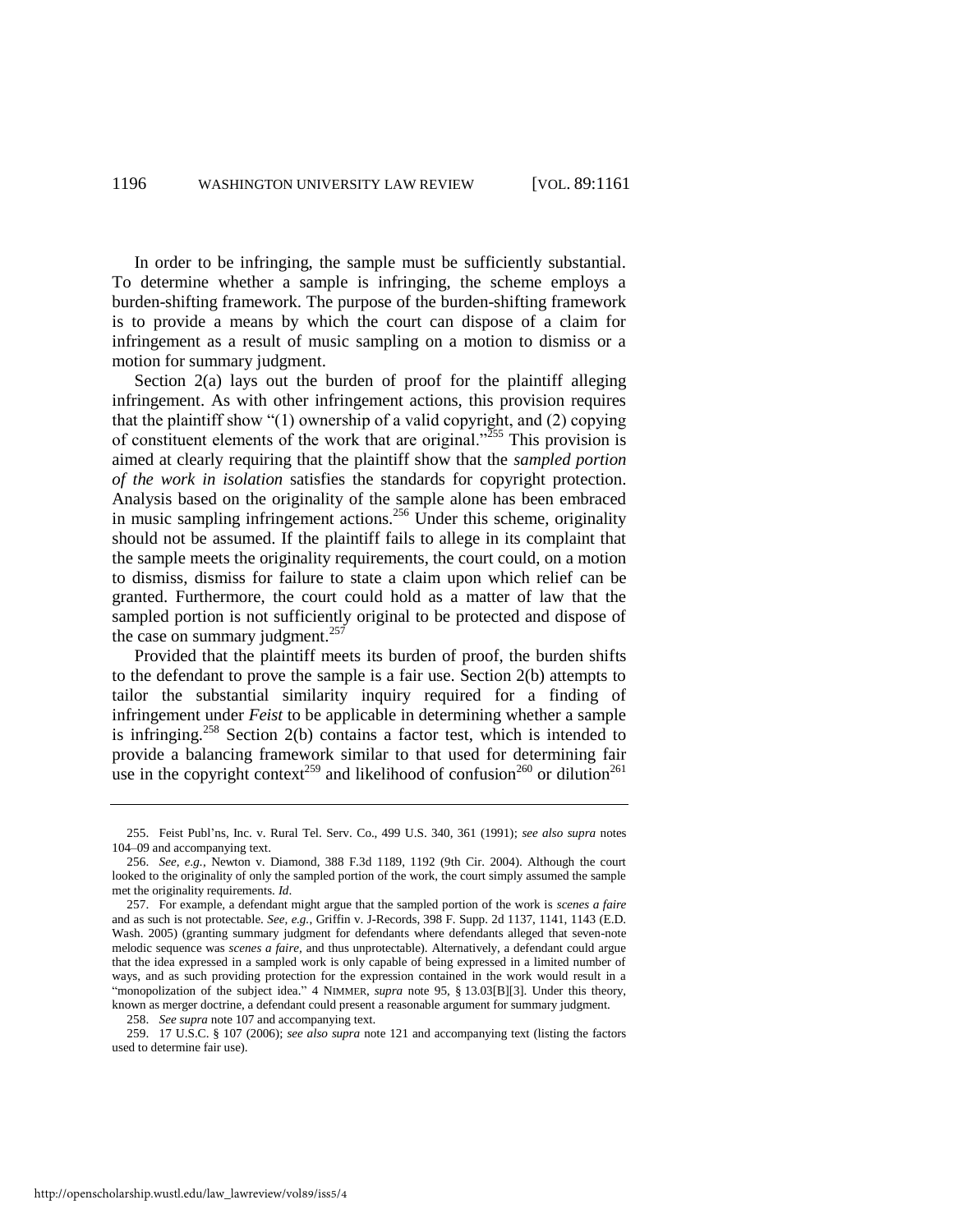In order to be infringing, the sample must be sufficiently substantial. To determine whether a sample is infringing, the scheme employs a burden-shifting framework. The purpose of the burden-shifting framework is to provide a means by which the court can dispose of a claim for infringement as a result of music sampling on a motion to dismiss or a motion for summary judgment.

Section 2(a) lays out the burden of proof for the plaintiff alleging infringement. As with other infringement actions, this provision requires that the plaintiff show "(1) ownership of a valid copyright, and (2) copying of constituent elements of the work that are original.<sup>255</sup> This provision is aimed at clearly requiring that the plaintiff show that the *sampled portion of the work in isolation* satisfies the standards for copyright protection. Analysis based on the originality of the sample alone has been embraced in music sampling infringement actions.<sup>256</sup> Under this scheme, originality should not be assumed. If the plaintiff fails to allege in its complaint that the sample meets the originality requirements, the court could, on a motion to dismiss, dismiss for failure to state a claim upon which relief can be granted. Furthermore, the court could hold as a matter of law that the sampled portion is not sufficiently original to be protected and dispose of the case on summary judgment. $257$ 

Provided that the plaintiff meets its burden of proof, the burden shifts to the defendant to prove the sample is a fair use. Section 2(b) attempts to tailor the substantial similarity inquiry required for a finding of infringement under *Feist* to be applicable in determining whether a sample is infringing.<sup>258</sup> Section 2(b) contains a factor test, which is intended to provide a balancing framework similar to that used for determining fair use in the copyright context<sup>259</sup> and likelihood of confusion<sup>260</sup> or dilution<sup>261</sup>

259. 17 U.S.C. § 107 (2006); *see also supra* note [121](#page-17-1) and accompanying text (listing the factors used to determine fair use).

<sup>255.</sup> Feist Publ'ns, Inc. v. Rural Tel. Serv. Co., 499 U.S. 340, 361 (1991); *see also supra* notes [104–](#page-15-1)09 and accompanying text.

<sup>256.</sup> *See, e.g.*, Newton v. Diamond, 388 F.3d 1189, 1192 (9th Cir. 2004). Although the court looked to the originality of only the sampled portion of the work, the court simply assumed the sample met the originality requirements. *Id*.

<sup>257.</sup> For example, a defendant might argue that the sampled portion of the work is *scenes a faire* and as such is not protectable. *See, e.g.*, Griffin v. J-Records, 398 F. Supp. 2d 1137, 1141, 1143 (E.D. Wash. 2005) (granting summary judgment for defendants where defendants alleged that seven-note melodic sequence was *scenes a faire,* and thus unprotectable). Alternatively, a defendant could argue that the idea expressed in a sampled work is only capable of being expressed in a limited number of ways, and as such providing protection for the expression contained in the work would result in a "monopolization of the subject idea." 4 NIMMER, *supra* note [95,](#page-14-4) § 13.03[B][3]. Under this theory, known as merger doctrine, a defendant could present a reasonable argument for summary judgment.

<sup>258.</sup> *See supra* not[e 107 a](#page-15-2)nd accompanying text.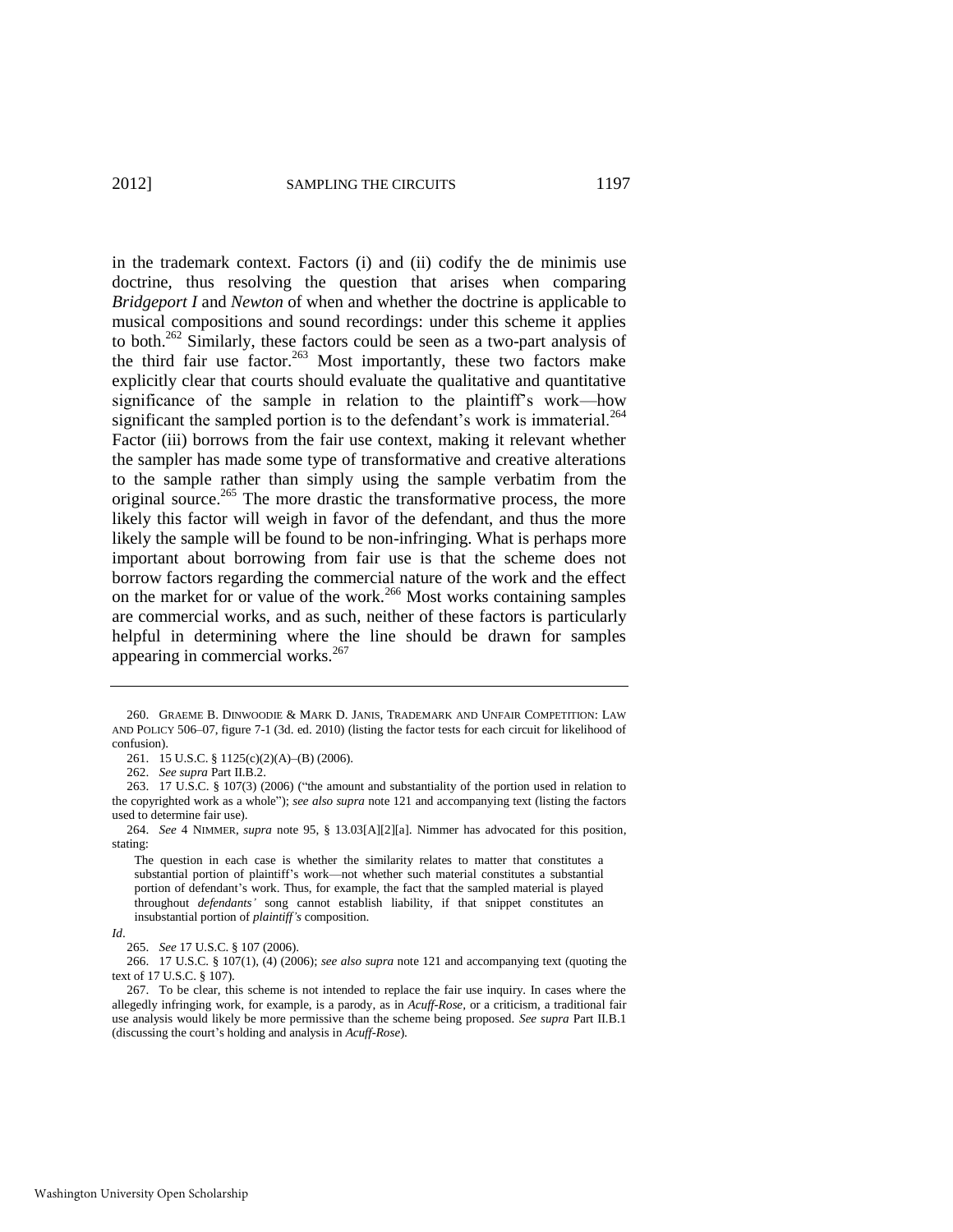in the trademark context. Factors (i) and (ii) codify the de minimis use doctrine, thus resolving the question that arises when comparing *Bridgeport I* and *Newton* of when and whether the doctrine is applicable to musical compositions and sound recordings: under this scheme it applies to both.<sup>262</sup> Similarly, these factors could be seen as a two-part analysis of the third fair use factor.<sup>263</sup> Most importantly, these two factors make explicitly clear that courts should evaluate the qualitative and quantitative significance of the sample in relation to the plaintiff's work—how significant the sampled portion is to the defendant's work is immaterial.<sup>264</sup> Factor (iii) borrows from the fair use context, making it relevant whether the sampler has made some type of transformative and creative alterations to the sample rather than simply using the sample verbatim from the original source.<sup>265</sup> The more drastic the transformative process, the more likely this factor will weigh in favor of the defendant, and thus the more likely the sample will be found to be non-infringing. What is perhaps more important about borrowing from fair use is that the scheme does not borrow factors regarding the commercial nature of the work and the effect on the market for or value of the work.<sup>266</sup> Most works containing samples are commercial works, and as such, neither of these factors is particularly helpful in determining where the line should be drawn for samples appearing in commercial works.<sup>267</sup>

<sup>260.</sup> GRAEME B. DINWOODIE & MARK D. JANIS, TRADEMARK AND UNFAIR COMPETITION: LAW AND POLICY 506–07, figure 7-1 (3d. ed. 2010) (listing the factor tests for each circuit for likelihood of confusion).

<sup>261. 15</sup> U.S.C. § 1125(c)(2)(A)–(B) (2006).

<sup>262.</sup> *See supra* Part II.B.2.

<sup>263. 17</sup> U.S.C. § 107(3) (2006) ("the amount and substantiality of the portion used in relation to the copyrighted work as a whole"); *see also supra* not[e 121](#page-17-1) and accompanying text (listing the factors used to determine fair use).

<sup>264.</sup> *See* 4 NIMMER, *supra* note [95,](#page-14-4) § 13.03[A][2][a]. Nimmer has advocated for this position, stating:

The question in each case is whether the similarity relates to matter that constitutes a substantial portion of plaintiff's work—not whether such material constitutes a substantial portion of defendant's work. Thus, for example, the fact that the sampled material is played throughout *defendants'* song cannot establish liability, if that snippet constitutes an insubstantial portion of *plaintiff's* composition.

*Id*.

<sup>265.</sup> *See* 17 U.S.C. § 107 (2006).

<sup>266. 17</sup> U.S.C. § 107(1), (4) (2006); *see also supra* not[e 121](#page-17-2) and accompanying text (quoting the text of 17 U.S.C. § 107).

<sup>267.</sup> To be clear, this scheme is not intended to replace the fair use inquiry. In cases where the allegedly infringing work, for example, is a parody, as in *Acuff-Rose,* or a criticism, a traditional fair use analysis would likely be more permissive than the scheme being proposed. *See supra* Part II.B.1 (discussing the court's holding and analysis in *Acuff-Rose*).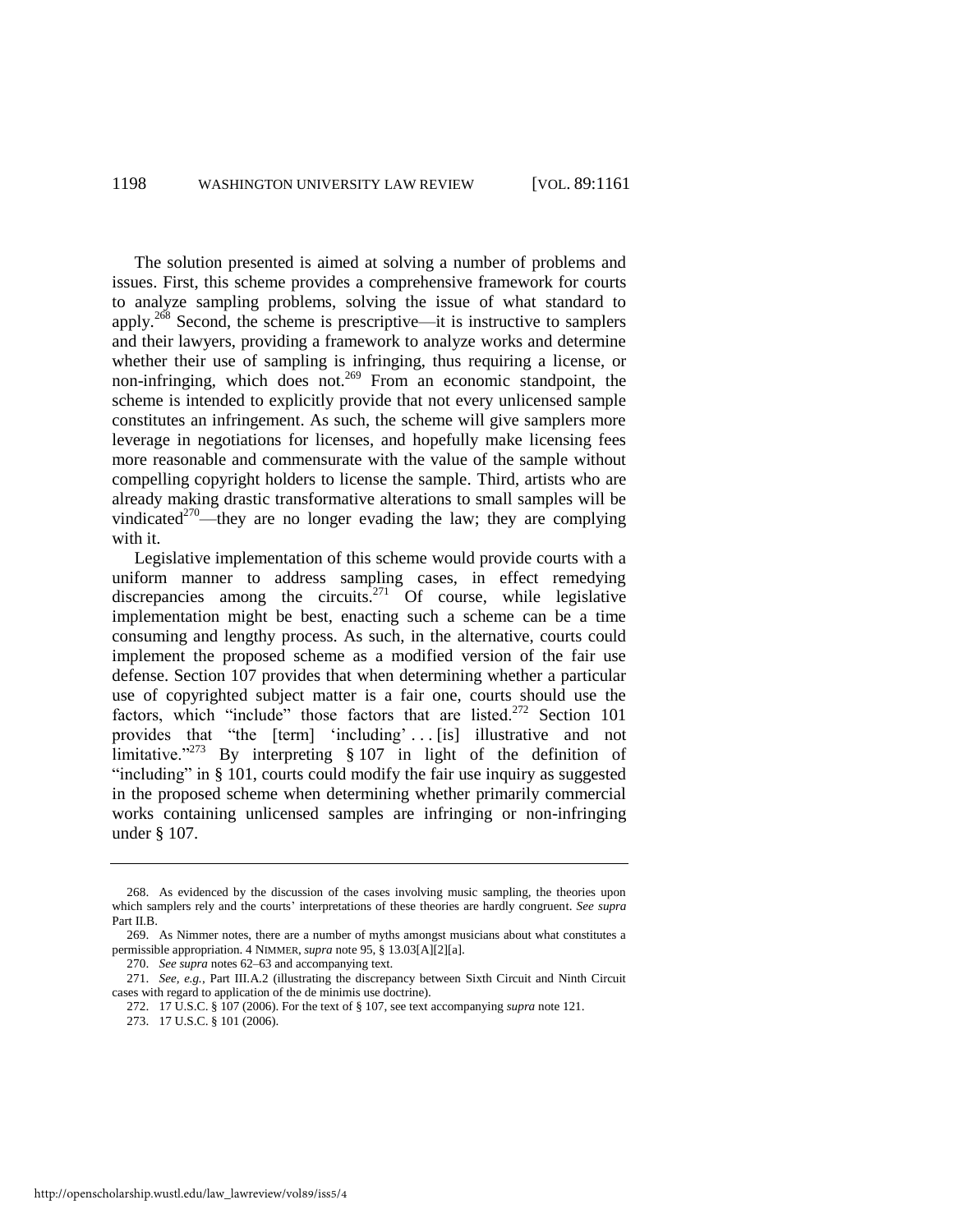The solution presented is aimed at solving a number of problems and issues. First, this scheme provides a comprehensive framework for courts to analyze sampling problems, solving the issue of what standard to apply.<sup>268</sup> Second, the scheme is prescriptive—it is instructive to samplers and their lawyers, providing a framework to analyze works and determine whether their use of sampling is infringing, thus requiring a license, or non-infringing, which does not.<sup>269</sup> From an economic standpoint, the scheme is intended to explicitly provide that not every unlicensed sample constitutes an infringement. As such, the scheme will give samplers more leverage in negotiations for licenses, and hopefully make licensing fees more reasonable and commensurate with the value of the sample without compelling copyright holders to license the sample. Third, artists who are already making drastic transformative alterations to small samples will be vindicated<sup>270</sup>—they are no longer evading the law; they are complying with it.

<span id="page-38-0"></span>Legislative implementation of this scheme would provide courts with a uniform manner to address sampling cases, in effect remedying discrepancies among the circuits.<sup>271</sup> Of course, while legislative implementation might be best, enacting such a scheme can be a time consuming and lengthy process. As such, in the alternative, courts could implement the proposed scheme as a modified version of the fair use defense. Section 107 provides that when determining whether a particular use of copyrighted subject matter is a fair one, courts should use the factors, which "include" those factors that are listed.<sup>272</sup> Section 101 provides that "the  $[term]$  'including' ...  $[is]$  illustrative and not limitative."<sup>273</sup> By interpreting § 107 in light of the definition of "including" in  $\S$  101, courts could modify the fair use inquiry as suggested in the proposed scheme when determining whether primarily commercial works containing unlicensed samples are infringing or non-infringing under § 107.

- 272. 17 U.S.C. § 107 (2006). For the text of § 107, see text accompanying *supra* not[e 121.](#page-17-2)
- 273. 17 U.S.C. § 101 (2006).

<sup>268.</sup> As evidenced by the discussion of the cases involving music sampling, the theories upon which samplers rely and the courts' interpretations of these theories are hardly congruent. *See supra* Part II.B.

<sup>269.</sup> As Nimmer notes, there are a number of myths amongst musicians about what constitutes a permissible appropriation. 4 NIMMER, *supra* not[e 95,](#page-14-4) § 13.03[A][2][a].

<sup>270.</sup> *See supra* note[s 62](#page-9-0)[–63 a](#page-9-1)nd accompanying text.

<sup>271.</sup> *See, e.g.*, Part III.A.2 (illustrating the discrepancy between Sixth Circuit and Ninth Circuit cases with regard to application of the de minimis use doctrine).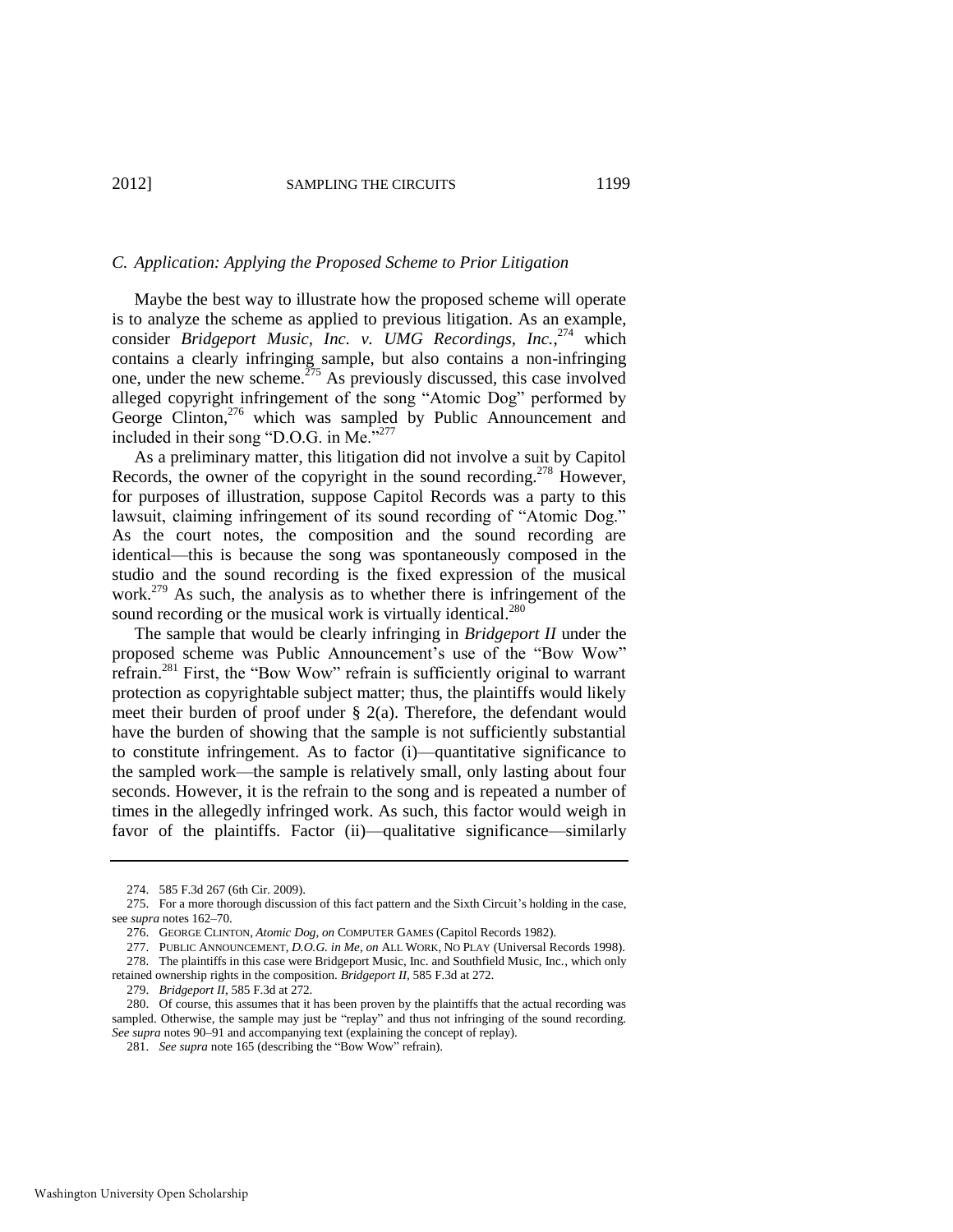#### *C. Application: Applying the Proposed Scheme to Prior Litigation*

Maybe the best way to illustrate how the proposed scheme will operate is to analyze the scheme as applied to previous litigation. As an example, consider *Bridgeport Music, Inc. v. UMG Recordings, Inc.*, <sup>274</sup> which contains a clearly infringing sample, but also contains a non-infringing one, under the new scheme.<sup>275</sup> As previously discussed, this case involved alleged copyright infringement of the song "Atomic Dog" performed by George Clinton,<sup>276</sup> which was sampled by Public Announcement and included in their song "D.O.G. in Me."<sup>277</sup>

As a preliminary matter, this litigation did not involve a suit by Capitol Records, the owner of the copyright in the sound recording.<sup>278</sup> However, for purposes of illustration, suppose Capitol Records was a party to this lawsuit, claiming infringement of its sound recording of "Atomic Dog." As the court notes, the composition and the sound recording are identical—this is because the song was spontaneously composed in the studio and the sound recording is the fixed expression of the musical work.<sup>279</sup> As such, the analysis as to whether there is infringement of the sound recording or the musical work is virtually identical.<sup>280</sup>

The sample that would be clearly infringing in *Bridgeport II* under the proposed scheme was Public Announcement's use of the "Bow Wow" refrain.<sup>281</sup> First, the "Bow Wow" refrain is sufficiently original to warrant protection as copyrightable subject matter; thus, the plaintiffs would likely meet their burden of proof under  $\S$  2(a). Therefore, the defendant would have the burden of showing that the sample is not sufficiently substantial to constitute infringement. As to factor (i)—quantitative significance to the sampled work—the sample is relatively small, only lasting about four seconds. However, it is the refrain to the song and is repeated a number of times in the allegedly infringed work. As such, this factor would weigh in favor of the plaintiffs. Factor (ii)—qualitative significance—similarly

<sup>274. 585</sup> F.3d 267 (6th Cir. 2009).

<sup>275.</sup> For a more thorough discussion of this fact pattern and the Sixth Circuit's holding in the case, see *supra* note[s 162–](#page-21-1)70.

<sup>276.</sup> GEORGE CLINTON, *Atomic Dog*, *on* COMPUTER GAMES (Capitol Records 1982).

<sup>277.</sup> PUBLIC ANNOUNCEMENT, *D.O.G. in Me*, *on* ALL WORK, NO PLAY (Universal Records 1998).

<sup>278.</sup> The plaintiffs in this case were Bridgeport Music, Inc. and Southfield Music, Inc., which only retained ownership rights in the composition. *Bridgeport II*, 585 F.3d at 272.

<sup>279.</sup> *Bridgeport II*, 585 F.3d at 272.

<sup>280.</sup> Of course, this assumes that it has been proven by the plaintiffs that the actual recording was sampled. Otherwise, the sample may just be "replay" and thus not infringing of the sound recording. *See supra* note[s 90](#page-13-1)[–91](#page-13-0) and accompanying text (explaining the concept of replay).

<sup>281.</sup> *See supra* not[e 165 \(](#page-22-1)describing the "Bow Wow" refrain).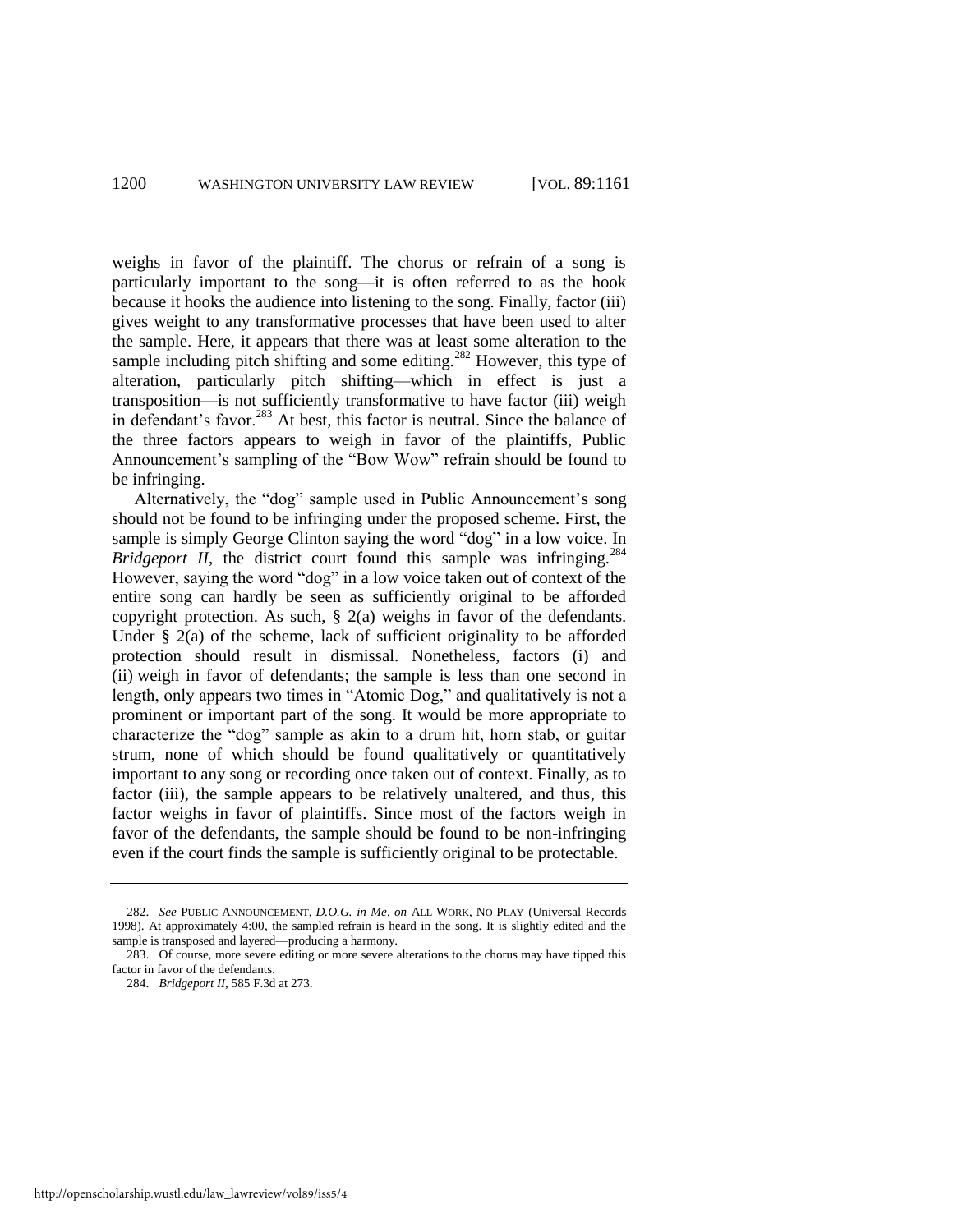weighs in favor of the plaintiff. The chorus or refrain of a song is particularly important to the song—it is often referred to as the hook because it hooks the audience into listening to the song. Finally, factor (iii) gives weight to any transformative processes that have been used to alter the sample. Here, it appears that there was at least some alteration to the sample including pitch shifting and some editing.<sup>282</sup> However, this type of alteration, particularly pitch shifting—which in effect is just a transposition—is not sufficiently transformative to have factor (iii) weigh in defendant's favor.<sup>283</sup> At best, this factor is neutral. Since the balance of the three factors appears to weigh in favor of the plaintiffs, Public Announcement's sampling of the "Bow Wow" refrain should be found to be infringing.

Alternatively, the "dog" sample used in Public Announcement's song should not be found to be infringing under the proposed scheme. First, the sample is simply George Clinton saying the word "dog" in a low voice. In *Bridgeport II*, the district court found this sample was infringing.<sup>284</sup> However, saying the word "dog" in a low voice taken out of context of the entire song can hardly be seen as sufficiently original to be afforded copyright protection. As such, § 2(a) weighs in favor of the defendants. Under  $\S$  2(a) of the scheme, lack of sufficient originality to be afforded protection should result in dismissal. Nonetheless, factors (i) and (ii) weigh in favor of defendants; the sample is less than one second in length, only appears two times in "Atomic Dog," and qualitatively is not a prominent or important part of the song. It would be more appropriate to characterize the "dog" sample as akin to a drum hit, horn stab, or guitar strum, none of which should be found qualitatively or quantitatively important to any song or recording once taken out of context. Finally, as to factor (iii), the sample appears to be relatively unaltered, and thus, this factor weighs in favor of plaintiffs. Since most of the factors weigh in favor of the defendants, the sample should be found to be non-infringing even if the court finds the sample is sufficiently original to be protectable.

<sup>282.</sup> *See* PUBLIC ANNOUNCEMENT, *D.O.G. in Me*, *on* ALL WORK, NO PLAY (Universal Records 1998). At approximately 4:00, the sampled refrain is heard in the song. It is slightly edited and the sample is transposed and layered—producing a harmony.

<sup>283.</sup> Of course, more severe editing or more severe alterations to the chorus may have tipped this factor in favor of the defendants.

<sup>284.</sup> *Bridgeport II*, 585 F.3d at 273.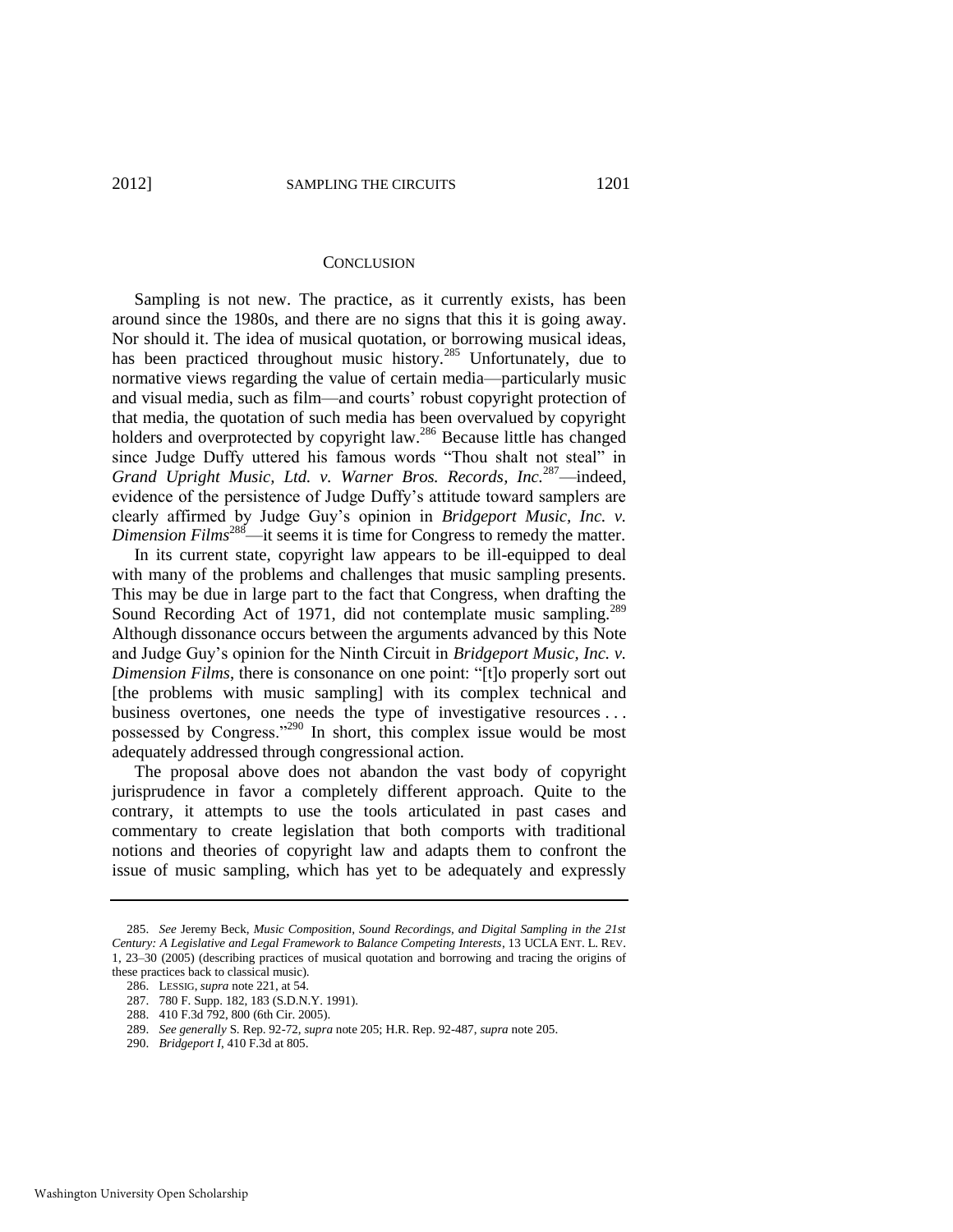#### **CONCLUSION**

Sampling is not new. The practice, as it currently exists, has been around since the 1980s, and there are no signs that this it is going away. Nor should it. The idea of musical quotation, or borrowing musical ideas, has been practiced throughout music history.<sup>285</sup> Unfortunately, due to normative views regarding the value of certain media—particularly music and visual media, such as film—and courts' robust copyright protection of that media, the quotation of such media has been overvalued by copyright holders and overprotected by copyright law.<sup>286</sup> Because little has changed since Judge Duffy uttered his famous words "Thou shalt not steal" in *Grand Upright Music, Ltd. v. Warner Bros. Records, Inc.*<sup>287</sup>—indeed, evidence of the persistence of Judge Duffy's attitude toward samplers are clearly affirmed by Judge Guy's opinion in *Bridgeport Music, Inc. v. Dimension Films*<sup>288</sup>—it seems it is time for Congress to remedy the matter.

In its current state, copyright law appears to be ill-equipped to deal with many of the problems and challenges that music sampling presents. This may be due in large part to the fact that Congress, when drafting the Sound Recording Act of 1971, did not contemplate music sampling.<sup>289</sup> Although dissonance occurs between the arguments advanced by this Note and Judge Guy's opinion for the Ninth Circuit in *Bridgeport Music, Inc. v. Dimension Films*, there is consonance on one point: "[t]o properly sort out [the problems with music sampling] with its complex technical and business overtones, one needs the type of investigative resources . . . possessed by Congress."<sup>290</sup> In short, this complex issue would be most adequately addressed through congressional action.

The proposal above does not abandon the vast body of copyright jurisprudence in favor a completely different approach. Quite to the contrary, it attempts to use the tools articulated in past cases and commentary to create legislation that both comports with traditional notions and theories of copyright law and adapts them to confront the issue of music sampling, which has yet to be adequately and expressly

<sup>285.</sup> *See* Jeremy Beck, *Music Composition, Sound Recordings, and Digital Sampling in the 21st Century: A Legislative and Legal Framework to Balance Competing Interests*, 13 UCLA ENT. L. REV. 1, 23–30 (2005) (describing practices of musical quotation and borrowing and tracing the origins of these practices back to classical music).

<sup>286.</sup> LESSIG, *supra* note [221,](#page-29-0) at 54.

<sup>287. 780</sup> F. Supp. 182, 183 (S.D.N.Y. 1991).

<sup>288. 410</sup> F.3d 792, 800 (6th Cir. 2005).

<sup>289.</sup> *See generally* S. Rep. 92-72, *supra* not[e 205;](#page-27-0) H.R. Rep. 92-487, *supra* not[e 205.](#page-27-0) 

<sup>290.</sup> *Bridgeport I*, 410 F.3d at 805.